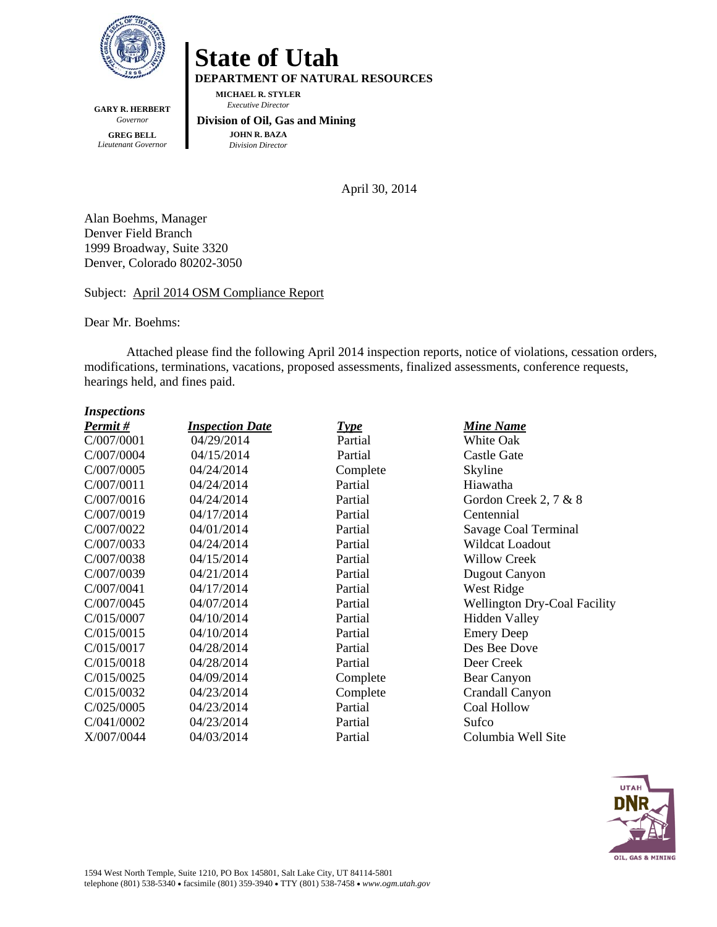

**State of Utah** 

**DEPARTMENT OF NATURAL RESOURCES** 

**MICHAEL R. STYLER**   *Executive Director* 

**GARY R. HERBERT**  *Governor*  **GREG BELL**  *Lieutenant Governor* 

 **Division of Oil, Gas and Mining JOHN R. BAZA**  *Division Director*

April 30, 2014

Alan Boehms, Manager Denver Field Branch 1999 Broadway, Suite 3320 Denver, Colorado 80202-3050

#### Subject: April 2014 OSM Compliance Report

Dear Mr. Boehms:

Attached please find the following April 2014 inspection reports, notice of violations, cessation orders, modifications, terminations, vacations, proposed assessments, finalized assessments, conference requests, hearings held, and fines paid.

#### *Inspections*

| <b>Inspection Date</b> | <b>Type</b> | <b>Mine Name</b>                    |
|------------------------|-------------|-------------------------------------|
| 04/29/2014             | Partial     | White Oak                           |
| 04/15/2014             | Partial     | Castle Gate                         |
| 04/24/2014             | Complete    | Skyline                             |
| 04/24/2014             | Partial     | Hiawatha                            |
| 04/24/2014             | Partial     | Gordon Creek 2, 7 & 8               |
| 04/17/2014             | Partial     | Centennial                          |
| 04/01/2014             | Partial     | Savage Coal Terminal                |
| 04/24/2014             | Partial     | Wildcat Loadout                     |
| 04/15/2014             | Partial     | <b>Willow Creek</b>                 |
| 04/21/2014             | Partial     | Dugout Canyon                       |
| 04/17/2014             | Partial     | West Ridge                          |
| 04/07/2014             | Partial     | <b>Wellington Dry-Coal Facility</b> |
| 04/10/2014             | Partial     | <b>Hidden Valley</b>                |
| 04/10/2014             | Partial     | <b>Emery Deep</b>                   |
| 04/28/2014             | Partial     | Des Bee Dove                        |
| 04/28/2014             | Partial     | Deer Creek                          |
| 04/09/2014             | Complete    | Bear Canyon                         |
| 04/23/2014             | Complete    | Crandall Canyon                     |
| 04/23/2014             | Partial     | Coal Hollow                         |
| 04/23/2014             | Partial     | Sufco                               |
| 04/03/2014             | Partial     | Columbia Well Site                  |
|                        |             |                                     |

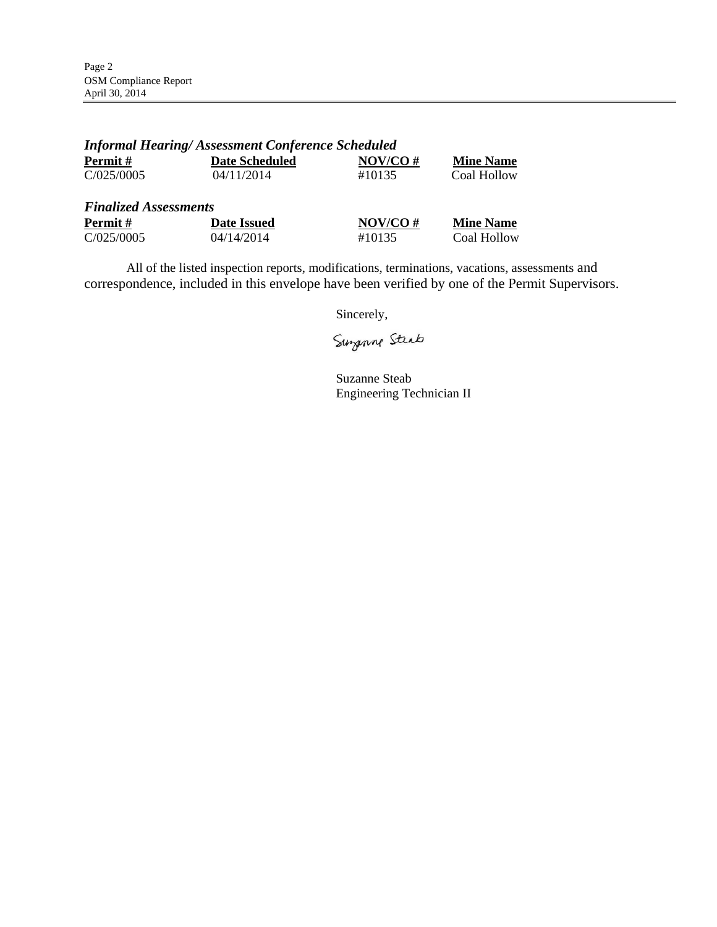| <b>Informal Hearing/Assessment Conference Scheduled</b> |                       |            |                  |  |  |
|---------------------------------------------------------|-----------------------|------------|------------------|--|--|
| Permit#                                                 | <b>Date Scheduled</b> | $NOV/CO$ # | <b>Mine Name</b> |  |  |
| C/025/0005                                              | 04/11/2014            | #10135     | Coal Hollow      |  |  |
|                                                         |                       |            |                  |  |  |
| <b>Finalized Assessments</b>                            |                       |            |                  |  |  |
| <b>Permit</b> #                                         | <b>Date Issued</b>    | $NOV/CO$ # | <b>Mine Name</b> |  |  |
| C/025/0005                                              | 04/14/2014            | #10135     | Coal Hollow      |  |  |

All of the listed inspection reports, modifications, terminations, vacations, assessments and correspondence, included in this envelope have been verified by one of the Permit Supervisors.

Sincerely,

Surgenne Steab

Suzanne Steab Engineering Technician II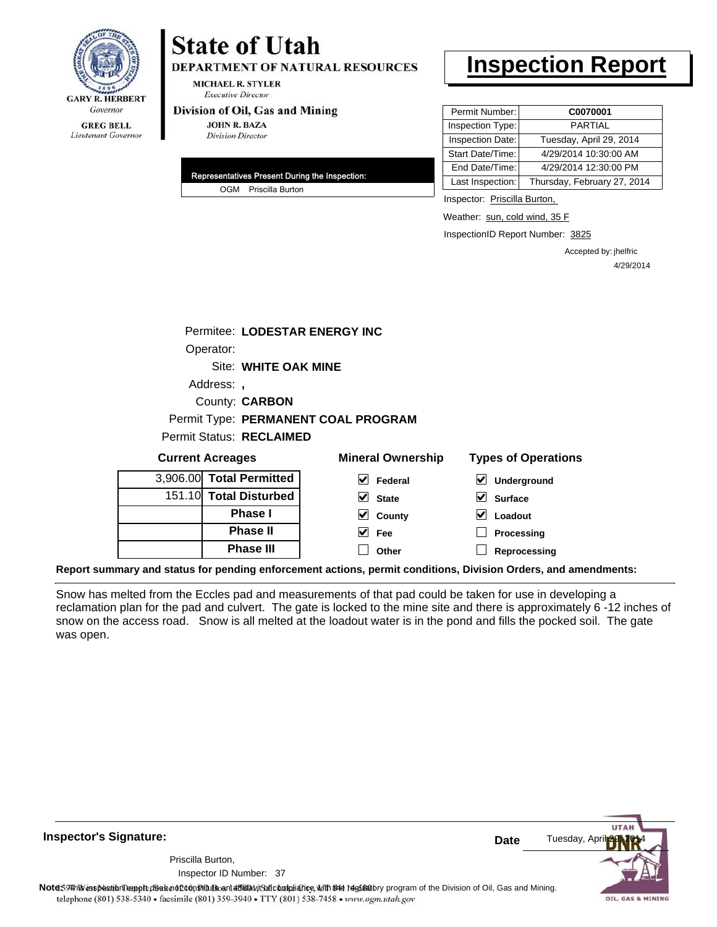

#### **GREG BELL** Lieutenant Governor

# **State of Utah**

**DEPARTMENT OF NATURAL RESOURCES** 

**MICHAEL R. STYLER Executive Director** 

#### Division of Oil, Gas and Mining

**JOHN R. BAZA Division Director** 

| Representatives Present During the Inspection: |  |
|------------------------------------------------|--|
| OGM Priscilla Burton                           |  |

### **Inspection Report**

| Permit Number:   | C0070001                    |
|------------------|-----------------------------|
| Inspection Type: | <b>PARTIAL</b>              |
| Inspection Date: | Tuesday, April 29, 2014     |
| Start Date/Time: | 4/29/2014 10:30:00 AM       |
| End Date/Time:   | 4/29/2014 12:30:00 PM       |
| Last Inspection: | Thursday, February 27, 2014 |

Inspector: Priscilla Burton,

Weather: sun, cold wind, 35 F

InspectionID Report Number: 3825

Accepted by: jhelfric 4/29/2014

|                          | Permitee: LODESTAR ENERGY INC       |
|--------------------------|-------------------------------------|
| Operator:                |                                     |
|                          | Site: WHITE OAK MINE                |
| Address:,                |                                     |
|                          | County: <b>CARBON</b>               |
|                          | Permit Type: PERMANENT COAL PROGRAM |
| Permit Status: RECLAIMED |                                     |

| <b>Current Acreages</b>  | <b>Mineral Ownership</b>      | <b>Types of Operations</b>                                                                                     |
|--------------------------|-------------------------------|----------------------------------------------------------------------------------------------------------------|
| 3,906.00 Total Permitted | $\blacktriangleright$ Federal | $\blacktriangledown$<br><b>Underground</b>                                                                     |
| 151.10 Total Disturbed   | $\vee$ State                  | $\sqrt{\phantom{a}}$ Surface                                                                                   |
| <b>Phase I</b>           | $\vee$ County                 | V<br>Loadout                                                                                                   |
| <b>Phase II</b>          | $\vee$ Fee                    | Processing                                                                                                     |
| <b>Phase III</b>         | Other                         | Reprocessing                                                                                                   |
|                          |                               | Report summary and status for pending enforcement actions, permit conditions, Division Orders, and amendments: |

Snow has melted from the Eccles pad and measurements of that pad could be taken for use in developing a reclamation plan for the pad and culvert. The gate is locked to the mine site and there is approximately 6 -12 inches of snow on the access road. Snow is all melted at the loadout water is in the pond and fills the pocked soil. The gate was open.

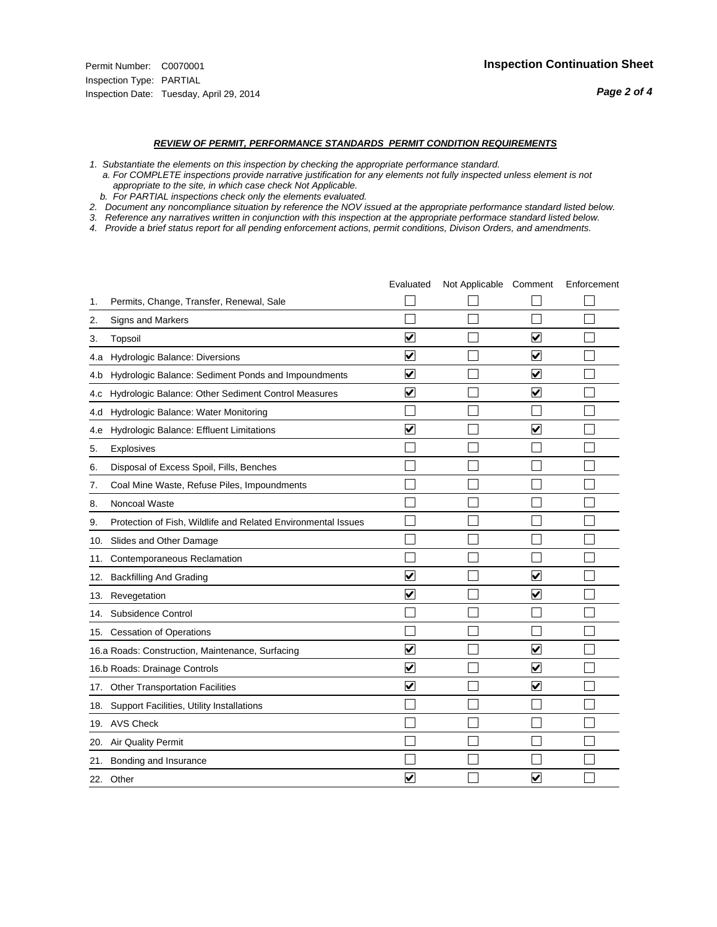#### *REVIEW OF PERMIT, PERFORMANCE STANDARDS PERMIT CONDITION REQUIREMENTS*

*1. Substantiate the elements on this inspection by checking the appropriate performance standard.*

 *a. For COMPLETE inspections provide narrative justification for any elements not fully inspected unless element is not appropriate to the site, in which case check Not Applicable.*

 *b. For PARTIAL inspections check only the elements evaluated.*

*2. Document any noncompliance situation by reference the NOV issued at the appropriate performance standard listed below.*

*3. Reference any narratives written in conjunction with this inspection at the appropriate performace standard listed below.*

|     |                                                               | Evaluated               | Not Applicable Comment |                         | Enforcement |
|-----|---------------------------------------------------------------|-------------------------|------------------------|-------------------------|-------------|
| 1.  | Permits, Change, Transfer, Renewal, Sale                      |                         |                        |                         |             |
| 2.  | <b>Signs and Markers</b>                                      |                         |                        |                         |             |
| 3.  | Topsoil                                                       | $\overline{\mathbf{v}}$ |                        | $\overline{\mathsf{v}}$ |             |
| 4.a | Hydrologic Balance: Diversions                                | ⊻                       |                        | $\blacktriangledown$    |             |
| 4.b | Hydrologic Balance: Sediment Ponds and Impoundments           | $\blacktriangledown$    |                        | ⊻                       |             |
| 4.c | Hydrologic Balance: Other Sediment Control Measures           | $\blacktriangledown$    |                        | $\blacktriangledown$    |             |
| 4.d | Hydrologic Balance: Water Monitoring                          |                         |                        |                         |             |
| 4.e | Hydrologic Balance: Effluent Limitations                      | $\overline{\mathbf{v}}$ |                        | $\overline{\mathbf{v}}$ |             |
| 5.  | Explosives                                                    |                         |                        |                         |             |
| 6.  | Disposal of Excess Spoil, Fills, Benches                      |                         |                        |                         |             |
| 7.  | Coal Mine Waste, Refuse Piles, Impoundments                   |                         |                        |                         |             |
| 8.  | Noncoal Waste                                                 |                         |                        |                         |             |
| 9.  | Protection of Fish, Wildlife and Related Environmental Issues |                         |                        |                         |             |
|     | 10. Slides and Other Damage                                   |                         |                        |                         |             |
| 11. | Contemporaneous Reclamation                                   |                         |                        |                         |             |
| 12. | <b>Backfilling And Grading</b>                                | $\overline{\mathbf{v}}$ |                        | $\overline{\mathbf{v}}$ |             |
| 13. | Revegetation                                                  | $\overline{\mathbf{v}}$ |                        | $\overline{\mathbf{v}}$ |             |
| 14. | Subsidence Control                                            |                         |                        |                         |             |
|     | 15. Cessation of Operations                                   |                         |                        |                         |             |
|     | 16.a Roads: Construction, Maintenance, Surfacing              | ☑                       |                        | $\blacktriangledown$    |             |
|     | 16.b Roads: Drainage Controls                                 | ⊽                       |                        | $\overline{\mathbf{v}}$ |             |
|     | 17. Other Transportation Facilities                           | $\overline{\mathbf{v}}$ |                        | $\overline{\mathbf{v}}$ |             |
| 18. | Support Facilities, Utility Installations                     |                         |                        |                         |             |
|     | 19. AVS Check                                                 |                         |                        |                         |             |
|     | 20. Air Quality Permit                                        |                         |                        |                         |             |
|     | 21. Bonding and Insurance                                     |                         |                        |                         |             |
|     | 22. Other                                                     | $\overline{\mathbf{v}}$ |                        | $\overline{\mathbf{v}}$ |             |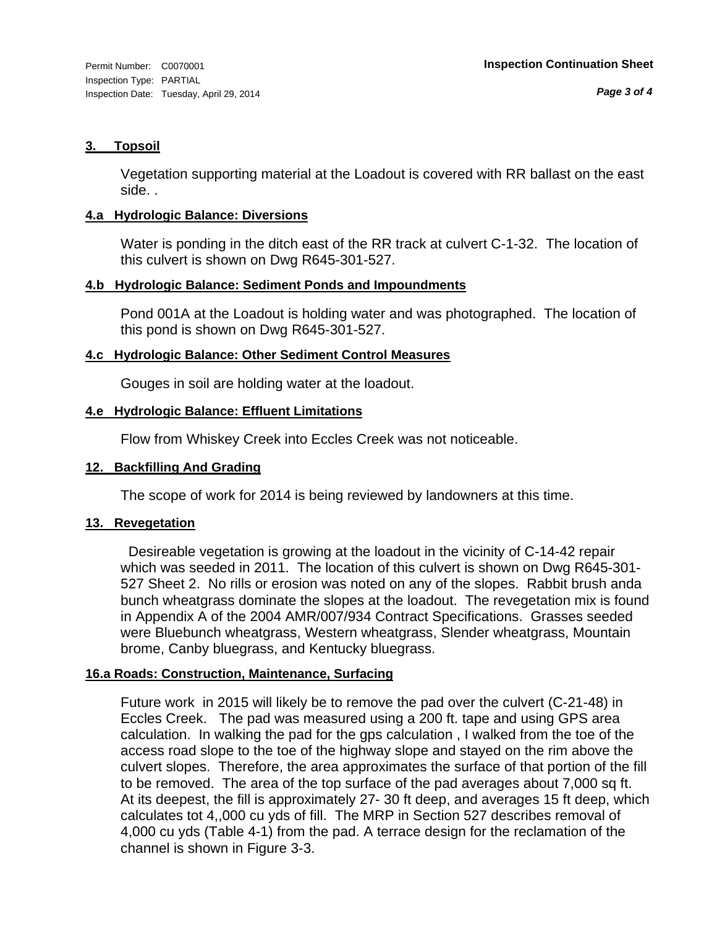#### **3. Topsoil**

Vegetation supporting material at the Loadout is covered with RR ballast on the east side. .

#### **4.a Hydrologic Balance: Diversions**

Water is ponding in the ditch east of the RR track at culvert C-1-32. The location of this culvert is shown on Dwg R645-301-527.

#### **4.b Hydrologic Balance: Sediment Ponds and Impoundments**

Pond 001A at the Loadout is holding water and was photographed. The location of this pond is shown on Dwg R645-301-527.

#### **4.c Hydrologic Balance: Other Sediment Control Measures**

Gouges in soil are holding water at the loadout.

#### **4.e Hydrologic Balance: Effluent Limitations**

Flow from Whiskey Creek into Eccles Creek was not noticeable.

#### **12. Backfilling And Grading**

The scope of work for 2014 is being reviewed by landowners at this time.

#### **13. Revegetation**

 Desireable vegetation is growing at the loadout in the vicinity of C-14-42 repair which was seeded in 2011. The location of this culvert is shown on Dwg R645-301- 527 Sheet 2. No rills or erosion was noted on any of the slopes. Rabbit brush anda bunch wheatgrass dominate the slopes at the loadout. The revegetation mix is found in Appendix A of the 2004 AMR/007/934 Contract Specifications. Grasses seeded were Bluebunch wheatgrass, Western wheatgrass, Slender wheatgrass, Mountain brome, Canby bluegrass, and Kentucky bluegrass.

### **16.a Roads: Construction, Maintenance, Surfacing**

Future work in 2015 will likely be to remove the pad over the culvert (C-21-48) in Eccles Creek. The pad was measured using a 200 ft. tape and using GPS area calculation. In walking the pad for the gps calculation , I walked from the toe of the access road slope to the toe of the highway slope and stayed on the rim above the culvert slopes. Therefore, the area approximates the surface of that portion of the fill to be removed. The area of the top surface of the pad averages about 7,000 sq ft. At its deepest, the fill is approximately 27- 30 ft deep, and averages 15 ft deep, which calculates tot 4,,000 cu yds of fill. The MRP in Section 527 describes removal of 4,000 cu yds (Table 4-1) from the pad. A terrace design for the reclamation of the channel is shown in Figure 3-3.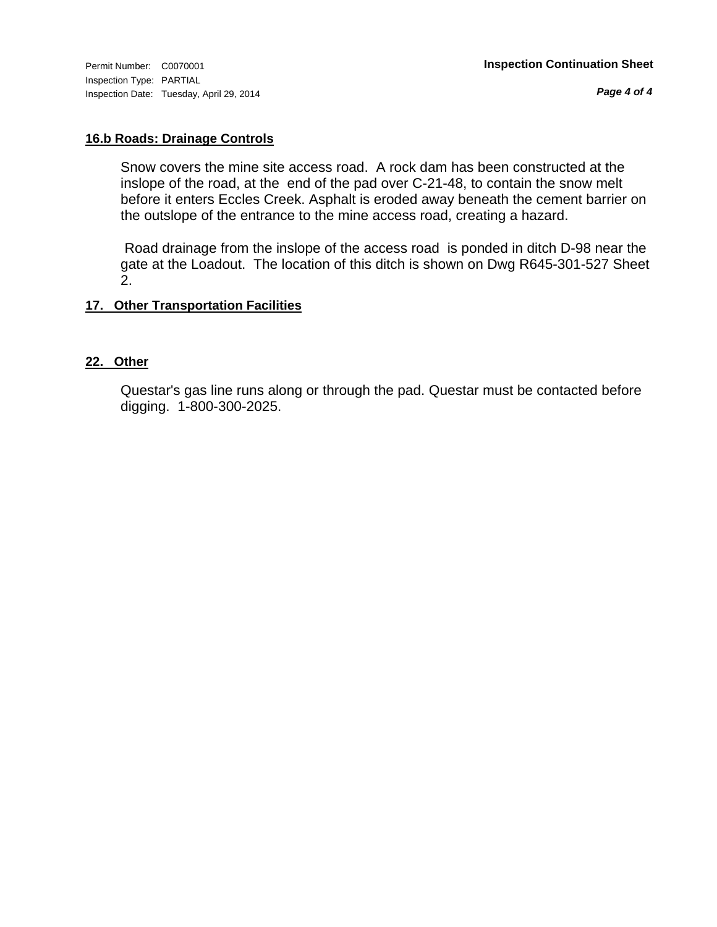Inspection Type: PARTIAL Inspection Date: Tuesday, April 29, 2014

*Page 4 of 4*

#### **16.b Roads: Drainage Controls**

Snow covers the mine site access road. A rock dam has been constructed at the inslope of the road, at the end of the pad over C-21-48, to contain the snow melt before it enters Eccles Creek. Asphalt is eroded away beneath the cement barrier on the outslope of the entrance to the mine access road, creating a hazard.

 Road drainage from the inslope of the access road is ponded in ditch D-98 near the gate at the Loadout. The location of this ditch is shown on Dwg R645-301-527 Sheet 2.

#### **17. Other Transportation Facilities**

#### **22. Other**

Questar's gas line runs along or through the pad. Questar must be contacted before digging. 1-800-300-2025.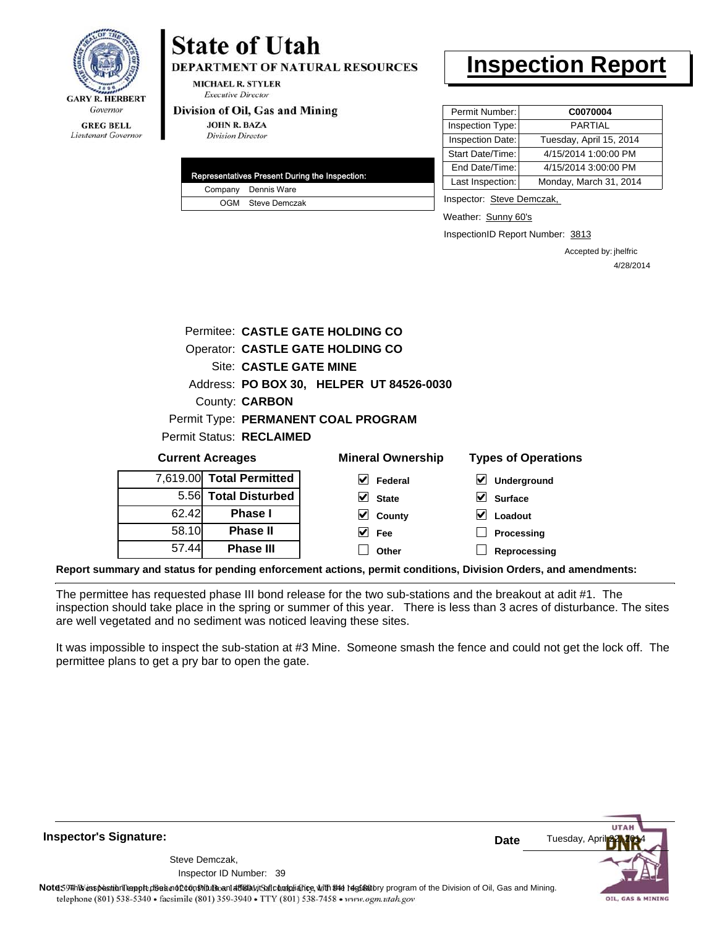

## Lieutenant Governor

## **State of Utah**

**DEPARTMENT OF NATURAL RESOURCES** 

**MICHAEL R. STYLER Executive Director** 

#### Division of Oil, Gas and Mining

**JOHN R. BAZA Division Director** 

58.10 57.44

| Representatives Present During the Inspection: |
|------------------------------------------------|
| Company Dennis Ware                            |
| OGM Steve Demczak                              |

### **Inspection Report**

| Permit Number:   | C0070004                |
|------------------|-------------------------|
| Inspection Type: | <b>PARTIAL</b>          |
| Inspection Date: | Tuesday, April 15, 2014 |
| Start Date/Time: | 4/15/2014 1:00:00 PM    |
| End Date/Time:   | 4/15/2014 3:00:00 PM    |
| Last Inspection: | Monday, March 31, 2014  |

Inspector: Steve Demczak,

Weather: Sunny 60's

InspectionID Report Number: 3813

Accepted by: jhelfric 4/28/2014

|       |                               | Permitee: CASTLE GATE HOLDING CO         |                                  |
|-------|-------------------------------|------------------------------------------|----------------------------------|
|       |                               | Operator: CASTLE GATE HOLDING CO         |                                  |
|       | <b>Site: CASTLE GATE MINE</b> |                                          |                                  |
|       |                               | Address: PO BOX 30, HELPER UT 84526-0030 |                                  |
|       | County: <b>CARBON</b>         |                                          |                                  |
|       |                               | Permit Type: PERMANENT COAL PROGRAM      |                                  |
|       | Permit Status: RECLAIMED      |                                          |                                  |
|       | <b>Current Acreages</b>       | <b>Mineral Ownership</b>                 | <b>Types of Operations</b>       |
|       | 7,619.00 Total Permitted      | V<br>Federal                             | $\bm{\mathsf{v}}$<br>Underground |
|       | 5.56 Total Disturbed          | V<br><b>State</b>                        | <b>Surface</b>                   |
| 62.42 | <b>Phase I</b>                | County                                   | Loadout                          |

**Phase II**  $\blacktriangledown$ **Processing Fee Phase III**  $\Box$ **Other Reprocessing**

**Report summary and status for pending enforcement actions, permit conditions, Division Orders, and amendments:**

The permittee has requested phase III bond release for the two sub-stations and the breakout at adit #1. The inspection should take place in the spring or summer of this year. There is less than 3 acres of disturbance. The sites are well vegetated and no sediment was noticed leaving these sites.

It was impossible to inspect the sub-station at #3 Mine. Someone smash the fence and could not get the lock off. The permittee plans to get a pry bar to open the gate.

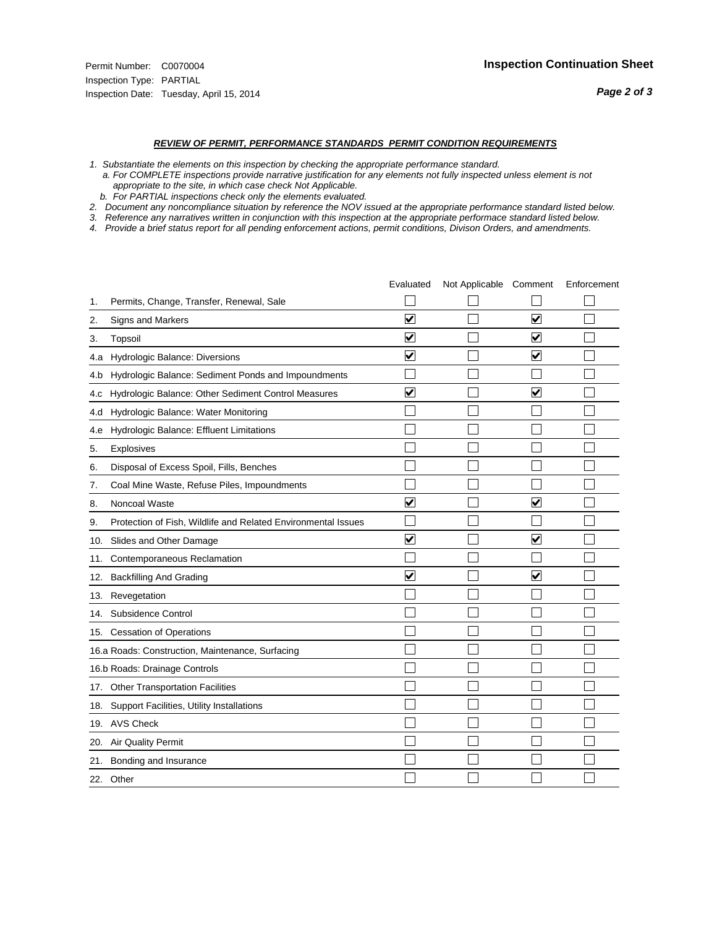#### *REVIEW OF PERMIT, PERFORMANCE STANDARDS PERMIT CONDITION REQUIREMENTS*

*1. Substantiate the elements on this inspection by checking the appropriate performance standard.*

 *a. For COMPLETE inspections provide narrative justification for any elements not fully inspected unless element is not appropriate to the site, in which case check Not Applicable.*

 *b. For PARTIAL inspections check only the elements evaluated.*

*2. Document any noncompliance situation by reference the NOV issued at the appropriate performance standard listed below.*

*3. Reference any narratives written in conjunction with this inspection at the appropriate performace standard listed below.*

|     |                                                               | Evaluated               | Not Applicable Comment |                         | Enforcement |
|-----|---------------------------------------------------------------|-------------------------|------------------------|-------------------------|-------------|
| 1.  | Permits, Change, Transfer, Renewal, Sale                      |                         |                        |                         |             |
| 2.  | <b>Signs and Markers</b>                                      | $\overline{\mathbf{v}}$ |                        | $\overline{\mathbf{v}}$ |             |
| 3.  | Topsoil                                                       | $\overline{\mathbf{v}}$ |                        | $\overline{\mathbf{v}}$ |             |
| 4.a | Hydrologic Balance: Diversions                                | ⊽                       |                        | $\blacktriangledown$    |             |
| 4.b | Hydrologic Balance: Sediment Ponds and Impoundments           |                         |                        |                         |             |
| 4.C | Hydrologic Balance: Other Sediment Control Measures           | $\overline{\mathbf{v}}$ |                        | $\blacktriangledown$    |             |
| 4.d | Hydrologic Balance: Water Monitoring                          |                         |                        |                         |             |
| 4.e | Hydrologic Balance: Effluent Limitations                      |                         |                        |                         |             |
| 5.  | Explosives                                                    |                         |                        |                         |             |
| 6.  | Disposal of Excess Spoil, Fills, Benches                      |                         |                        |                         |             |
| 7.  | Coal Mine Waste, Refuse Piles, Impoundments                   |                         |                        |                         |             |
| 8.  | Noncoal Waste                                                 | $\overline{\mathbf{v}}$ |                        | $\blacktriangledown$    |             |
| 9.  | Protection of Fish, Wildlife and Related Environmental Issues |                         |                        |                         |             |
| 10. | Slides and Other Damage                                       | ⊽                       |                        | ⊽                       |             |
| 11. | Contemporaneous Reclamation                                   |                         |                        |                         |             |
| 12. | <b>Backfilling And Grading</b>                                | $\overline{\mathbf{v}}$ |                        | $\blacktriangledown$    |             |
| 13. | Revegetation                                                  |                         |                        |                         |             |
| 14. | Subsidence Control                                            |                         |                        |                         |             |
| 15. | <b>Cessation of Operations</b>                                |                         |                        |                         |             |
|     | 16.a Roads: Construction, Maintenance, Surfacing              |                         |                        |                         |             |
|     | 16.b Roads: Drainage Controls                                 |                         |                        |                         |             |
| 17. | <b>Other Transportation Facilities</b>                        |                         |                        |                         |             |
| 18. | Support Facilities, Utility Installations                     |                         |                        |                         |             |
|     | 19. AVS Check                                                 |                         |                        |                         |             |
| 20. | Air Quality Permit                                            |                         |                        |                         |             |
| 21. | Bonding and Insurance                                         |                         |                        |                         |             |
|     | 22. Other                                                     |                         |                        |                         |             |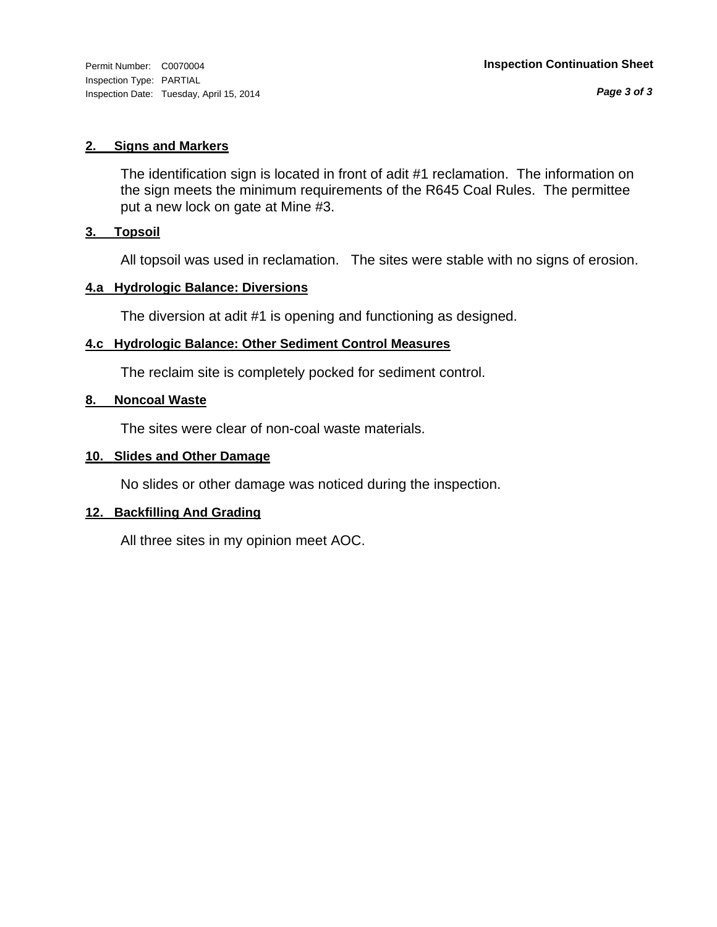Inspection Type: PARTIAL Inspection Date: Tuesday, April 15, 2014

*Page 3 of 3*

#### **2. Signs and Markers**

The identification sign is located in front of adit #1 reclamation. The information on the sign meets the minimum requirements of the R645 Coal Rules. The permittee put a new lock on gate at Mine #3.

#### **3. Topsoil**

All topsoil was used in reclamation. The sites were stable with no signs of erosion.

#### **4.a Hydrologic Balance: Diversions**

The diversion at adit #1 is opening and functioning as designed.

#### **4.c Hydrologic Balance: Other Sediment Control Measures**

The reclaim site is completely pocked for sediment control.

#### **8. Noncoal Waste**

The sites were clear of non-coal waste materials.

#### **10. Slides and Other Damage**

No slides or other damage was noticed during the inspection.

#### **12. Backfilling And Grading**

All three sites in my opinion meet AOC.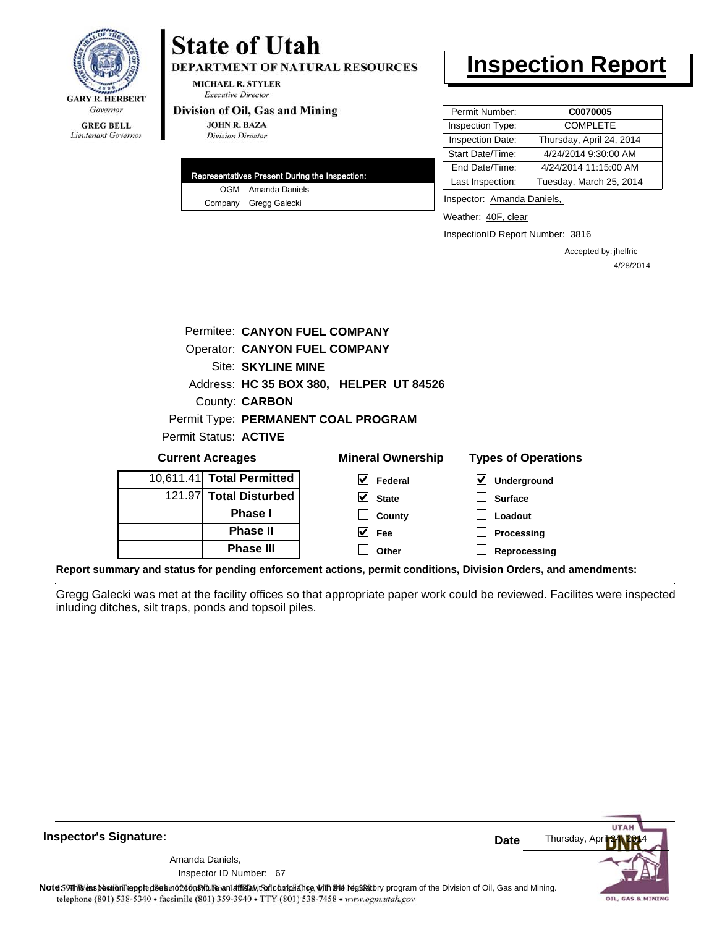

Lieutenant Governor

# **State of Utah**

DEPARTMENT OF NATURAL RESOURCES

**MICHAEL R. STYLER Executive Director** 

#### Division of Oil, Gas and Mining

**JOHN R. BAZA Division Director** 

| Representatives Present During the Inspection: |
|------------------------------------------------|
| OGM Amanda Daniels                             |
| Company Gregg Galecki                          |

### **Inspection Report**

| Permit Number:   | C0070005                 |
|------------------|--------------------------|
| Inspection Type: | <b>COMPLETE</b>          |
| Inspection Date: | Thursday, April 24, 2014 |
| Start Date/Time: | 4/24/2014 9:30:00 AM     |
| End Date/Time:   | 4/24/2014 11:15:00 AM    |
| Last Inspection: | Tuesday, March 25, 2014  |

Inspector: Amanda Daniels,

Weather: 40F, clear

InspectionID Report Number: 3816

Accepted by: jhelfric 4/28/2014

|           | Permitee: CANYON FUEL COMPANY        |                                         |                                       |  |  |
|-----------|--------------------------------------|-----------------------------------------|---------------------------------------|--|--|
|           | <b>Operator: CANYON FUEL COMPANY</b> |                                         |                                       |  |  |
|           | Site: SKYLINE MINE                   |                                         |                                       |  |  |
|           |                                      | Address: HC 35 BOX 380, HELPER UT 84526 |                                       |  |  |
|           | County: <b>CARBON</b>                |                                         |                                       |  |  |
|           |                                      | Permit Type: PERMANENT COAL PROGRAM     |                                       |  |  |
|           | Permit Status: ACTIVE                |                                         |                                       |  |  |
|           | <b>Current Acreages</b>              | <b>Mineral Ownership</b>                | <b>Types of Operations</b>            |  |  |
| 10.611.41 | <b>Total Permitted</b>               | V<br>Federal                            | $\vert\mathbf{v}\vert$<br>Underground |  |  |
|           | 121.97 Total Disturbed               | V<br><b>State</b>                       | <b>Surface</b>                        |  |  |
|           | <b>Phase I</b>                       | County                                  | Loadout                               |  |  |
|           | <b>Phase II</b>                      | <b>Fee</b>                              | Processing                            |  |  |
|           | <b>Phase III</b>                     | Other                                   | Reprocessing                          |  |  |

**Report summary and status for pending enforcement actions, permit conditions, Division Orders, and amendments:**

Gregg Galecki was met at the facility offices so that appropriate paper work could be reviewed. Facilites were inspected inluding ditches, silt traps, ponds and topsoil piles.

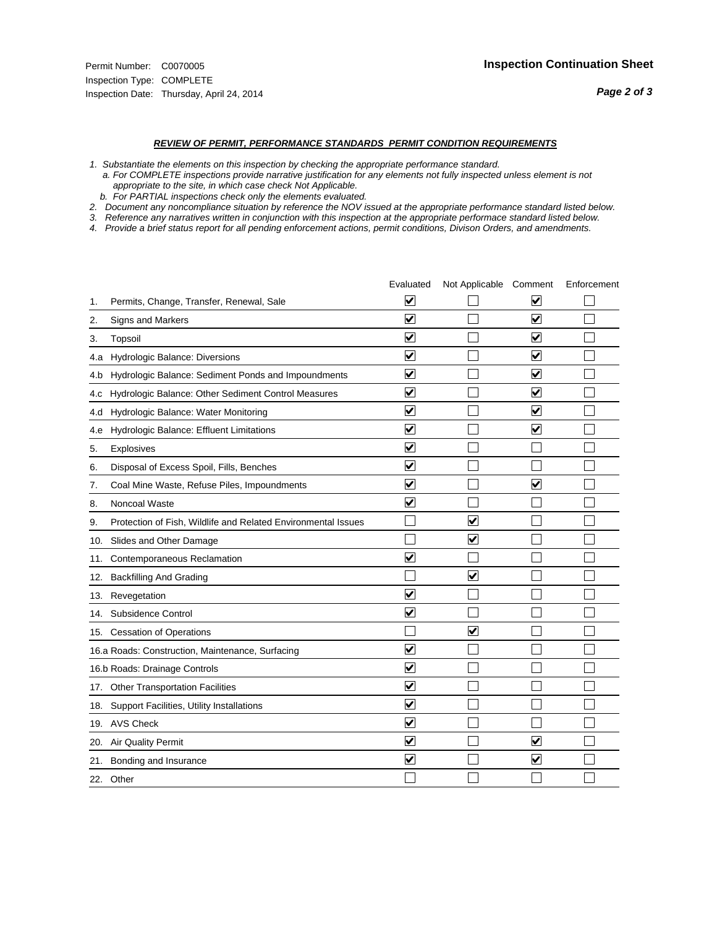#### *REVIEW OF PERMIT, PERFORMANCE STANDARDS PERMIT CONDITION REQUIREMENTS*

*1. Substantiate the elements on this inspection by checking the appropriate performance standard.*

 *a. For COMPLETE inspections provide narrative justification for any elements not fully inspected unless element is not appropriate to the site, in which case check Not Applicable.*

 *b. For PARTIAL inspections check only the elements evaluated.*

*2. Document any noncompliance situation by reference the NOV issued at the appropriate performance standard listed below.*

*3. Reference any narratives written in conjunction with this inspection at the appropriate performace standard listed below.*

|     |                                                               | Evaluated               | Not Applicable Comment  |                         | Enforcement |
|-----|---------------------------------------------------------------|-------------------------|-------------------------|-------------------------|-------------|
| 1.  | Permits, Change, Transfer, Renewal, Sale                      | ⊻                       |                         | V                       |             |
| 2.  | Signs and Markers                                             | $\overline{\mathbf{v}}$ |                         | $\blacktriangledown$    |             |
| 3.  | Topsoil                                                       | $\overline{\mathbf{v}}$ |                         | $\overline{\mathbf{v}}$ |             |
| 4.a | <b>Hydrologic Balance: Diversions</b>                         | $\overline{\mathsf{v}}$ |                         | $\blacktriangledown$    |             |
| 4.b | Hydrologic Balance: Sediment Ponds and Impoundments           | $\blacktriangledown$    |                         | $\blacktriangledown$    |             |
| 4.C | Hydrologic Balance: Other Sediment Control Measures           | $\checkmark$            |                         | $\blacktriangledown$    |             |
| 4.d | Hydrologic Balance: Water Monitoring                          | $\overline{\mathbf{v}}$ |                         | $\blacktriangledown$    |             |
| 4.e | Hydrologic Balance: Effluent Limitations                      | $\overline{\mathbf{v}}$ |                         | $\blacktriangleright$   |             |
| 5.  | <b>Explosives</b>                                             | $\overline{\mathbf{v}}$ |                         |                         |             |
| 6.  | Disposal of Excess Spoil, Fills, Benches                      | $\overline{\mathbf{v}}$ |                         |                         |             |
| 7.  | Coal Mine Waste, Refuse Piles, Impoundments                   | $\overline{\mathbf{v}}$ |                         | $\overline{\mathbf{v}}$ |             |
| 8.  | Noncoal Waste                                                 | $\overline{\mathbf{v}}$ |                         |                         |             |
| 9.  | Protection of Fish, Wildlife and Related Environmental Issues |                         | $\blacktriangledown$    |                         |             |
| 10. | Slides and Other Damage                                       |                         | $\overline{\mathbf{v}}$ |                         |             |
| 11. | Contemporaneous Reclamation                                   | ⊻                       |                         |                         |             |
| 12. | <b>Backfilling And Grading</b>                                |                         | $\blacktriangledown$    |                         |             |
| 13. | Revegetation                                                  | $\overline{\mathbf{v}}$ |                         |                         |             |
| 14. | Subsidence Control                                            | $\overline{\mathbf{v}}$ |                         |                         |             |
|     | 15. Cessation of Operations                                   |                         | $\blacktriangledown$    |                         |             |
|     | 16.a Roads: Construction, Maintenance, Surfacing              | ⊽                       |                         |                         |             |
|     | 16.b Roads: Drainage Controls                                 | $\blacktriangledown$    |                         |                         |             |
| 17. | <b>Other Transportation Facilities</b>                        | $\overline{\mathbf{v}}$ |                         |                         |             |
| 18. | Support Facilities, Utility Installations                     | $\overline{\mathbf{v}}$ |                         |                         |             |
|     | 19. AVS Check                                                 | $\overline{\mathbf{v}}$ |                         |                         |             |
| 20. | <b>Air Quality Permit</b>                                     | $\checkmark$            |                         | $\blacktriangledown$    |             |
| 21. | Bonding and Insurance                                         | $\overline{\mathbf{v}}$ |                         | $\blacktriangledown$    |             |
|     | 22. Other                                                     |                         |                         |                         |             |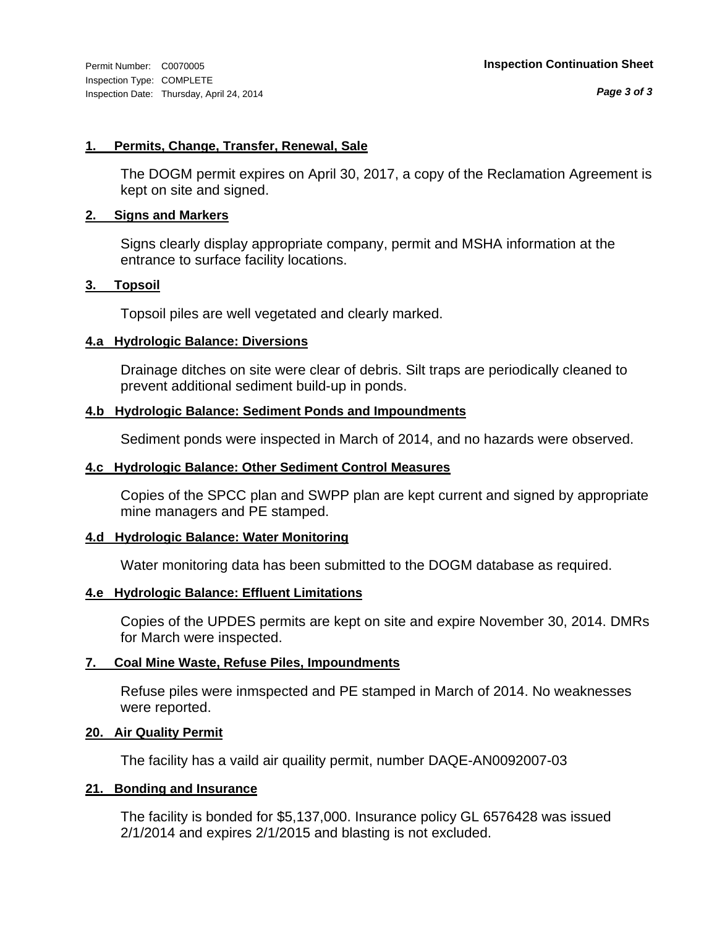#### **1. Permits, Change, Transfer, Renewal, Sale**

The DOGM permit expires on April 30, 2017, a copy of the Reclamation Agreement is kept on site and signed.

#### **2. Signs and Markers**

Signs clearly display appropriate company, permit and MSHA information at the entrance to surface facility locations.

#### **3. Topsoil**

Topsoil piles are well vegetated and clearly marked.

#### **4.a Hydrologic Balance: Diversions**

Drainage ditches on site were clear of debris. Silt traps are periodically cleaned to prevent additional sediment build-up in ponds.

#### **4.b Hydrologic Balance: Sediment Ponds and Impoundments**

Sediment ponds were inspected in March of 2014, and no hazards were observed.

#### **4.c Hydrologic Balance: Other Sediment Control Measures**

Copies of the SPCC plan and SWPP plan are kept current and signed by appropriate mine managers and PE stamped.

#### **4.d Hydrologic Balance: Water Monitoring**

Water monitoring data has been submitted to the DOGM database as required.

#### **4.e Hydrologic Balance: Effluent Limitations**

Copies of the UPDES permits are kept on site and expire November 30, 2014. DMRs for March were inspected.

#### **7. Coal Mine Waste, Refuse Piles, Impoundments**

Refuse piles were inmspected and PE stamped in March of 2014. No weaknesses were reported.

#### **20. Air Quality Permit**

The facility has a vaild air quaility permit, number DAQE-AN0092007-03

#### **21. Bonding and Insurance**

The facility is bonded for \$5,137,000. Insurance policy GL 6576428 was issued 2/1/2014 and expires 2/1/2015 and blasting is not excluded.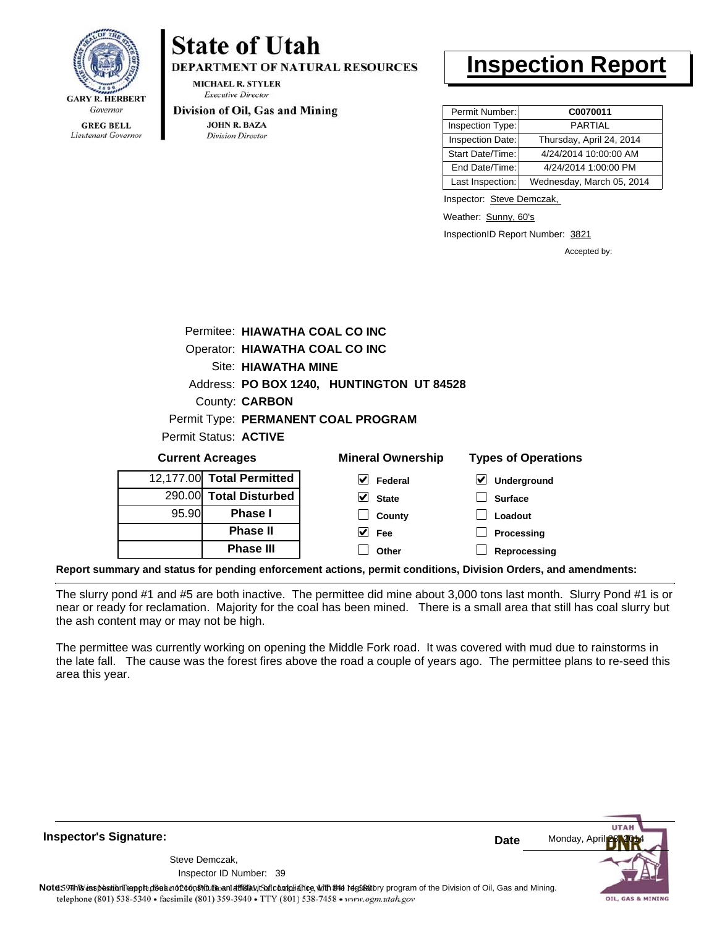

Lieutenant Governor

## **State of Utah**

**DEPARTMENT OF NATURAL RESOURCES** 

**MICHAEL R. STYLER Executive Director** 

#### Division of Oil, Gas and Mining

**JOHN R. BAZA Division Director** 

### **Inspection Report**

| Permit Number:   | C0070011                  |
|------------------|---------------------------|
| Inspection Type: | PARTIAL                   |
| Inspection Date: | Thursday, April 24, 2014  |
| Start Date/Time: | 4/24/2014 10:00:00 AM     |
| End Date/Time:   | 4/24/2014 1:00:00 PM      |
| Last Inspection: | Wednesday, March 05, 2014 |

Inspector: Steve Demczak,

Weather: Sunny, 60's

InspectionID Report Number: 3821

Accepted by:

| <b>Current Acreages</b> |                                | <b>Mineral Ownership</b>                  | <b>Types of Operations</b> |
|-------------------------|--------------------------------|-------------------------------------------|----------------------------|
| Permit Status: ACTIVE   |                                |                                           |                            |
|                         |                                | Permit Type: PERMANENT COAL PROGRAM       |                            |
|                         | County: <b>CARBON</b>          |                                           |                            |
|                         |                                | Address: PO BOX 1240, HUNTINGTON UT 84528 |                            |
|                         | Site: HIAWATHA MINE            |                                           |                            |
|                         | Operator: HIAWATHA COAL CO INC |                                           |                            |
|                         | Permitee: HIAWATHA COAL CO INC |                                           |                            |
|                         |                                |                                           |                            |

|       | 12,177.00 Total Permitted | Federal      | $\blacktriangledown$<br>Underground |
|-------|---------------------------|--------------|-------------------------------------|
|       | 290.00 Total Disturbed    | $\vee$ State | <b>Surface</b>                      |
| 95.90 | <b>Phase I</b>            | County       | Loadout                             |
|       | <b>Phase II</b>           | Fee          | Processing                          |
|       | <b>Phase III</b>          | Other        | Reprocessing                        |
|       |                           |              |                                     |

**Report summary and status for pending enforcement actions, permit conditions, Division Orders, and amendments:**

The slurry pond #1 and #5 are both inactive. The permittee did mine about 3,000 tons last month. Slurry Pond #1 is or near or ready for reclamation. Majority for the coal has been mined. There is a small area that still has coal slurry but the ash content may or may not be high.

The permittee was currently working on opening the Middle Fork road. It was covered with mud due to rainstorms in the late fall. The cause was the forest fires above the road a couple of years ago. The permittee plans to re-seed this area this year.

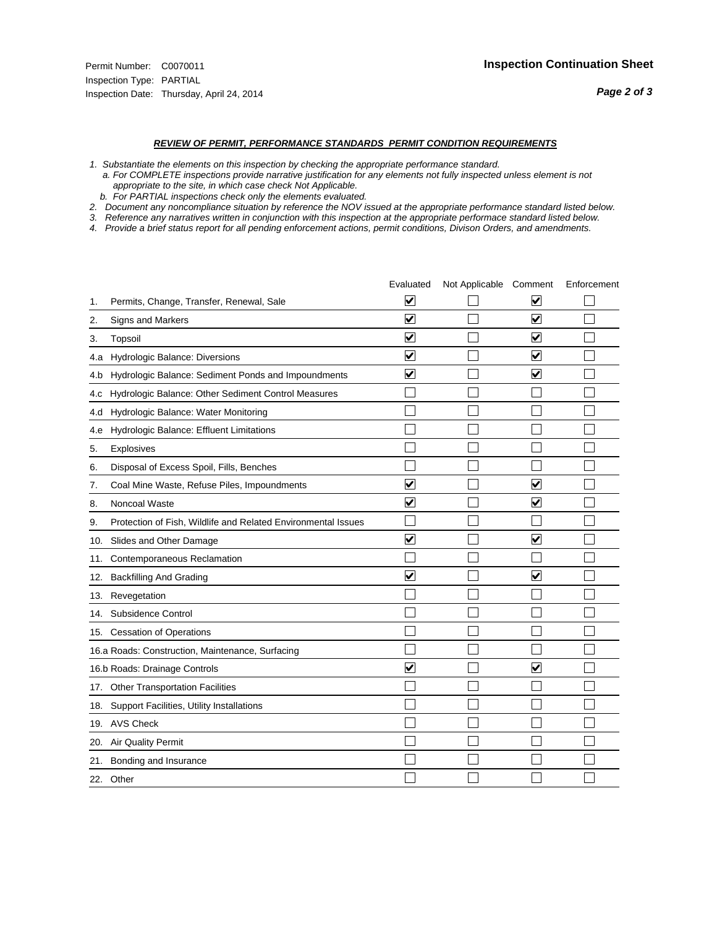#### *REVIEW OF PERMIT, PERFORMANCE STANDARDS PERMIT CONDITION REQUIREMENTS*

*1. Substantiate the elements on this inspection by checking the appropriate performance standard.*

 *a. For COMPLETE inspections provide narrative justification for any elements not fully inspected unless element is not appropriate to the site, in which case check Not Applicable.*

 *b. For PARTIAL inspections check only the elements evaluated.*

*2. Document any noncompliance situation by reference the NOV issued at the appropriate performance standard listed below.*

*3. Reference any narratives written in conjunction with this inspection at the appropriate performace standard listed below.*

|     |                                                               | Evaluated               | Not Applicable Comment |                         | Enforcement |
|-----|---------------------------------------------------------------|-------------------------|------------------------|-------------------------|-------------|
| 1.  | Permits, Change, Transfer, Renewal, Sale                      | ⊻                       |                        | V                       |             |
| 2.  | Signs and Markers                                             | $\overline{\mathbf{v}}$ |                        | $\blacktriangledown$    |             |
| 3.  | Topsoil                                                       | $\overline{\mathbf{v}}$ |                        | $\overline{\mathbf{v}}$ |             |
| 4.a | Hydrologic Balance: Diversions                                | $\blacktriangledown$    |                        | $\blacktriangledown$    |             |
| 4.b | Hydrologic Balance: Sediment Ponds and Impoundments           | $\blacktriangledown$    |                        | $\blacktriangledown$    |             |
| 4.C | Hydrologic Balance: Other Sediment Control Measures           |                         |                        |                         |             |
| 4.d | Hydrologic Balance: Water Monitoring                          |                         |                        |                         |             |
| 4.e | Hydrologic Balance: Effluent Limitations                      |                         |                        |                         |             |
| 5.  | <b>Explosives</b>                                             |                         |                        |                         |             |
| 6.  | Disposal of Excess Spoil, Fills, Benches                      |                         |                        |                         |             |
| 7.  | Coal Mine Waste, Refuse Piles, Impoundments                   | $\overline{\mathbf{v}}$ |                        | $\overline{\mathbf{v}}$ |             |
| 8.  | Noncoal Waste                                                 | $\overline{\mathbf{v}}$ |                        | $\blacktriangledown$    |             |
| 9.  | Protection of Fish, Wildlife and Related Environmental Issues |                         |                        |                         |             |
| 10. | Slides and Other Damage                                       | ⊽                       |                        | ⊽                       |             |
| 11. | Contemporaneous Reclamation                                   |                         |                        |                         |             |
| 12. | <b>Backfilling And Grading</b>                                | $\overline{\mathbf{v}}$ |                        | $\blacktriangledown$    |             |
| 13. | Revegetation                                                  |                         |                        |                         |             |
| 14. | Subsidence Control                                            |                         |                        |                         |             |
|     | 15. Cessation of Operations                                   |                         |                        |                         |             |
|     | 16.a Roads: Construction, Maintenance, Surfacing              |                         |                        |                         |             |
|     | 16.b Roads: Drainage Controls                                 | $\blacktriangledown$    |                        | ⊻                       |             |
| 17. | <b>Other Transportation Facilities</b>                        |                         |                        |                         |             |
| 18. | Support Facilities, Utility Installations                     |                         |                        |                         |             |
| 19. | <b>AVS Check</b>                                              |                         |                        |                         |             |
| 20. | Air Quality Permit                                            |                         |                        |                         |             |
| 21. | Bonding and Insurance                                         |                         |                        |                         |             |
|     | 22. Other                                                     |                         |                        |                         |             |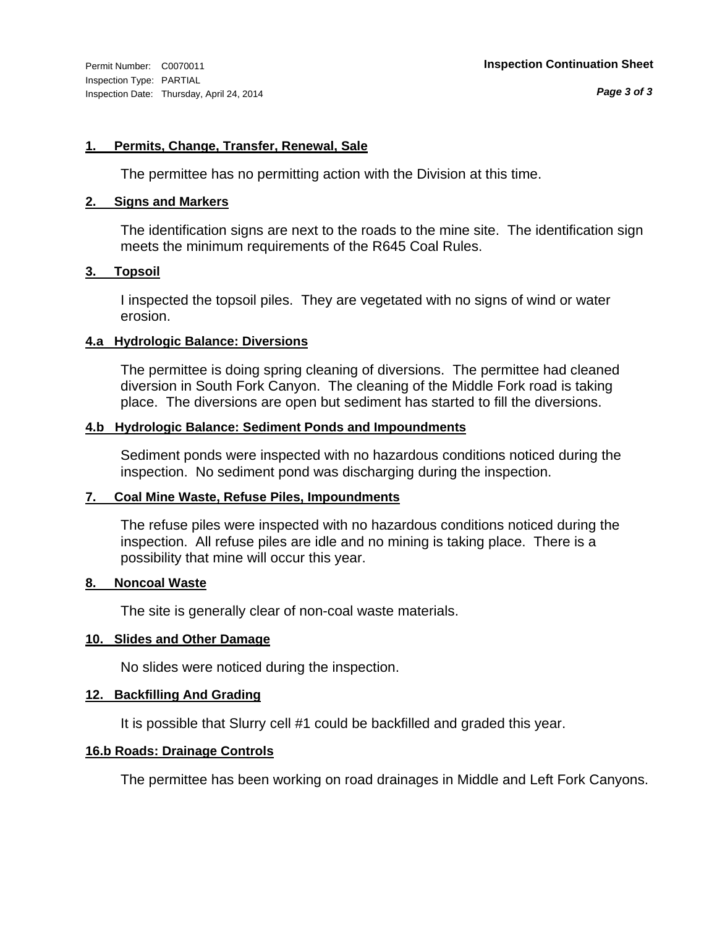#### **1. Permits, Change, Transfer, Renewal, Sale**

The permittee has no permitting action with the Division at this time.

#### **2. Signs and Markers**

The identification signs are next to the roads to the mine site. The identification sign meets the minimum requirements of the R645 Coal Rules.

#### **3. Topsoil**

I inspected the topsoil piles. They are vegetated with no signs of wind or water erosion.

#### **4.a Hydrologic Balance: Diversions**

The permittee is doing spring cleaning of diversions. The permittee had cleaned diversion in South Fork Canyon. The cleaning of the Middle Fork road is taking place. The diversions are open but sediment has started to fill the diversions.

#### **4.b Hydrologic Balance: Sediment Ponds and Impoundments**

Sediment ponds were inspected with no hazardous conditions noticed during the inspection. No sediment pond was discharging during the inspection.

#### **7. Coal Mine Waste, Refuse Piles, Impoundments**

The refuse piles were inspected with no hazardous conditions noticed during the inspection. All refuse piles are idle and no mining is taking place. There is a possibility that mine will occur this year.

#### **8. Noncoal Waste**

The site is generally clear of non-coal waste materials.

#### **10. Slides and Other Damage**

No slides were noticed during the inspection.

#### **12. Backfilling And Grading**

It is possible that Slurry cell #1 could be backfilled and graded this year.

#### **16.b Roads: Drainage Controls**

The permittee has been working on road drainages in Middle and Left Fork Canyons.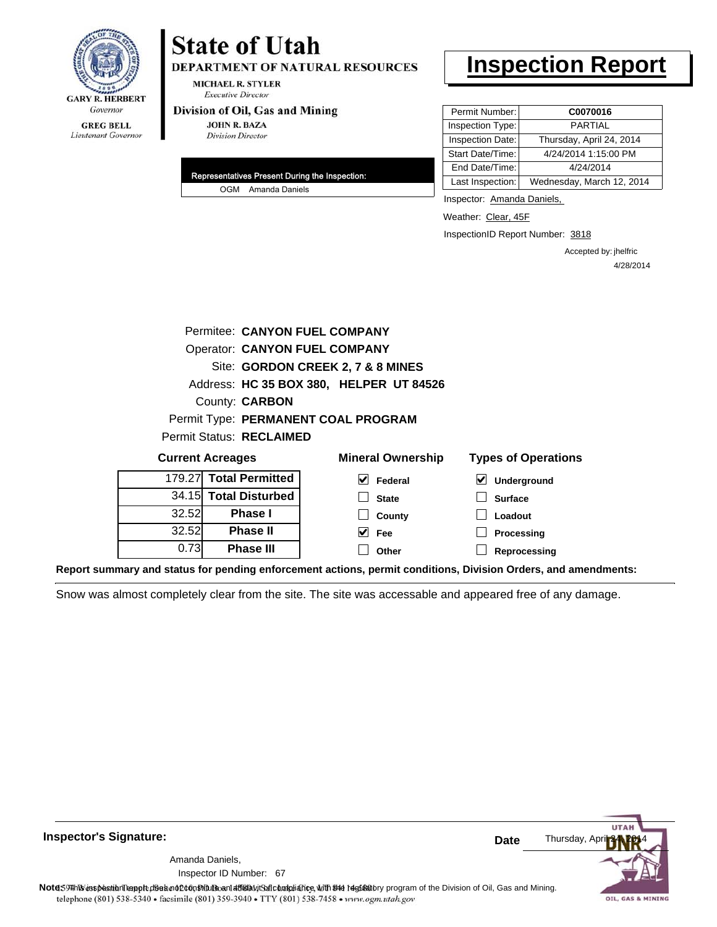

## **State of Utah**

DEPARTMENT OF NATURAL RESOURCES

**MICHAEL R. STYLER Executive Director** 

#### Division of Oil, Gas and Mining

**JOHN R. BAZA Division Director** 

| Representatives Present During the Inspection: |                    |  |
|------------------------------------------------|--------------------|--|
|                                                | OGM Amanda Daniels |  |

### **Inspection Report**

| Permit Number:   | C0070016                  |
|------------------|---------------------------|
| Inspection Type: | <b>PARTIAL</b>            |
| Inspection Date: | Thursday, April 24, 2014  |
| Start Date/Time: | 4/24/2014 1:15:00 PM      |
| End Date/Time:   | 4/24/2014                 |
| Last Inspection: | Wednesday, March 12, 2014 |

Inspector: Amanda Daniels,

Weather: Clear, 45F

InspectionID Report Number: 3818

Accepted by: jhelfric 4/28/2014

|                                         | Permitee: CANYON FUEL COMPANY        |                                     |                            |  |  |  |
|-----------------------------------------|--------------------------------------|-------------------------------------|----------------------------|--|--|--|
|                                         | <b>Operator: CANYON FUEL COMPANY</b> |                                     |                            |  |  |  |
| Site: GORDON CREEK 2, 7 & 8 MINES       |                                      |                                     |                            |  |  |  |
| Address: HC 35 BOX 380, HELPER UT 84526 |                                      |                                     |                            |  |  |  |
|                                         | County: <b>CARBON</b>                |                                     |                            |  |  |  |
|                                         |                                      | Permit Type: PERMANENT COAL PROGRAM |                            |  |  |  |
|                                         | <b>Permit Status: RECLAIMED</b>      |                                     |                            |  |  |  |
|                                         | <b>Current Acreages</b>              | <b>Mineral Ownership</b>            | <b>Types of Operations</b> |  |  |  |
| 179.27                                  | <b>Total Permitted</b>               | $\vert \mathbf{V} \vert$ Federal    | $\vee$ Underground         |  |  |  |
| 34.15                                   | <b>Total Disturbed</b>               | <b>State</b>                        | <b>Surface</b>             |  |  |  |
| 32.52                                   | <b>Phase I</b>                       | County                              | Loadout                    |  |  |  |
| 32.52                                   | <b>Phase II</b>                      | $\vee$ Fee                          | Processing                 |  |  |  |
| 0.73                                    | <b>Phase III</b>                     | Other                               | Reprocessing               |  |  |  |
|                                         | $\sim$ $\sim$ $\sim$                 |                                     |                            |  |  |  |

**Report summary and status for pending enforcement actions, permit conditions, Division Orders, and amendments:**

Snow was almost completely clear from the site. The site was accessable and appeared free of any damage.

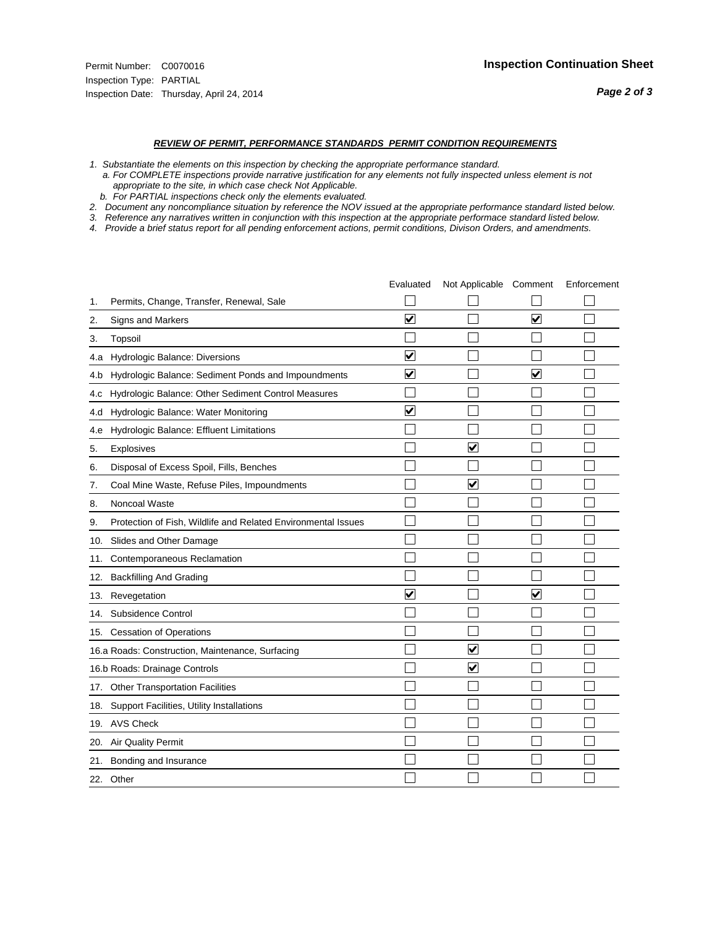#### *REVIEW OF PERMIT, PERFORMANCE STANDARDS PERMIT CONDITION REQUIREMENTS*

*1. Substantiate the elements on this inspection by checking the appropriate performance standard.*

 *a. For COMPLETE inspections provide narrative justification for any elements not fully inspected unless element is not appropriate to the site, in which case check Not Applicable.*

 *b. For PARTIAL inspections check only the elements evaluated.*

*2. Document any noncompliance situation by reference the NOV issued at the appropriate performance standard listed below.*

*3. Reference any narratives written in conjunction with this inspection at the appropriate performace standard listed below.*

|     |                                                               | Evaluated               | Not Applicable Comment  |                         | Enforcement |
|-----|---------------------------------------------------------------|-------------------------|-------------------------|-------------------------|-------------|
| 1.  | Permits, Change, Transfer, Renewal, Sale                      |                         |                         |                         |             |
| 2.  | <b>Signs and Markers</b>                                      | $\overline{\mathbf{v}}$ |                         | $\overline{\mathbf{v}}$ |             |
| 3.  | Topsoil                                                       |                         |                         |                         |             |
| 4.a | Hydrologic Balance: Diversions                                | ⊽                       |                         |                         |             |
| 4.b | Hydrologic Balance: Sediment Ponds and Impoundments           | $\blacktriangledown$    |                         | $\blacktriangledown$    |             |
| 4.C | Hydrologic Balance: Other Sediment Control Measures           |                         |                         |                         |             |
| 4.d | Hydrologic Balance: Water Monitoring                          | $\overline{\mathbf{v}}$ |                         |                         |             |
| 4.e | Hydrologic Balance: Effluent Limitations                      |                         |                         |                         |             |
| 5.  | Explosives                                                    |                         | $\overline{\mathsf{v}}$ |                         |             |
| 6.  | Disposal of Excess Spoil, Fills, Benches                      |                         |                         |                         |             |
| 7.  | Coal Mine Waste, Refuse Piles, Impoundments                   |                         | $\overline{\mathsf{v}}$ |                         |             |
| 8.  | Noncoal Waste                                                 |                         |                         |                         |             |
| 9.  | Protection of Fish, Wildlife and Related Environmental Issues |                         |                         |                         |             |
| 10. | Slides and Other Damage                                       |                         |                         |                         |             |
| 11. | Contemporaneous Reclamation                                   |                         |                         |                         |             |
| 12. | <b>Backfilling And Grading</b>                                |                         |                         |                         |             |
| 13. | Revegetation                                                  | $\overline{\mathbf{v}}$ |                         | $\overline{\mathbf{v}}$ |             |
| 14. | Subsidence Control                                            |                         |                         |                         |             |
|     | 15. Cessation of Operations                                   |                         |                         |                         |             |
|     | 16.a Roads: Construction, Maintenance, Surfacing              |                         | V                       |                         |             |
|     | 16.b Roads: Drainage Controls                                 |                         | V                       |                         |             |
|     | 17. Other Transportation Facilities                           |                         |                         |                         |             |
| 18. | Support Facilities, Utility Installations                     |                         |                         |                         |             |
|     | 19. AVS Check                                                 |                         |                         |                         |             |
| 20. | Air Quality Permit                                            |                         |                         |                         |             |
|     | 21. Bonding and Insurance                                     |                         |                         |                         |             |
|     | 22. Other                                                     |                         |                         |                         |             |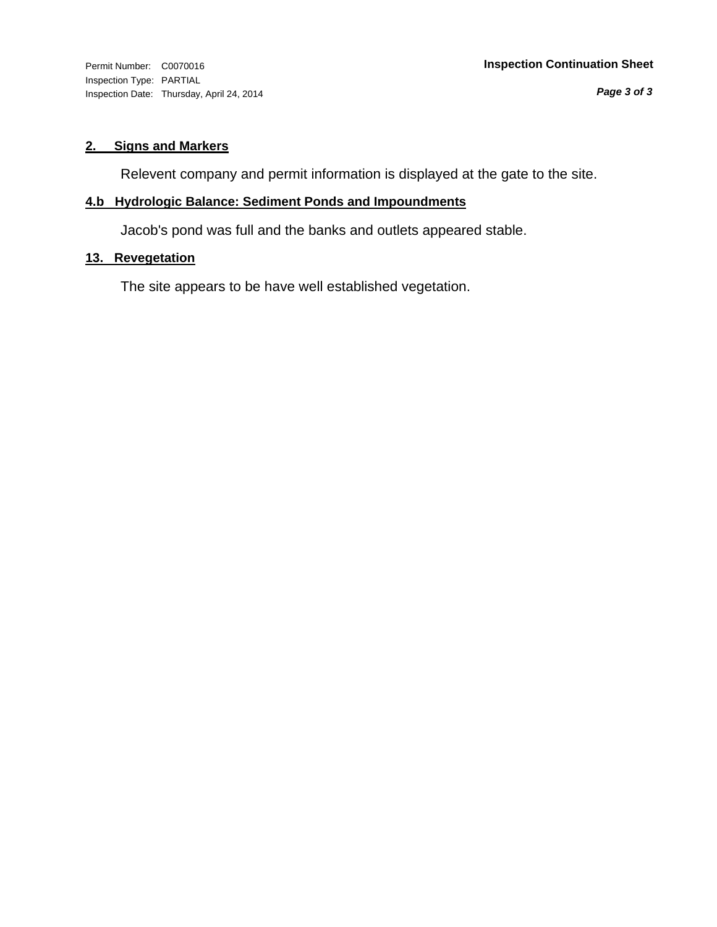Inspection Type: PARTIAL Inspection Date: Thursday, April 24, 2014

#### **2. Signs and Markers**

Relevent company and permit information is displayed at the gate to the site.

#### **4.b Hydrologic Balance: Sediment Ponds and Impoundments**

Jacob's pond was full and the banks and outlets appeared stable.

### **13. Revegetation**

The site appears to be have well established vegetation.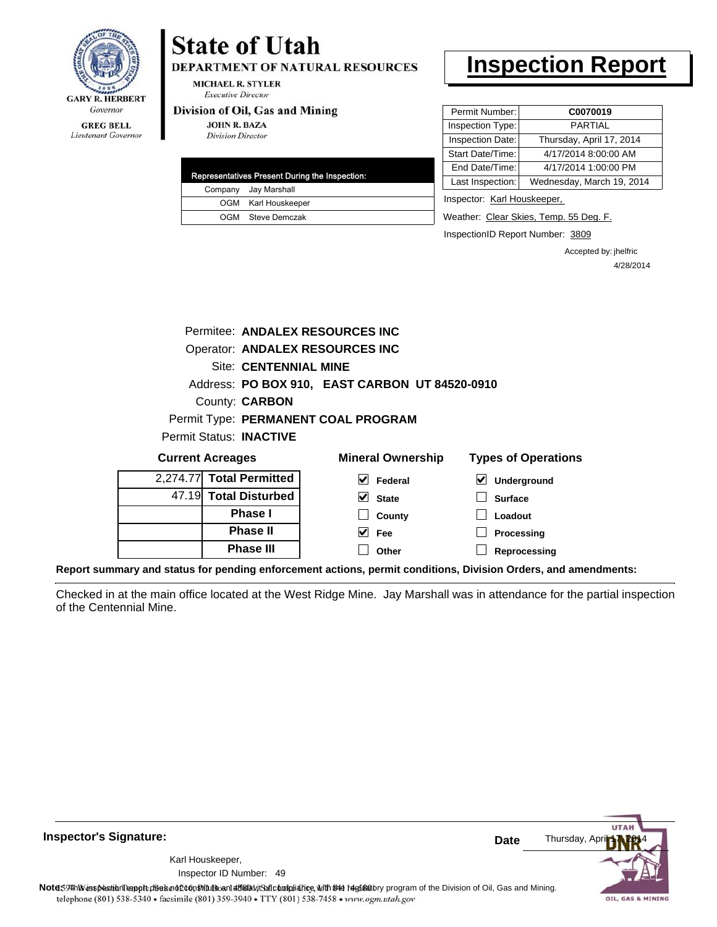

### Lieutenant Governor

# **State of Utah**

**DEPARTMENT OF NATURAL RESOURCES** 

**MICHAEL R. STYLER Executive Director** 

#### Division of Oil, Gas and Mining

**JOHN R. BAZA Division Director** 

| Representatives Present During the Inspection: |
|------------------------------------------------|
| Company Jay Marshall                           |
| OGM Karl Houskeeper                            |
| OGM Steve Demczak                              |
|                                                |

### **Inspection Report**

| Permit Number:   | C0070019                  |
|------------------|---------------------------|
| Inspection Type: | PARTIAI                   |
| Inspection Date: | Thursday, April 17, 2014  |
| Start Date/Time: | 4/17/2014 8:00:00 AM      |
| End Date/Time:   | 4/17/2014 1:00:00 PM      |
| Last Inspection: | Wednesday, March 19, 2014 |
|                  |                           |

Inspector: Karl Houskeeper,

Weather: Clear Skies, Temp. 55 Deg. F.

InspectionID Report Number: 3809

Accepted by: jhelfric 4/28/2014

| <b>Current Acreages</b>        |                              | <b>Mineral Ownership</b>                       | Types of Ope |
|--------------------------------|------------------------------|------------------------------------------------|--------------|
| <b>Permit Status: INACTIVE</b> |                              |                                                |              |
|                                |                              | Permit Type: PERMANENT COAL PROGRAM            |              |
|                                | County: <b>CARBON</b>        |                                                |              |
|                                |                              | Address: PO BOX 910, EAST CARBON UT 84520-0910 |              |
|                                | <b>Site: CENTENNIAL MINE</b> |                                                |              |
|                                |                              | Operator: ANDALEX RESOURCES INC                |              |
|                                |                              | Permitee: ANDALEX RESOURCES INC                |              |
|                                |                              |                                                |              |

| <b>Current Acreages</b> |                          | <b>Mineral Ownership</b> | <b>Types of Operations</b> |
|-------------------------|--------------------------|--------------------------|----------------------------|
|                         | 2,274.77 Total Permitted | V<br>Federal             | V<br>Underground           |
|                         | 47.19 Total Disturbed    | $\vee$ State             | <b>Surface</b>             |
|                         | <b>Phase I</b>           | County                   | Loadout                    |
|                         | <b>Phase II</b>          | $\vee$ Fee               | Processing                 |
|                         | <b>Phase III</b>         | Other                    | Reprocessing               |
|                         |                          |                          |                            |

**Report summary and status for pending enforcement actions, permit conditions, Division Orders, and amendments:**

Checked in at the main office located at the West Ridge Mine. Jay Marshall was in attendance for the partial inspection of the Centennial Mine.



**Inspector's Signature:**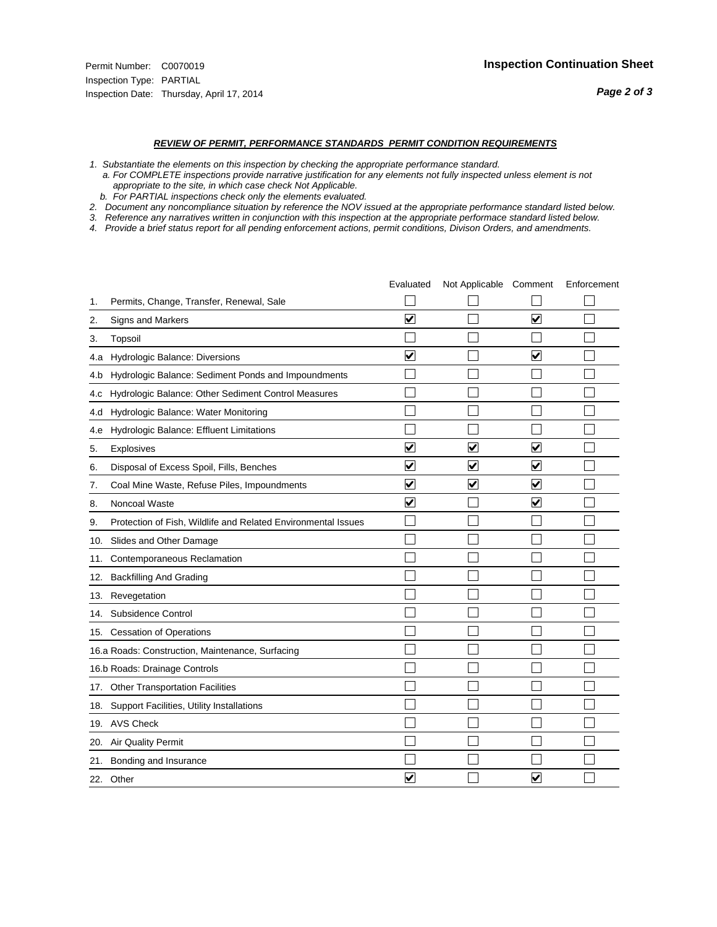#### *REVIEW OF PERMIT, PERFORMANCE STANDARDS PERMIT CONDITION REQUIREMENTS*

*1. Substantiate the elements on this inspection by checking the appropriate performance standard.*

 *a. For COMPLETE inspections provide narrative justification for any elements not fully inspected unless element is not appropriate to the site, in which case check Not Applicable.*

 *b. For PARTIAL inspections check only the elements evaluated.*

*2. Document any noncompliance situation by reference the NOV issued at the appropriate performance standard listed below.*

*3. Reference any narratives written in conjunction with this inspection at the appropriate performace standard listed below.*

|     |                                                               | Evaluated               | Not Applicable Comment |                         | Enforcement |
|-----|---------------------------------------------------------------|-------------------------|------------------------|-------------------------|-------------|
| 1.  | Permits, Change, Transfer, Renewal, Sale                      |                         |                        |                         |             |
| 2.  | <b>Signs and Markers</b>                                      | $\overline{\mathsf{v}}$ |                        | $\overline{\mathbf{v}}$ |             |
| 3.  | Topsoil                                                       |                         |                        |                         |             |
| 4.a | Hydrologic Balance: Diversions                                | V                       |                        | $\overline{\mathbf{v}}$ |             |
| 4.b | Hydrologic Balance: Sediment Ponds and Impoundments           |                         |                        |                         |             |
| 4.C | Hydrologic Balance: Other Sediment Control Measures           |                         |                        |                         |             |
| 4.d | Hydrologic Balance: Water Monitoring                          |                         |                        |                         |             |
| 4.e | Hydrologic Balance: Effluent Limitations                      |                         |                        |                         |             |
| 5.  | Explosives                                                    | $\overline{\mathbf{v}}$ | $\blacktriangledown$   | $\overline{\mathbf{v}}$ |             |
| 6.  | Disposal of Excess Spoil, Fills, Benches                      | $\blacktriangledown$    | $\vert\!\sqrt{2}\vert$ | $\blacktriangledown$    |             |
| 7.  | Coal Mine Waste, Refuse Piles, Impoundments                   | $\overline{\mathbf{v}}$ | $\blacktriangledown$   | $\overline{\mathbf{v}}$ |             |
| 8.  | Noncoal Waste                                                 | $\overline{\mathsf{v}}$ |                        | $\overline{\mathbf{v}}$ |             |
| 9.  | Protection of Fish, Wildlife and Related Environmental Issues |                         |                        |                         |             |
|     | 10. Slides and Other Damage                                   |                         |                        |                         |             |
| 11. | Contemporaneous Reclamation                                   |                         |                        |                         |             |
| 12. | <b>Backfilling And Grading</b>                                |                         |                        |                         |             |
| 13. | Revegetation                                                  |                         |                        |                         |             |
| 14. | Subsidence Control                                            |                         |                        |                         |             |
|     | 15. Cessation of Operations                                   |                         |                        |                         |             |
|     | 16.a Roads: Construction, Maintenance, Surfacing              |                         |                        |                         |             |
|     | 16.b Roads: Drainage Controls                                 |                         |                        |                         |             |
|     | 17. Other Transportation Facilities                           |                         |                        |                         |             |
| 18. | Support Facilities, Utility Installations                     |                         |                        |                         |             |
|     | 19. AVS Check                                                 |                         |                        |                         |             |
| 20. | Air Quality Permit                                            |                         |                        |                         |             |
| 21. | Bonding and Insurance                                         |                         |                        |                         |             |
|     | 22. Other                                                     | V                       |                        | $\overline{\mathbf{v}}$ |             |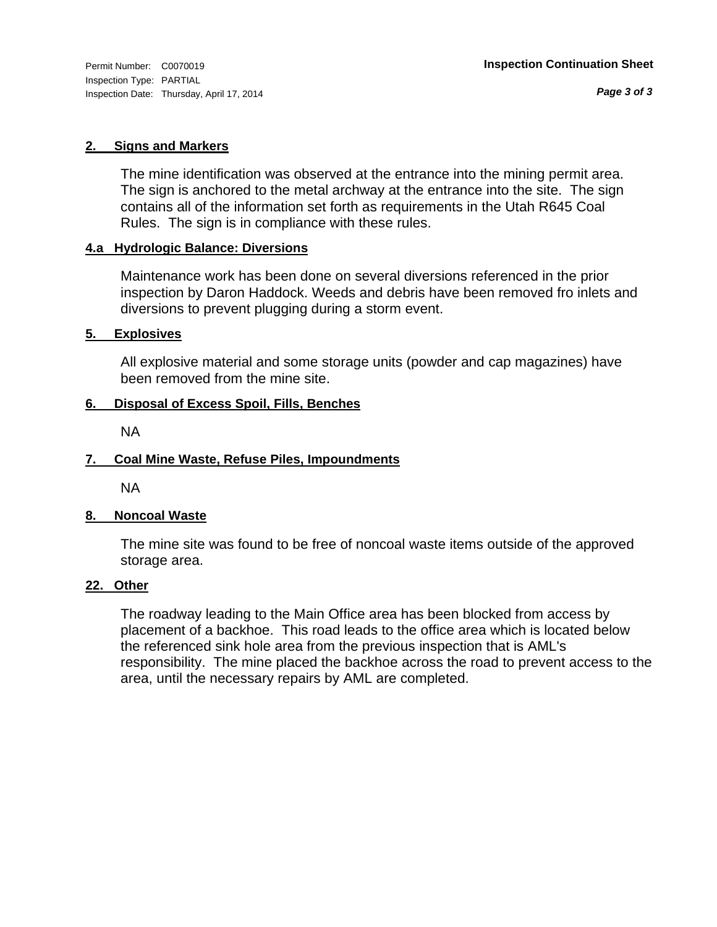Inspection Type: PARTIAL Inspection Date: Thursday, April 17, 2014

*Page 3 of 3*

#### **2. Signs and Markers**

The mine identification was observed at the entrance into the mining permit area. The sign is anchored to the metal archway at the entrance into the site. The sign contains all of the information set forth as requirements in the Utah R645 Coal Rules. The sign is in compliance with these rules.

#### **4.a Hydrologic Balance: Diversions**

Maintenance work has been done on several diversions referenced in the prior inspection by Daron Haddock. Weeds and debris have been removed fro inlets and diversions to prevent plugging during a storm event.

#### **5. Explosives**

All explosive material and some storage units (powder and cap magazines) have been removed from the mine site.

#### **6. Disposal of Excess Spoil, Fills, Benches**

NA

#### **7. Coal Mine Waste, Refuse Piles, Impoundments**

NA

#### **8. Noncoal Waste**

The mine site was found to be free of noncoal waste items outside of the approved storage area.

#### **22. Other**

The roadway leading to the Main Office area has been blocked from access by placement of a backhoe. This road leads to the office area which is located below the referenced sink hole area from the previous inspection that is AML's responsibility. The mine placed the backhoe across the road to prevent access to the area, until the necessary repairs by AML are completed.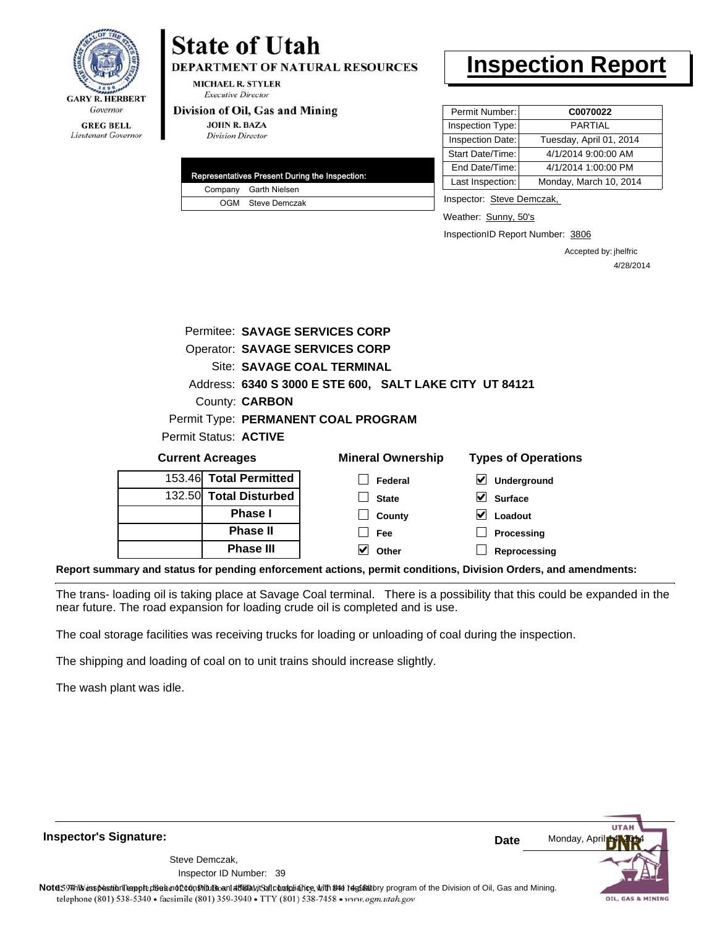

## **State of Utah**

**DEPARTMENT OF NATURAL RESOURCES** 

**MICHAEL R. STYLER Executive Director** 

#### Division of Oil, Gas and Mining

**JOHN R. BAZA Division Director** 

|                       | Representatives Present During the Inspection: |
|-----------------------|------------------------------------------------|
| Company Garth Nielsen |                                                |
|                       | OGM Steve Demczak                              |

### **Inspection Report**

| Permit Number:   | C0070022                |
|------------------|-------------------------|
| Inspection Type: | <b>PARTIAL</b>          |
| Inspection Date: | Tuesday, April 01, 2014 |
| Start Date/Time: | 4/1/2014 9:00:00 AM     |
| End Date/Time:   | 4/1/2014 1:00:00 PM     |
| Last Inspection: | Monday, March 10, 2014  |

Inspector: Steve Demczak,

Weather: Sunny, 50's

InspectionID Report Number: 3806

**Reprocessing**

Accepted by: jhelfric 4/28/2014

|                            | Permitee: SAVAGE SERVICES CORP |                                                         |                                            |  |  |
|----------------------------|--------------------------------|---------------------------------------------------------|--------------------------------------------|--|--|
|                            | Operator: SAVAGE SERVICES CORP |                                                         |                                            |  |  |
| Site: SAVAGE COAL TERMINAL |                                |                                                         |                                            |  |  |
|                            |                                | Address: 6340 S 3000 E STE 600, SALT LAKE CITY UT 84121 |                                            |  |  |
|                            | County: <b>CARBON</b>          |                                                         |                                            |  |  |
|                            |                                | Permit Type: PERMANENT COAL PROGRAM                     |                                            |  |  |
|                            | Permit Status: ACTIVE          |                                                         |                                            |  |  |
|                            | <b>Current Acreages</b>        | <b>Mineral Ownership</b>                                | <b>Types of Operations</b>                 |  |  |
|                            | 153.46 Total Permitted         | Federal                                                 | $\vert\bm{\checkmark}\vert$<br>Underground |  |  |
|                            | 132.50 Total Disturbed         | <b>State</b>                                            | <b>Surface</b>                             |  |  |
|                            | <b>Phase I</b>                 | County                                                  | Loadout                                    |  |  |
|                            | <b>Phase II</b>                | Fee                                                     | Processing                                 |  |  |

**Report summary and status for pending enforcement actions, permit conditions, Division Orders, and amendments:**

The trans- loading oil is taking place at Savage Coal terminal. There is a possibility that this could be expanded in the near future. The road expansion for loading crude oil is completed and is use.

**Other**

The coal storage facilities was receiving trucks for loading or unloading of coal during the inspection.

The shipping and loading of coal on to unit trains should increase slightly.

**Phase III**

The wash plant was idle.

**Inspector's Signature:**

Inspector ID Number: 39 Steve Demczak,



OIL, GAS & MINING

Note59#h% inspection reppt does not constitute an affidavit of compliance, with the regulatory program of the Division of Oil, Gas and Mining. telephone (801) 538-5340 · facsimile (801) 359-3940 · TTY (801) 538-7458 · www.ogm.utah.gov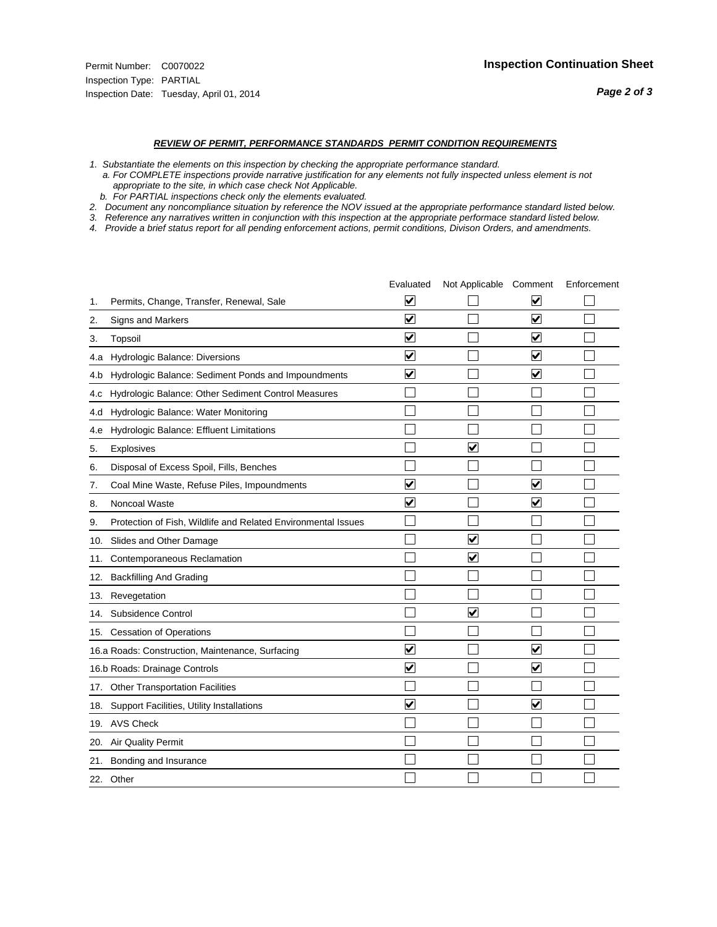#### *REVIEW OF PERMIT, PERFORMANCE STANDARDS PERMIT CONDITION REQUIREMENTS*

*1. Substantiate the elements on this inspection by checking the appropriate performance standard.*

 *a. For COMPLETE inspections provide narrative justification for any elements not fully inspected unless element is not appropriate to the site, in which case check Not Applicable.*

 *b. For PARTIAL inspections check only the elements evaluated.*

*2. Document any noncompliance situation by reference the NOV issued at the appropriate performance standard listed below.*

*3. Reference any narratives written in conjunction with this inspection at the appropriate performace standard listed below.*

|     |                                                               | Evaluated               | Not Applicable Comment  |                         | Enforcement |
|-----|---------------------------------------------------------------|-------------------------|-------------------------|-------------------------|-------------|
| 1.  | Permits, Change, Transfer, Renewal, Sale                      | ⊻                       |                         | V                       |             |
| 2.  | <b>Signs and Markers</b>                                      | $\overline{\mathbf{v}}$ |                         | $\blacktriangledown$    |             |
| 3.  | Topsoil                                                       | $\overline{\mathbf{v}}$ |                         | $\overline{\mathbf{v}}$ |             |
| 4.a | Hydrologic Balance: Diversions                                | ⊽                       |                         | $\overline{\mathbf{v}}$ |             |
| 4.b | Hydrologic Balance: Sediment Ponds and Impoundments           | $\blacktriangledown$    |                         | ⊻                       |             |
| 4.C | Hydrologic Balance: Other Sediment Control Measures           |                         |                         |                         |             |
| 4.d | Hydrologic Balance: Water Monitoring                          |                         |                         |                         |             |
| 4.e | Hydrologic Balance: Effluent Limitations                      |                         |                         |                         |             |
| 5.  | Explosives                                                    |                         | $\overline{\mathbf{v}}$ |                         |             |
| 6.  | Disposal of Excess Spoil, Fills, Benches                      |                         |                         |                         |             |
| 7.  | Coal Mine Waste, Refuse Piles, Impoundments                   | $\overline{\mathbf{v}}$ |                         | $\overline{\mathbf{v}}$ |             |
| 8.  | Noncoal Waste                                                 | $\overline{\mathbf{v}}$ |                         | $\blacktriangledown$    |             |
| 9.  | Protection of Fish, Wildlife and Related Environmental Issues |                         |                         |                         |             |
| 10. | Slides and Other Damage                                       |                         | ⊽                       |                         |             |
| 11. | Contemporaneous Reclamation                                   |                         | ☑                       |                         |             |
| 12. | <b>Backfilling And Grading</b>                                |                         |                         |                         |             |
| 13. | Revegetation                                                  |                         |                         |                         |             |
| 14. | Subsidence Control                                            |                         | $\overline{\mathbf{v}}$ |                         |             |
|     | 15. Cessation of Operations                                   |                         |                         |                         |             |
|     | 16.a Roads: Construction, Maintenance, Surfacing              | $\blacktriangledown$    |                         | $\blacktriangledown$    |             |
|     | 16.b Roads: Drainage Controls                                 | ⊽                       |                         | V                       |             |
|     | 17. Other Transportation Facilities                           |                         |                         |                         |             |
| 18. | Support Facilities, Utility Installations                     | $\overline{\mathbf{v}}$ |                         | $\overline{\mathbf{v}}$ |             |
|     | 19. AVS Check                                                 |                         |                         |                         |             |
| 20. | Air Quality Permit                                            |                         |                         |                         |             |
| 21. | Bonding and Insurance                                         |                         |                         |                         |             |
|     | 22. Other                                                     |                         |                         |                         |             |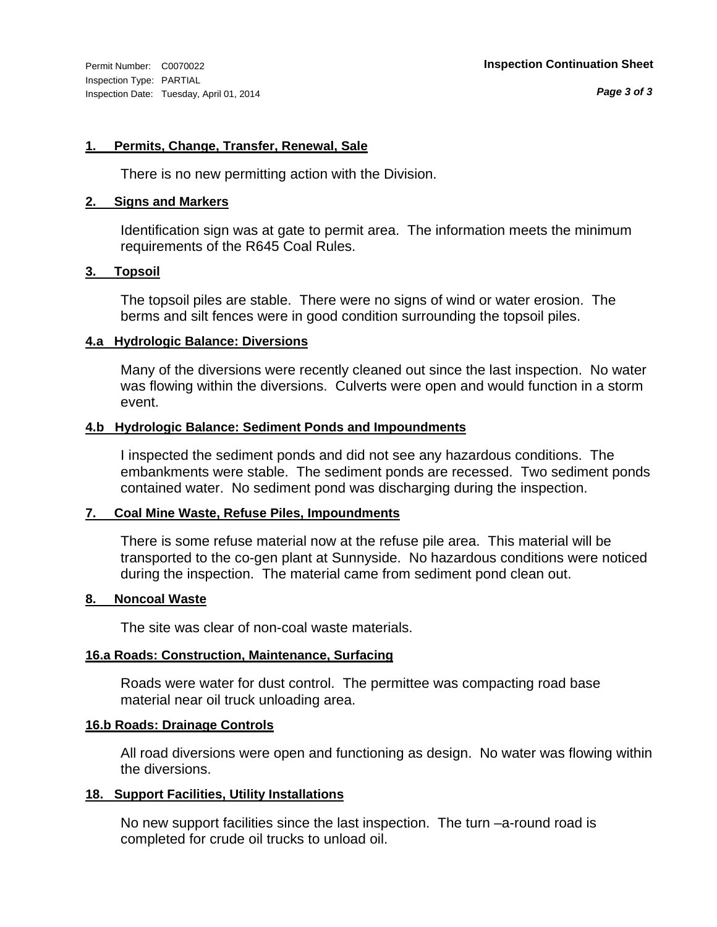#### **1. Permits, Change, Transfer, Renewal, Sale**

There is no new permitting action with the Division.

#### **2. Signs and Markers**

Identification sign was at gate to permit area. The information meets the minimum requirements of the R645 Coal Rules.

#### **3. Topsoil**

The topsoil piles are stable. There were no signs of wind or water erosion. The berms and silt fences were in good condition surrounding the topsoil piles.

#### **4.a Hydrologic Balance: Diversions**

Many of the diversions were recently cleaned out since the last inspection. No water was flowing within the diversions. Culverts were open and would function in a storm event.

#### **4.b Hydrologic Balance: Sediment Ponds and Impoundments**

I inspected the sediment ponds and did not see any hazardous conditions. The embankments were stable. The sediment ponds are recessed. Two sediment ponds contained water. No sediment pond was discharging during the inspection.

#### **7. Coal Mine Waste, Refuse Piles, Impoundments**

There is some refuse material now at the refuse pile area. This material will be transported to the co-gen plant at Sunnyside. No hazardous conditions were noticed during the inspection. The material came from sediment pond clean out.

#### **8. Noncoal Waste**

The site was clear of non-coal waste materials.

#### **16.a Roads: Construction, Maintenance, Surfacing**

Roads were water for dust control. The permittee was compacting road base material near oil truck unloading area.

#### **16.b Roads: Drainage Controls**

All road diversions were open and functioning as design. No water was flowing within the diversions.

#### **18. Support Facilities, Utility Installations**

No new support facilities since the last inspection. The turn –a-round road is completed for crude oil trucks to unload oil.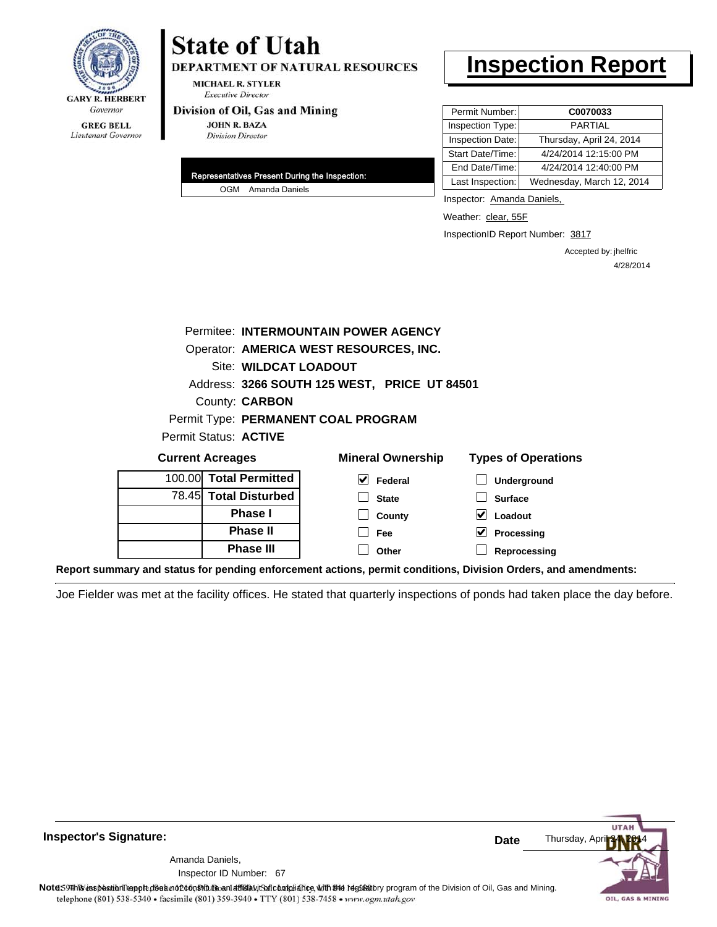

# **State of Utah**

DEPARTMENT OF NATURAL RESOURCES

**MICHAEL R. STYLER Executive Director** 

#### Division of Oil, Gas and Mining

**JOHN R. BAZA Division Director** 

| Representatives Present During the Inspection: |                    |  |  |
|------------------------------------------------|--------------------|--|--|
|                                                | OGM Amanda Daniels |  |  |

### **Inspection Report**

| Permit Number:   | C0070033                  |
|------------------|---------------------------|
| Inspection Type: | PARTIAI                   |
| Inspection Date: | Thursday, April 24, 2014  |
| Start Date/Time: | 4/24/2014 12:15:00 PM     |
| End Date/Time:   | 4/24/2014 12:40:00 PM     |
| Last Inspection: | Wednesday, March 12, 2014 |

Inspector: Amanda Daniels,

Weather: clear, 55F

InspectionID Report Number: 3817

Accepted by: jhelfric 4/28/2014

|        |                         | Permitee: INTERMOUNTAIN POWER AGENCY         |                                  |  |  |  |
|--------|-------------------------|----------------------------------------------|----------------------------------|--|--|--|
|        |                         | Operator: AMERICA WEST RESOURCES, INC.       |                                  |  |  |  |
|        | Site: WILDCAT LOADOUT   |                                              |                                  |  |  |  |
|        |                         | Address: 3266 SOUTH 125 WEST, PRICE UT 84501 |                                  |  |  |  |
|        | County: <b>CARBON</b>   |                                              |                                  |  |  |  |
|        |                         | Permit Type: PERMANENT COAL PROGRAM          |                                  |  |  |  |
|        | Permit Status: ACTIVE   |                                              |                                  |  |  |  |
|        | <b>Current Acreages</b> | <b>Mineral Ownership</b>                     | <b>Types of Operations</b>       |  |  |  |
| 100.00 | <b>Total Permitted</b>  | V<br>Federal                                 | <b>Underground</b>               |  |  |  |
| 78.45  | <b>Total Disturbed</b>  | <b>State</b>                                 | <b>Surface</b>                   |  |  |  |
|        | <b>Phase I</b>          | County                                       | $\vert \mathbf{V} \vert$ Loadout |  |  |  |
|        | <b>Phase II</b>         | <b>Fee</b>                                   | M<br>Processing                  |  |  |  |
|        | <b>Phase III</b>        | Other                                        | Reprocessing                     |  |  |  |
|        |                         |                                              |                                  |  |  |  |

**Report summary and status for pending enforcement actions, permit conditions, Division Orders, and amendments:**

Joe Fielder was met at the facility offices. He stated that quarterly inspections of ponds had taken place the day before.

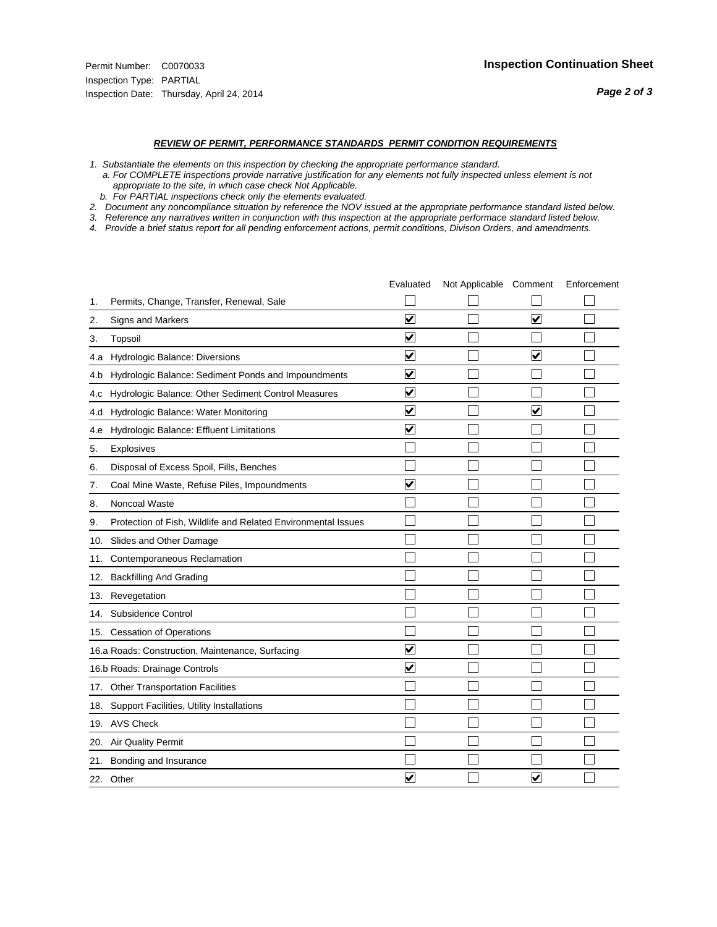#### *REVIEW OF PERMIT, PERFORMANCE STANDARDS PERMIT CONDITION REQUIREMENTS*

*1. Substantiate the elements on this inspection by checking the appropriate performance standard.*

 *a. For COMPLETE inspections provide narrative justification for any elements not fully inspected unless element is not appropriate to the site, in which case check Not Applicable.*

 *b. For PARTIAL inspections check only the elements evaluated.*

*2. Document any noncompliance situation by reference the NOV issued at the appropriate performance standard listed below.*

*3. Reference any narratives written in conjunction with this inspection at the appropriate performace standard listed below.*

|     |                                                               | Evaluated               | Not Applicable Comment |                         | Enforcement |
|-----|---------------------------------------------------------------|-------------------------|------------------------|-------------------------|-------------|
| 1.  | Permits, Change, Transfer, Renewal, Sale                      |                         |                        |                         |             |
| 2.  | Signs and Markers                                             | $\overline{\mathsf{v}}$ |                        | $\overline{\mathbf{v}}$ |             |
| 3.  | Topsoil                                                       | $\overline{\mathbf{v}}$ |                        |                         |             |
| 4.a | Hydrologic Balance: Diversions                                | ⊻                       |                        | $\checkmark$            |             |
| 4.b | Hydrologic Balance: Sediment Ponds and Impoundments           | ⊻                       |                        |                         |             |
| 4.c | Hydrologic Balance: Other Sediment Control Measures           | V                       |                        |                         |             |
| 4.d | Hydrologic Balance: Water Monitoring                          | $\overline{\mathsf{v}}$ |                        | $\overline{\mathbf{v}}$ |             |
| 4.e | Hydrologic Balance: Effluent Limitations                      | $\overline{\mathbf{v}}$ |                        |                         |             |
| 5.  | <b>Explosives</b>                                             |                         |                        |                         |             |
| 6.  | Disposal of Excess Spoil, Fills, Benches                      |                         |                        |                         |             |
| 7.  | Coal Mine Waste, Refuse Piles, Impoundments                   | $\overline{\mathbf{v}}$ |                        |                         |             |
| 8.  | Noncoal Waste                                                 |                         |                        |                         |             |
| 9.  | Protection of Fish, Wildlife and Related Environmental Issues |                         |                        |                         |             |
| 10. | Slides and Other Damage                                       |                         |                        |                         |             |
| 11. | Contemporaneous Reclamation                                   |                         |                        |                         |             |
| 12. | <b>Backfilling And Grading</b>                                |                         |                        |                         |             |
| 13. | Revegetation                                                  |                         |                        |                         |             |
| 14. | Subsidence Control                                            |                         |                        |                         |             |
|     | 15. Cessation of Operations                                   |                         |                        |                         |             |
|     | 16.a Roads: Construction, Maintenance, Surfacing              | ⊽                       |                        |                         |             |
|     | 16.b Roads: Drainage Controls                                 | $\overline{\mathbf{v}}$ |                        |                         |             |
|     | 17. Other Transportation Facilities                           |                         |                        |                         |             |
| 18. | Support Facilities, Utility Installations                     |                         |                        |                         |             |
|     | 19. AVS Check                                                 |                         |                        |                         |             |
|     | 20. Air Quality Permit                                        |                         |                        |                         |             |
|     | 21. Bonding and Insurance                                     |                         |                        |                         |             |
|     | 22. Other                                                     | V                       |                        | $\overline{\mathbf{v}}$ |             |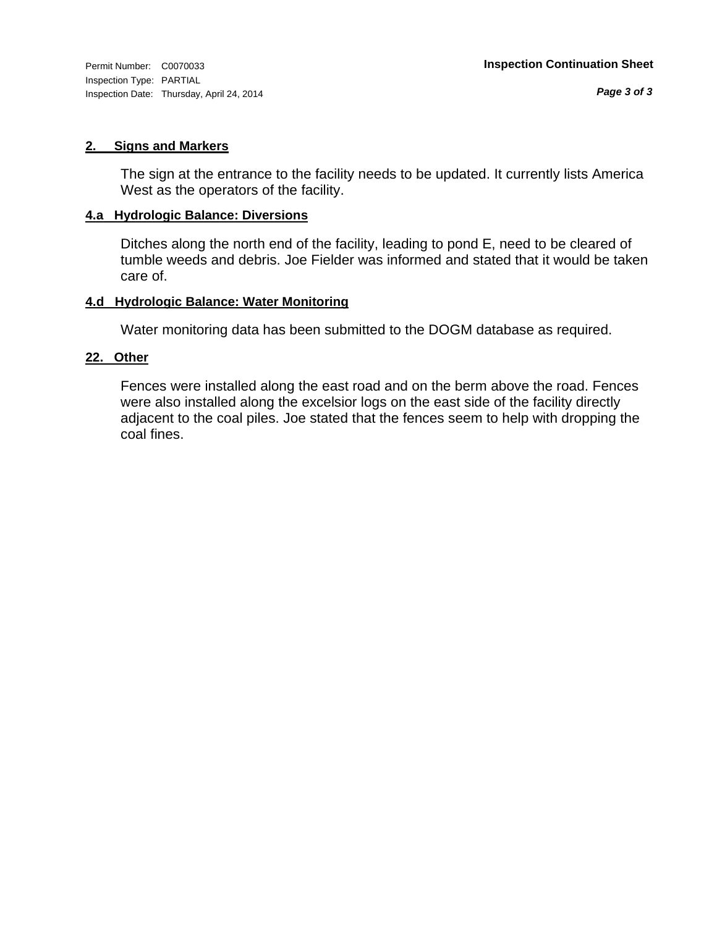Inspection Type: PARTIAL Inspection Date: Thursday, April 24, 2014

#### **2. Signs and Markers**

The sign at the entrance to the facility needs to be updated. It currently lists America West as the operators of the facility.

#### **4.a Hydrologic Balance: Diversions**

Ditches along the north end of the facility, leading to pond E, need to be cleared of tumble weeds and debris. Joe Fielder was informed and stated that it would be taken care of.

#### **4.d Hydrologic Balance: Water Monitoring**

Water monitoring data has been submitted to the DOGM database as required.

#### **22. Other**

Fences were installed along the east road and on the berm above the road. Fences were also installed along the excelsior logs on the east side of the facility directly adjacent to the coal piles. Joe stated that the fences seem to help with dropping the coal fines.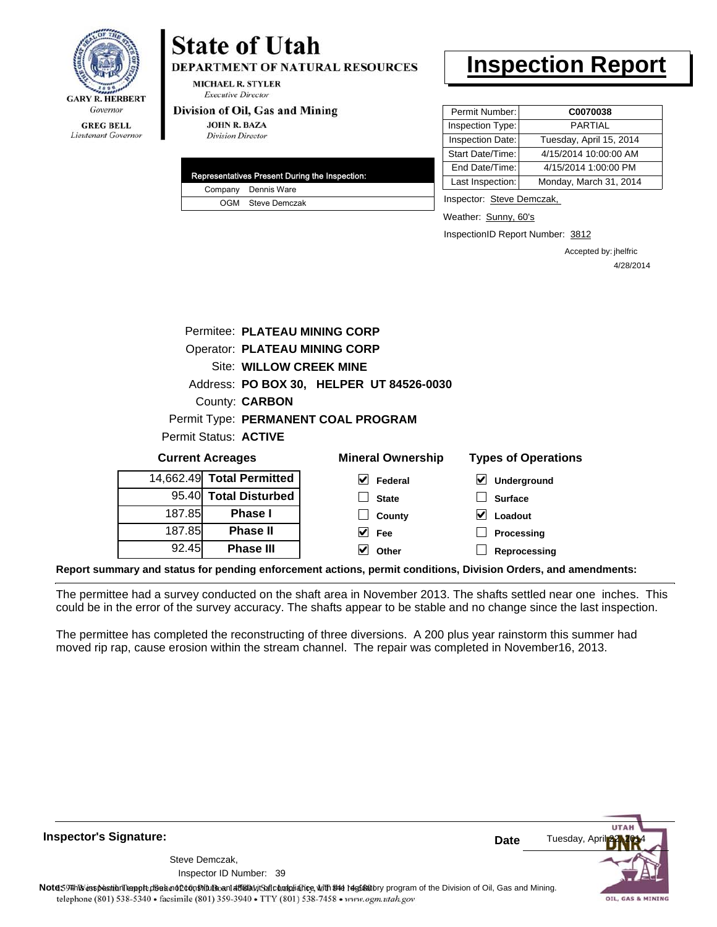

## **State of Utah**

**DEPARTMENT OF NATURAL RESOURCES** 

**MICHAEL R. STYLER Executive Director** 

#### Division of Oil, Gas and Mining

**JOHN R. BAZA Division Director** 

| Representatives Present During the Inspection: |
|------------------------------------------------|
| Company Dennis Ware                            |
| OGM Steve Demczak                              |

## **Inspection Report**

| Permit Number:          | C0070038                |
|-------------------------|-------------------------|
| Inspection Type:        | PARTIAI                 |
| <b>Inspection Date:</b> | Tuesday, April 15, 2014 |
| Start Date/Time:        | 4/15/2014 10:00:00 AM   |
| End Date/Time:          | 4/15/2014 1:00:00 PM    |
| Last Inspection:        | Monday, March 31, 2014  |

Inspector: Steve Demczak,

Weather: Sunny, 60's

InspectionID Report Number: 3812

Accepted by: jhelfric 4/28/2014

|        | Permitee: PLATEAU MINING CORP        |                                          |                                     |
|--------|--------------------------------------|------------------------------------------|-------------------------------------|
|        | <b>Operator: PLATEAU MINING CORP</b> |                                          |                                     |
|        | Site: WILLOW CREEK MINE              |                                          |                                     |
|        |                                      | Address: PO BOX 30, HELPER UT 84526-0030 |                                     |
|        | County: <b>CARBON</b>                |                                          |                                     |
|        |                                      | Permit Type: PERMANENT COAL PROGRAM      |                                     |
|        | Permit Status: ACTIVE                |                                          |                                     |
|        | <b>Current Acreages</b>              | <b>Mineral Ownership</b>                 | <b>Types of Operations</b>          |
|        | 14,662.49 Total Permitted            | $\vert \mathbf{v} \vert$ Federal         | $\blacktriangledown$<br>Underground |
|        | 95.40 Total Disturbed                | <b>State</b>                             | <b>Surface</b>                      |
| 187.85 | Phase I                              | County                                   | V<br>Loadout                        |
| 187.85 | <b>Phase II</b>                      | $\vee$ Fee                               | <b>Processing</b>                   |
| 92.45  | <b>Phase III</b>                     | Other                                    | Reprocessing                        |
|        |                                      |                                          |                                     |

**Report summary and status for pending enforcement actions, permit conditions, Division Orders, and amendments:**

The permittee had a survey conducted on the shaft area in November 2013. The shafts settled near one inches. This could be in the error of the survey accuracy. The shafts appear to be stable and no change since the last inspection.

The permittee has completed the reconstructing of three diversions. A 200 plus year rainstorm this summer had moved rip rap, cause erosion within the stream channel. The repair was completed in November16, 2013.

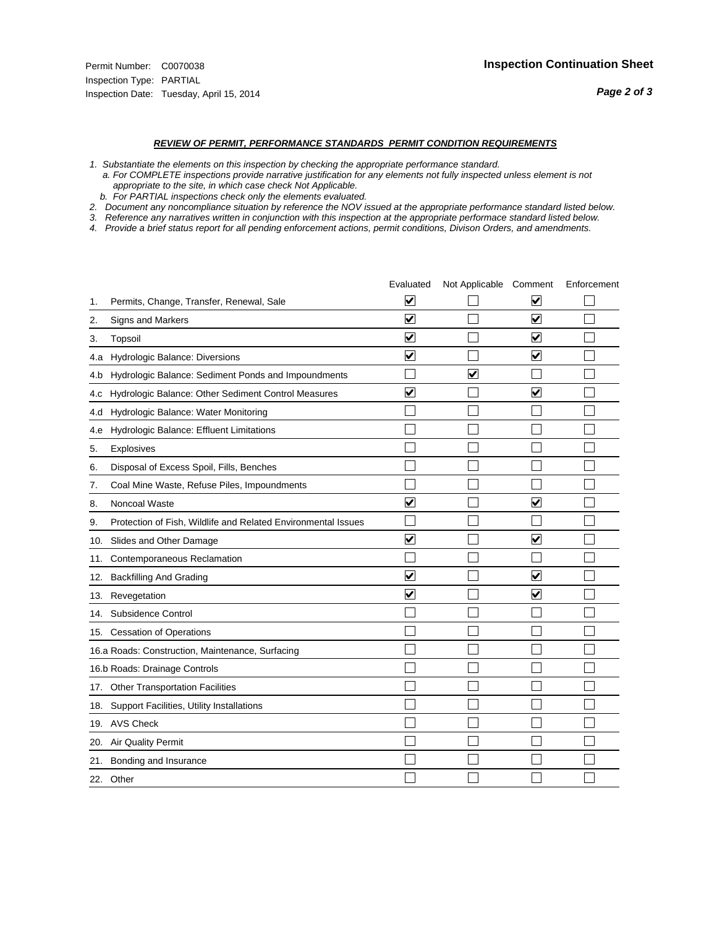#### *REVIEW OF PERMIT, PERFORMANCE STANDARDS PERMIT CONDITION REQUIREMENTS*

*1. Substantiate the elements on this inspection by checking the appropriate performance standard.*

 *a. For COMPLETE inspections provide narrative justification for any elements not fully inspected unless element is not appropriate to the site, in which case check Not Applicable.*

 *b. For PARTIAL inspections check only the elements evaluated.*

*2. Document any noncompliance situation by reference the NOV issued at the appropriate performance standard listed below.*

*3. Reference any narratives written in conjunction with this inspection at the appropriate performace standard listed below.*

|     |                                                               | Evaluated               | Not Applicable Comment |                         | Enforcement |
|-----|---------------------------------------------------------------|-------------------------|------------------------|-------------------------|-------------|
| 1.  | Permits, Change, Transfer, Renewal, Sale                      | $\overline{\mathbf{v}}$ |                        | V                       |             |
| 2.  | Signs and Markers                                             | $\overline{\mathbf{v}}$ |                        | $\blacktriangledown$    |             |
| 3.  | Topsoil                                                       | $\overline{\mathbf{v}}$ |                        | $\overline{\mathsf{v}}$ |             |
| 4.a | Hydrologic Balance: Diversions                                | $\blacktriangledown$    |                        | $\blacktriangledown$    |             |
| 4.b | Hydrologic Balance: Sediment Ponds and Impoundments           |                         | V                      |                         |             |
| 4.c | Hydrologic Balance: Other Sediment Control Measures           | $\overline{\mathbf{v}}$ |                        | $\blacktriangledown$    |             |
| 4.d | Hydrologic Balance: Water Monitoring                          |                         |                        |                         |             |
| 4.e | Hydrologic Balance: Effluent Limitations                      |                         |                        |                         |             |
| 5.  | <b>Explosives</b>                                             |                         |                        |                         |             |
| 6.  | Disposal of Excess Spoil, Fills, Benches                      |                         |                        |                         |             |
| 7.  | Coal Mine Waste, Refuse Piles, Impoundments                   |                         |                        |                         |             |
| 8.  | Noncoal Waste                                                 | $\overline{\mathsf{v}}$ |                        | $\overline{\mathbf{v}}$ |             |
| 9.  | Protection of Fish, Wildlife and Related Environmental Issues |                         |                        |                         |             |
| 10. | Slides and Other Damage                                       | $\blacktriangledown$    |                        | ⊽                       |             |
| 11. | Contemporaneous Reclamation                                   |                         |                        |                         |             |
| 12. | <b>Backfilling And Grading</b>                                | $\blacktriangledown$    |                        | $\blacktriangledown$    |             |
| 13. | Revegetation                                                  | $\overline{\mathbf{v}}$ |                        | $\overline{\mathbf{v}}$ |             |
| 14. | Subsidence Control                                            |                         |                        |                         |             |
| 15. | <b>Cessation of Operations</b>                                |                         |                        |                         |             |
|     | 16.a Roads: Construction, Maintenance, Surfacing              |                         |                        |                         |             |
|     | 16.b Roads: Drainage Controls                                 |                         |                        |                         |             |
| 17. | <b>Other Transportation Facilities</b>                        |                         |                        |                         |             |
| 18. | Support Facilities, Utility Installations                     |                         |                        |                         |             |
|     | 19. AVS Check                                                 |                         |                        |                         |             |
| 20. | Air Quality Permit                                            |                         |                        |                         |             |
| 21. | Bonding and Insurance                                         |                         |                        |                         |             |
|     | 22. Other                                                     |                         |                        |                         |             |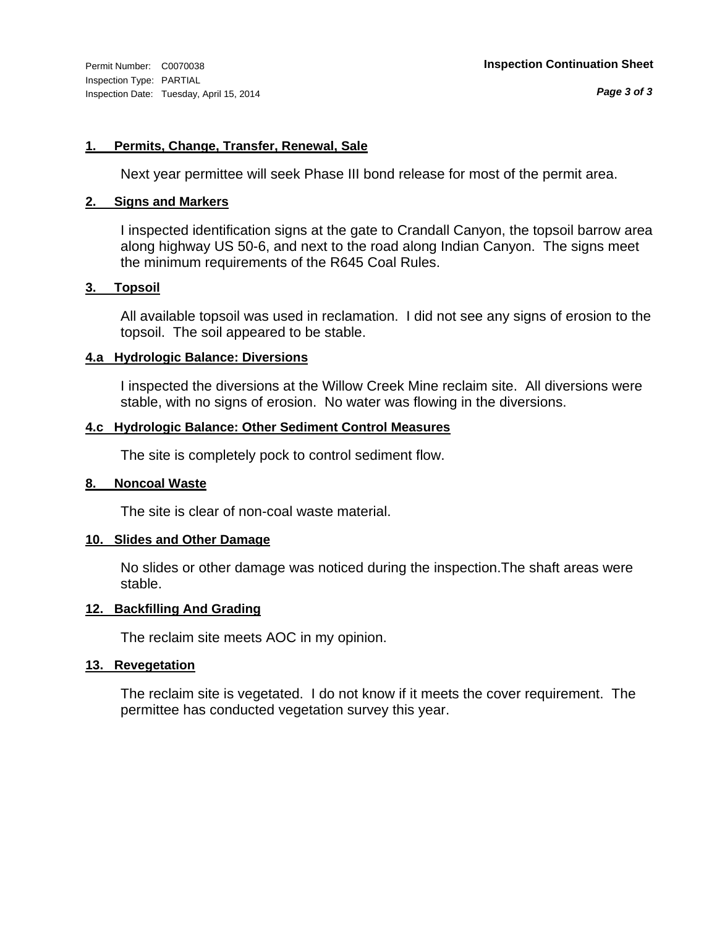#### **1. Permits, Change, Transfer, Renewal, Sale**

Next year permittee will seek Phase III bond release for most of the permit area.

#### **2. Signs and Markers**

I inspected identification signs at the gate to Crandall Canyon, the topsoil barrow area along highway US 50-6, and next to the road along Indian Canyon. The signs meet the minimum requirements of the R645 Coal Rules.

#### **3. Topsoil**

All available topsoil was used in reclamation. I did not see any signs of erosion to the topsoil. The soil appeared to be stable.

#### **4.a Hydrologic Balance: Diversions**

I inspected the diversions at the Willow Creek Mine reclaim site. All diversions were stable, with no signs of erosion. No water was flowing in the diversions.

#### **4.c Hydrologic Balance: Other Sediment Control Measures**

The site is completely pock to control sediment flow.

#### **8. Noncoal Waste**

The site is clear of non-coal waste material.

#### **10. Slides and Other Damage**

No slides or other damage was noticed during the inspection.The shaft areas were stable.

#### **12. Backfilling And Grading**

The reclaim site meets AOC in my opinion.

#### **13. Revegetation**

The reclaim site is vegetated. I do not know if it meets the cover requirement. The permittee has conducted vegetation survey this year.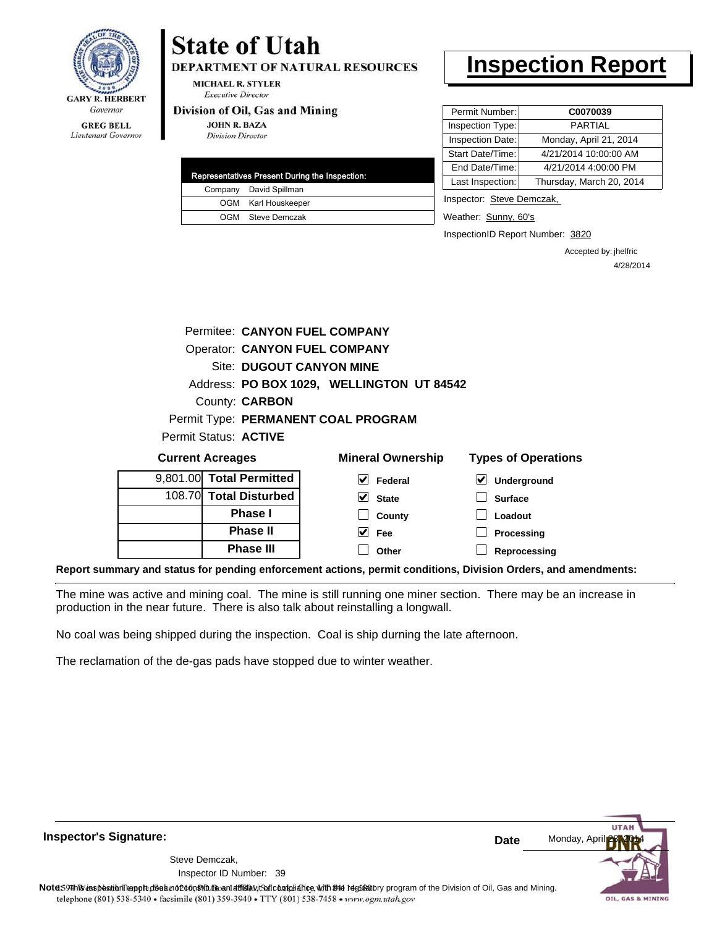

## **State of Utah**

**DEPARTMENT OF NATURAL RESOURCES** 

**MICHAEL R. STYLER Executive Director** 

#### Division of Oil, Gas and Mining

**JOHN R. BAZA Division Director** 

|  | Representatives Present During the Inspection: |
|--|------------------------------------------------|
|  | Company David Spillman                         |
|  | OGM Karl Houskeeper                            |
|  | OGM Steve Demczak                              |

### **Inspection Report**

| Permit Number:   | C0070039                 |
|------------------|--------------------------|
| Inspection Type: | PARTIAI                  |
| Inspection Date: | Monday, April 21, 2014   |
| Start Date/Time: | 4/21/2014 10:00:00 AM    |
| End Date/Time:   | 4/21/2014 4:00:00 PM     |
| Last Inspection: | Thursday, March 20, 2014 |
|                  |                          |

Inspector: Steve Demczak,

**Loadout Processing Reprocessing**

Weather: Sunny, 60's

InspectionID Report Number: 3820

Accepted by: jhelfric 4/28/2014

|          | Permitee: CANYON FUEL COMPANY        |                                           |                            |
|----------|--------------------------------------|-------------------------------------------|----------------------------|
|          | <b>Operator: CANYON FUEL COMPANY</b> |                                           |                            |
|          | <b>Site: DUGOUT CANYON MINE</b>      |                                           |                            |
|          |                                      | Address: PO BOX 1029, WELLINGTON UT 84542 |                            |
|          | County: <b>CARBON</b>                |                                           |                            |
|          |                                      | Permit Type: PERMANENT COAL PROGRAM       |                            |
|          | Permit Status: ACTIVE                |                                           |                            |
|          | <b>Current Acreages</b>              | <b>Mineral Ownership</b>                  | <b>Types of Operations</b> |
| 9.801.00 | <b>Total Permitted</b>               | Federal                                   | Underground                |
|          | 108.70 Total Disturbed               | <b>State</b>                              | <b>Surface</b>             |
|          | <b>Phase</b> I                       | County                                    | Loadout                    |

**County Fee Other**

 $\blacktriangledown$ 

**Report summary and status for pending enforcement actions, permit conditions, Division Orders, and amendments:**

The mine was active and mining coal. The mine is still running one miner section. There may be an increase in production in the near future. There is also talk about reinstalling a longwall.

No coal was being shipped during the inspection. Coal is ship durning the late afternoon.

The reclamation of the de-gas pads have stopped due to winter weather.

**Phase II Phase III**

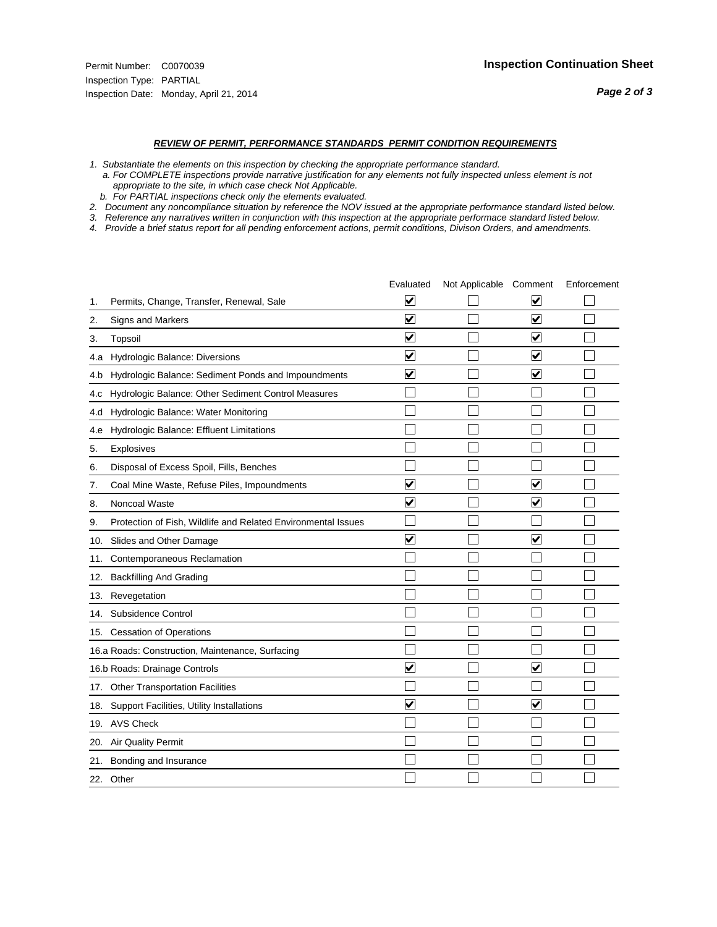#### *REVIEW OF PERMIT, PERFORMANCE STANDARDS PERMIT CONDITION REQUIREMENTS*

*1. Substantiate the elements on this inspection by checking the appropriate performance standard.*

 *a. For COMPLETE inspections provide narrative justification for any elements not fully inspected unless element is not appropriate to the site, in which case check Not Applicable.*

 *b. For PARTIAL inspections check only the elements evaluated.*

*2. Document any noncompliance situation by reference the NOV issued at the appropriate performance standard listed below.*

*3. Reference any narratives written in conjunction with this inspection at the appropriate performace standard listed below.*

|     |                                                               | Evaluated               | Not Applicable Comment |                         | Enforcement |
|-----|---------------------------------------------------------------|-------------------------|------------------------|-------------------------|-------------|
| 1.  | Permits, Change, Transfer, Renewal, Sale                      | ⊻                       |                        | V                       |             |
| 2.  | Signs and Markers                                             | $\overline{\mathbf{v}}$ |                        | $\blacktriangledown$    |             |
| 3.  | Topsoil                                                       | $\overline{\mathbf{v}}$ |                        | $\overline{\mathbf{v}}$ |             |
| 4.a | Hydrologic Balance: Diversions                                | $\blacktriangledown$    |                        | $\blacktriangledown$    |             |
| 4.b | Hydrologic Balance: Sediment Ponds and Impoundments           | $\blacktriangledown$    |                        | $\blacktriangledown$    |             |
| 4.C | Hydrologic Balance: Other Sediment Control Measures           |                         |                        |                         |             |
| 4.d | Hydrologic Balance: Water Monitoring                          |                         |                        |                         |             |
| 4.e | Hydrologic Balance: Effluent Limitations                      |                         |                        |                         |             |
| 5.  | <b>Explosives</b>                                             |                         |                        |                         |             |
| 6.  | Disposal of Excess Spoil, Fills, Benches                      |                         |                        |                         |             |
| 7.  | Coal Mine Waste, Refuse Piles, Impoundments                   | $\overline{\mathbf{v}}$ |                        | $\overline{\mathbf{v}}$ |             |
| 8.  | Noncoal Waste                                                 | $\overline{\mathbf{v}}$ |                        | $\blacktriangledown$    |             |
| 9.  | Protection of Fish, Wildlife and Related Environmental Issues |                         |                        |                         |             |
| 10. | Slides and Other Damage                                       | ⊽                       |                        | ⊽                       |             |
| 11. | Contemporaneous Reclamation                                   |                         |                        |                         |             |
| 12. | <b>Backfilling And Grading</b>                                |                         |                        |                         |             |
| 13. | Revegetation                                                  |                         |                        |                         |             |
| 14. | Subsidence Control                                            |                         |                        |                         |             |
|     | 15. Cessation of Operations                                   |                         |                        |                         |             |
|     | 16.a Roads: Construction, Maintenance, Surfacing              |                         |                        |                         |             |
|     | 16.b Roads: Drainage Controls                                 | $\blacktriangledown$    |                        | ⊻                       |             |
| 17. | <b>Other Transportation Facilities</b>                        |                         |                        |                         |             |
| 18. | Support Facilities, Utility Installations                     | $\overline{\mathbf{v}}$ |                        | $\overline{\mathbf{v}}$ |             |
| 19. | <b>AVS Check</b>                                              |                         |                        |                         |             |
| 20. | Air Quality Permit                                            |                         |                        |                         |             |
| 21. | Bonding and Insurance                                         |                         |                        |                         |             |
|     | 22. Other                                                     |                         |                        |                         |             |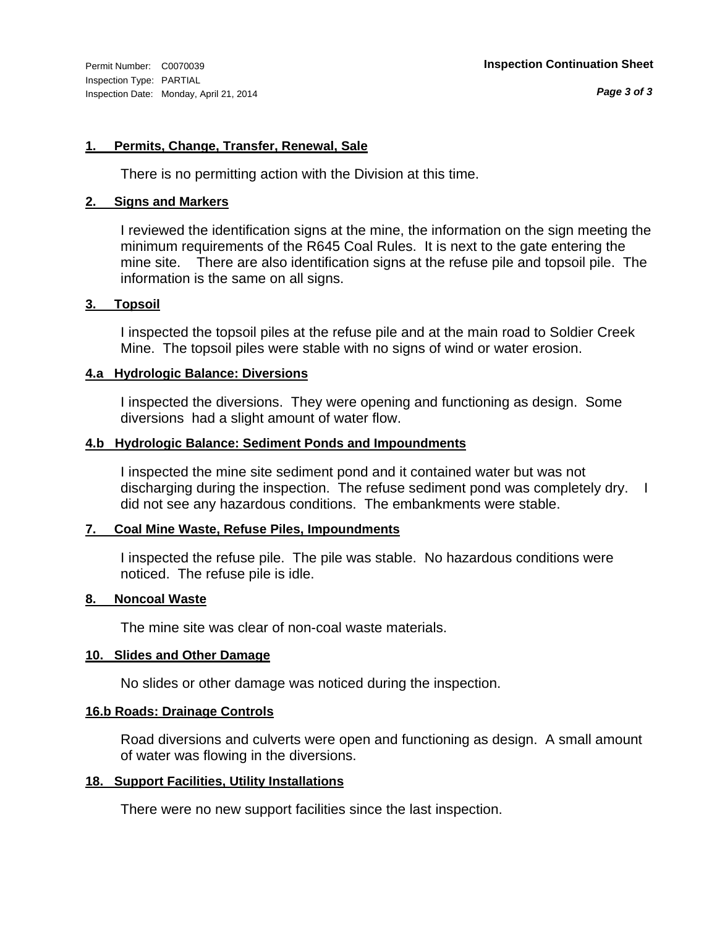#### **1. Permits, Change, Transfer, Renewal, Sale**

There is no permitting action with the Division at this time.

#### **2. Signs and Markers**

I reviewed the identification signs at the mine, the information on the sign meeting the minimum requirements of the R645 Coal Rules. It is next to the gate entering the mine site. There are also identification signs at the refuse pile and topsoil pile. The information is the same on all signs.

#### **3. Topsoil**

I inspected the topsoil piles at the refuse pile and at the main road to Soldier Creek Mine. The topsoil piles were stable with no signs of wind or water erosion.

#### **4.a Hydrologic Balance: Diversions**

I inspected the diversions. They were opening and functioning as design. Some diversions had a slight amount of water flow.

#### **4.b Hydrologic Balance: Sediment Ponds and Impoundments**

I inspected the mine site sediment pond and it contained water but was not discharging during the inspection. The refuse sediment pond was completely dry. I did not see any hazardous conditions. The embankments were stable.

#### **7. Coal Mine Waste, Refuse Piles, Impoundments**

I inspected the refuse pile. The pile was stable. No hazardous conditions were noticed. The refuse pile is idle.

#### **8. Noncoal Waste**

The mine site was clear of non-coal waste materials.

#### **10. Slides and Other Damage**

No slides or other damage was noticed during the inspection.

#### **16.b Roads: Drainage Controls**

Road diversions and culverts were open and functioning as design. A small amount of water was flowing in the diversions.

#### **18. Support Facilities, Utility Installations**

There were no new support facilities since the last inspection.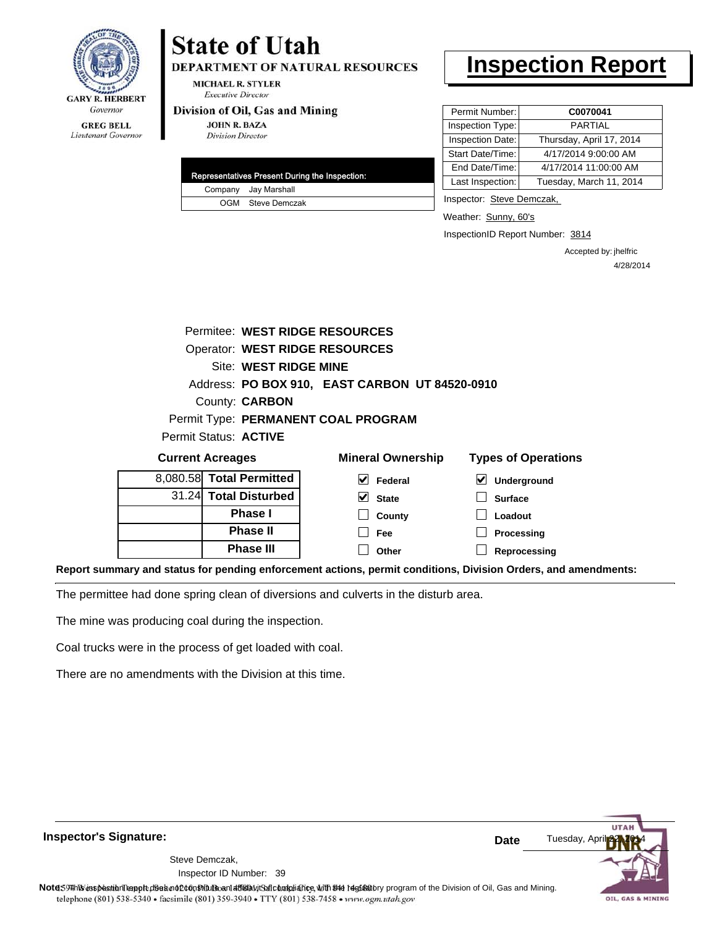

Lieutenant Governor

## **State of Utah**

**DEPARTMENT OF NATURAL RESOURCES** 

**MICHAEL R. STYLER Executive Director** 

#### Division of Oil, Gas and Mining

**JOHN R. BAZA Division Director** 

|  | Representatives Present During the Inspection: |
|--|------------------------------------------------|
|  | Company Jay Marshall                           |
|  | OGM Steve Demczak                              |

### **Inspection Report**

| Permit Number:   | C0070041                 |
|------------------|--------------------------|
| Inspection Type: | <b>PARTIAL</b>           |
| Inspection Date: | Thursday, April 17, 2014 |
| Start Date/Time: | 4/17/2014 9:00:00 AM     |
| End Date/Time:   | 4/17/2014 11:00:00 AM    |
| Last Inspection: | Tuesday, March 11, 2014  |

Inspector: Steve Demczak,

**Loadout Processing Reprocessing**

Weather: Sunny, 60's

InspectionID Report Number: 3814

Accepted by: jhelfric 4/28/2014

|                          | Permitee: WEST RIDGE RESOURCES                 |                            |
|--------------------------|------------------------------------------------|----------------------------|
|                          | <b>Operator: WEST RIDGE RESOURCES</b>          |                            |
| Site: WEST RIDGE MINE    |                                                |                            |
|                          | Address: PO BOX 910, EAST CARBON UT 84520-0910 |                            |
| County: <b>CARBON</b>    |                                                |                            |
|                          | Permit Type: PERMANENT COAL PROGRAM            |                            |
| Permit Status: ACTIVE    |                                                |                            |
| <b>Current Acreages</b>  | <b>Mineral Ownership</b>                       | <b>Types of Operations</b> |
| 8,080.58 Total Permitted | M<br>Federal                                   | Underground                |
| 31.24 Total Disturbed    | <b>State</b>                                   | <b>Surface</b>             |

**County Fee**

 $\Box$ 

**Phase III Report summary and status for pending enforcement actions, permit conditions, Division Orders, and amendments: Other**

**Phase I Phase II**

The permittee had done spring clean of diversions and culverts in the disturb area.

The mine was producing coal during the inspection.

Coal trucks were in the process of get loaded with coal.

There are no amendments with the Division at this time.

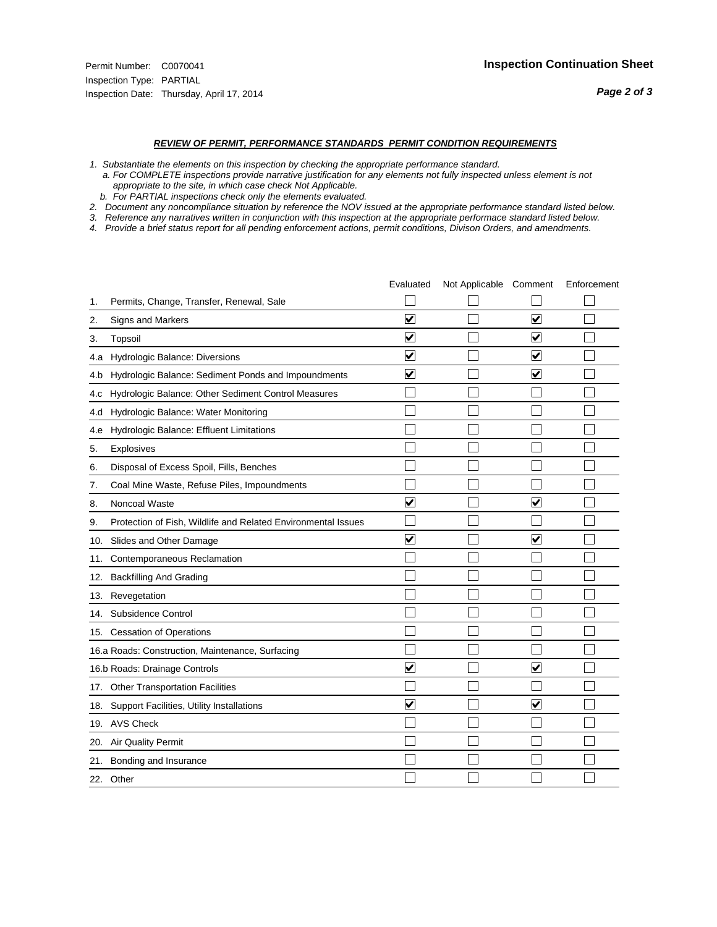#### *REVIEW OF PERMIT, PERFORMANCE STANDARDS PERMIT CONDITION REQUIREMENTS*

*1. Substantiate the elements on this inspection by checking the appropriate performance standard.*

 *a. For COMPLETE inspections provide narrative justification for any elements not fully inspected unless element is not appropriate to the site, in which case check Not Applicable.*

 *b. For PARTIAL inspections check only the elements evaluated.*

*2. Document any noncompliance situation by reference the NOV issued at the appropriate performance standard listed below.*

*3. Reference any narratives written in conjunction with this inspection at the appropriate performace standard listed below.*

|     |                                                               | Evaluated               | Not Applicable Comment |                         | Enforcement |
|-----|---------------------------------------------------------------|-------------------------|------------------------|-------------------------|-------------|
| 1.  | Permits, Change, Transfer, Renewal, Sale                      |                         |                        |                         |             |
| 2.  | <b>Signs and Markers</b>                                      | $\overline{\mathbf{v}}$ |                        | $\overline{\mathbf{v}}$ |             |
| 3.  | Topsoil                                                       | $\overline{\mathbf{v}}$ |                        | $\overline{\mathbf{v}}$ |             |
| 4.a | Hydrologic Balance: Diversions                                | ⊽                       |                        | $\blacktriangledown$    |             |
| 4.b | Hydrologic Balance: Sediment Ponds and Impoundments           | $\blacktriangledown$    |                        | ⊻                       |             |
| 4.C | Hydrologic Balance: Other Sediment Control Measures           |                         |                        |                         |             |
| 4.d | Hydrologic Balance: Water Monitoring                          |                         |                        |                         |             |
| 4.e | Hydrologic Balance: Effluent Limitations                      |                         |                        |                         |             |
| 5.  | Explosives                                                    |                         |                        |                         |             |
| 6.  | Disposal of Excess Spoil, Fills, Benches                      |                         |                        |                         |             |
| 7.  | Coal Mine Waste, Refuse Piles, Impoundments                   |                         |                        |                         |             |
| 8.  | Noncoal Waste                                                 | $\overline{\mathsf{v}}$ |                        | $\blacktriangledown$    |             |
| 9.  | Protection of Fish, Wildlife and Related Environmental Issues |                         |                        |                         |             |
| 10. | Slides and Other Damage                                       | $\blacktriangledown$    |                        | $\overline{\mathbf{v}}$ |             |
| 11. | Contemporaneous Reclamation                                   |                         |                        |                         |             |
| 12. | <b>Backfilling And Grading</b>                                |                         |                        |                         |             |
| 13. | Revegetation                                                  |                         |                        |                         |             |
| 14. | Subsidence Control                                            |                         |                        |                         |             |
|     | 15. Cessation of Operations                                   |                         |                        |                         |             |
|     | 16.a Roads: Construction, Maintenance, Surfacing              |                         |                        |                         |             |
|     | 16.b Roads: Drainage Controls                                 | ⊽                       |                        | V                       |             |
| 17. | <b>Other Transportation Facilities</b>                        |                         |                        |                         |             |
| 18. | Support Facilities, Utility Installations                     | $\overline{\mathsf{v}}$ |                        | $\overline{\mathbf{v}}$ |             |
|     | 19. AVS Check                                                 |                         |                        |                         |             |
| 20. | Air Quality Permit                                            |                         |                        |                         |             |
| 21. | Bonding and Insurance                                         |                         |                        |                         |             |
|     | 22. Other                                                     |                         |                        |                         |             |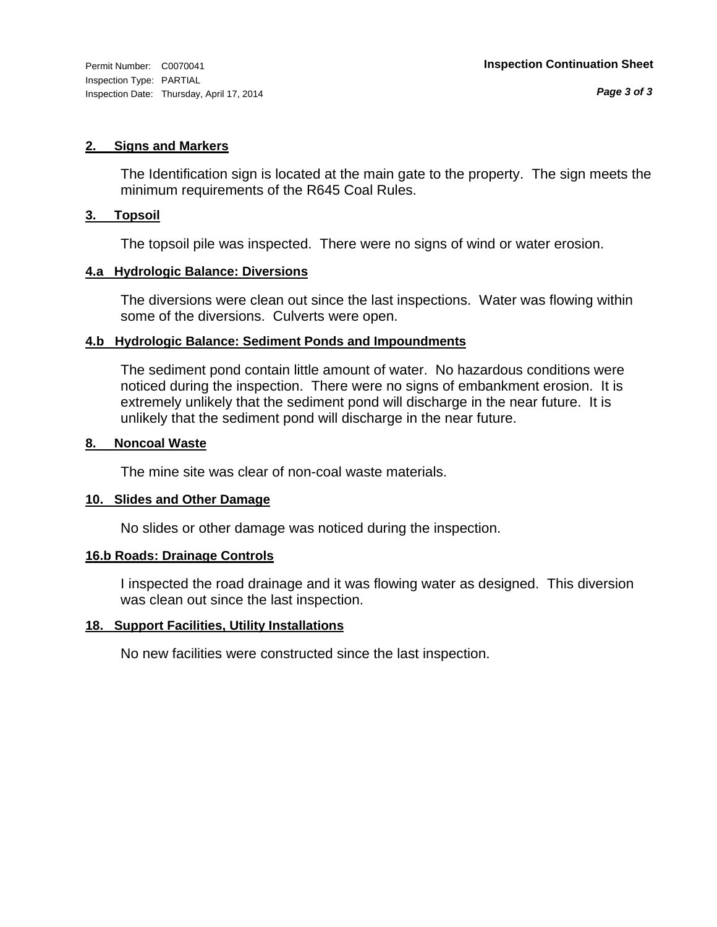#### **2. Signs and Markers**

The Identification sign is located at the main gate to the property. The sign meets the minimum requirements of the R645 Coal Rules.

#### **3. Topsoil**

The topsoil pile was inspected. There were no signs of wind or water erosion.

#### **4.a Hydrologic Balance: Diversions**

The diversions were clean out since the last inspections. Water was flowing within some of the diversions. Culverts were open.

#### **4.b Hydrologic Balance: Sediment Ponds and Impoundments**

The sediment pond contain little amount of water. No hazardous conditions were noticed during the inspection. There were no signs of embankment erosion. It is extremely unlikely that the sediment pond will discharge in the near future. It is unlikely that the sediment pond will discharge in the near future.

#### **8. Noncoal Waste**

The mine site was clear of non-coal waste materials.

#### **10. Slides and Other Damage**

No slides or other damage was noticed during the inspection.

#### **16.b Roads: Drainage Controls**

I inspected the road drainage and it was flowing water as designed. This diversion was clean out since the last inspection.

#### **18. Support Facilities, Utility Installations**

No new facilities were constructed since the last inspection.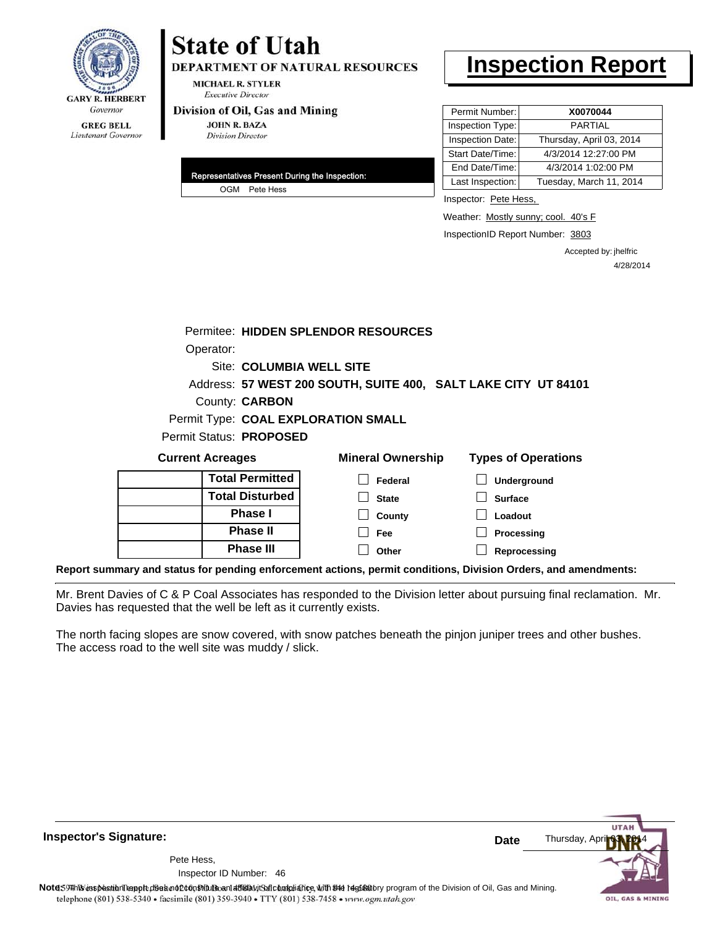

**DEPARTMENT OF NATURAL RESOURCES** 

**MICHAEL R. STYLER Executive Director** 

#### Division of Oil, Gas and Mining

**JOHN R. BAZA Division Director** 

| Representatives Present During the Inspection: |
|------------------------------------------------|
| OGM Pete Hess                                  |

### **Inspection Report**

| Permit Number:   | X0070044                 |
|------------------|--------------------------|
| Inspection Type: | <b>PARTIAL</b>           |
| Inspection Date: | Thursday, April 03, 2014 |
| Start Date/Time: | 4/3/2014 12:27:00 PM     |
| End Date/Time:   | 4/3/2014 1:02:00 PM      |
| Last Inspection: | Tuesday, March 11, 2014  |

Inspector: Pete Hess,

Weather: Mostly sunny; cool. 40's F

InspectionID Report Number: 3803

Accepted by: jhelfric 4/28/2014

|  |                          | Permitee: HIDDEN SPLENDOR RESOURCES                            |                                                                                                                |
|--|--------------------------|----------------------------------------------------------------|----------------------------------------------------------------------------------------------------------------|
|  | Operator:                |                                                                |                                                                                                                |
|  | Site: COLUMBIA WELL SITE |                                                                |                                                                                                                |
|  |                          | Address: 57 WEST 200 SOUTH, SUITE 400, SALT LAKE CITY UT 84101 |                                                                                                                |
|  | County: <b>CARBON</b>    |                                                                |                                                                                                                |
|  |                          | Permit Type: COAL EXPLORATION SMALL                            |                                                                                                                |
|  | Permit Status: PROPOSED  |                                                                |                                                                                                                |
|  | <b>Current Acreages</b>  | <b>Mineral Ownership</b>                                       | <b>Types of Operations</b>                                                                                     |
|  | <b>Total Permitted</b>   | Federal                                                        | <b>Underground</b>                                                                                             |
|  | <b>Total Disturbed</b>   | <b>State</b>                                                   | <b>Surface</b>                                                                                                 |
|  | <b>Phase I</b>           | County                                                         | Loadout                                                                                                        |
|  | <b>Phase II</b>          | <b>Fee</b>                                                     | Processing                                                                                                     |
|  | <b>Phase III</b>         | Other                                                          | Reprocessing                                                                                                   |
|  |                          |                                                                | Report summary and status for pending enforcement actions, permit conditions, Division Orders, and amendments: |

Mr. Brent Davies of C & P Coal Associates has responded to the Division letter about pursuing final reclamation. Mr. Davies has requested that the well be left as it currently exists.

The north facing slopes are snow covered, with snow patches beneath the pinjon juniper trees and other bushes. The access road to the well site was muddy / slick.

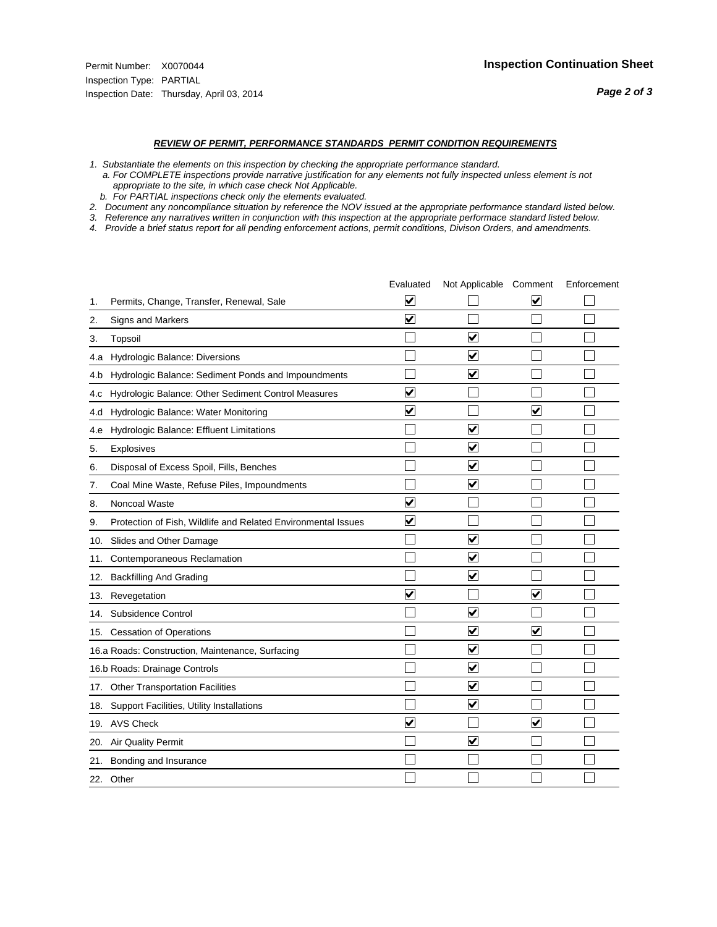#### *REVIEW OF PERMIT, PERFORMANCE STANDARDS PERMIT CONDITION REQUIREMENTS*

*1. Substantiate the elements on this inspection by checking the appropriate performance standard.*

 *a. For COMPLETE inspections provide narrative justification for any elements not fully inspected unless element is not appropriate to the site, in which case check Not Applicable.*

 *b. For PARTIAL inspections check only the elements evaluated.*

*2. Document any noncompliance situation by reference the NOV issued at the appropriate performance standard listed below.*

*3. Reference any narratives written in conjunction with this inspection at the appropriate performace standard listed below.*

|     |                                                               | Evaluated               | Not Applicable Comment  |                         | Enforcement |
|-----|---------------------------------------------------------------|-------------------------|-------------------------|-------------------------|-------------|
| 1.  | Permits, Change, Transfer, Renewal, Sale                      | V                       |                         | V                       |             |
| 2.  | <b>Signs and Markers</b>                                      | $\overline{\mathbf{v}}$ |                         |                         |             |
| 3.  | Topsoil                                                       |                         | $\overline{\checkmark}$ |                         |             |
| 4.a | Hydrologic Balance: Diversions                                |                         | V                       |                         |             |
| 4.b | Hydrologic Balance: Sediment Ponds and Impoundments           |                         | ⊻                       |                         |             |
| 4.C | Hydrologic Balance: Other Sediment Control Measures           | $\overline{\mathsf{v}}$ |                         |                         |             |
| 4.d | Hydrologic Balance: Water Monitoring                          | ✓                       |                         | $\blacktriangledown$    |             |
| 4.e | Hydrologic Balance: Effluent Limitations                      |                         | $\overline{\mathbf{v}}$ |                         |             |
| 5.  | Explosives                                                    |                         | $\overline{\mathsf{v}}$ |                         |             |
| 6.  | Disposal of Excess Spoil, Fills, Benches                      |                         | $\blacktriangledown$    |                         |             |
| 7.  | Coal Mine Waste, Refuse Piles, Impoundments                   |                         | $\overline{\mathbf{v}}$ |                         |             |
| 8.  | Noncoal Waste                                                 | $\overline{\mathbf{v}}$ |                         |                         |             |
| 9.  | Protection of Fish, Wildlife and Related Environmental Issues | $\blacktriangledown$    |                         |                         |             |
| 10. | Slides and Other Damage                                       |                         | $\overline{\mathsf{v}}$ |                         |             |
| 11. | Contemporaneous Reclamation                                   |                         | ⊽                       |                         |             |
| 12. | <b>Backfilling And Grading</b>                                |                         | $\overline{\mathbf{v}}$ |                         |             |
| 13. | Revegetation                                                  | $\overline{\mathbf{v}}$ |                         | $\overline{\mathbf{v}}$ |             |
| 14. | Subsidence Control                                            |                         | $\overline{\mathsf{v}}$ |                         |             |
|     | 15. Cessation of Operations                                   |                         | $\overline{\mathbf{v}}$ | $\blacktriangledown$    |             |
|     | 16.a Roads: Construction, Maintenance, Surfacing              |                         | ⊽                       |                         |             |
|     | 16.b Roads: Drainage Controls                                 |                         | $\overline{\mathbf{v}}$ |                         |             |
|     | 17. Other Transportation Facilities                           |                         | $\overline{\mathbf{v}}$ |                         |             |
| 18. | Support Facilities, Utility Installations                     |                         | $\blacktriangledown$    |                         |             |
|     | 19. AVS Check                                                 | $\overline{\mathsf{v}}$ |                         | ☑                       |             |
| 20. | <b>Air Quality Permit</b>                                     |                         | $\overline{\mathsf{v}}$ |                         |             |
|     | 21. Bonding and Insurance                                     |                         |                         |                         |             |
|     | 22. Other                                                     |                         |                         |                         |             |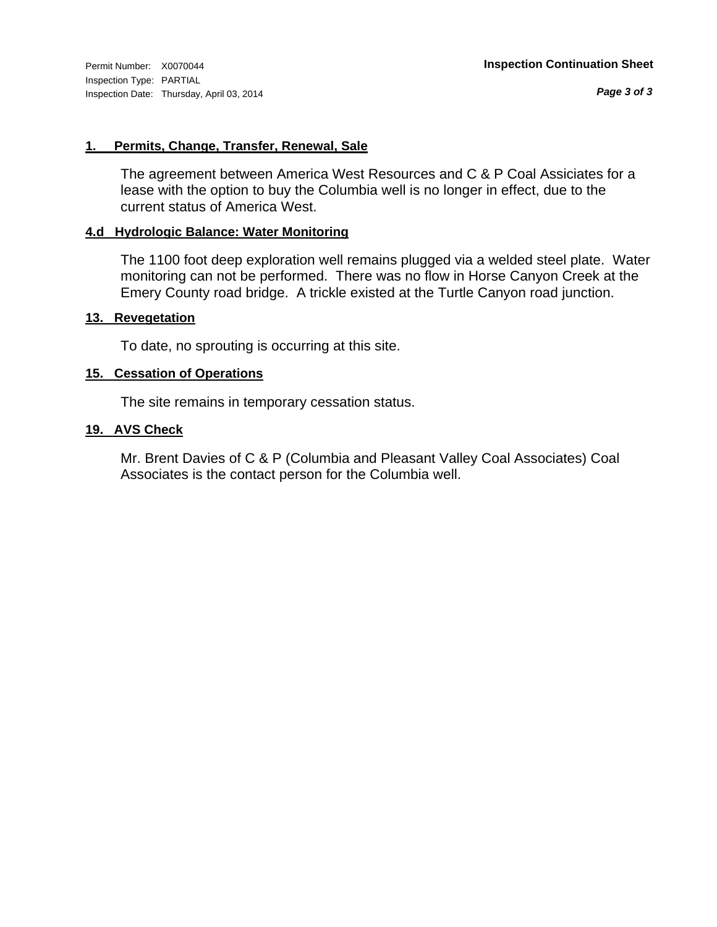*Page 3 of 3*

#### **1. Permits, Change, Transfer, Renewal, Sale**

The agreement between America West Resources and C & P Coal Assiciates for a lease with the option to buy the Columbia well is no longer in effect, due to the current status of America West.

#### **4.d Hydrologic Balance: Water Monitoring**

The 1100 foot deep exploration well remains plugged via a welded steel plate. Water monitoring can not be performed. There was no flow in Horse Canyon Creek at the Emery County road bridge. A trickle existed at the Turtle Canyon road junction.

#### **13. Revegetation**

To date, no sprouting is occurring at this site.

#### **15. Cessation of Operations**

The site remains in temporary cessation status.

#### **19. AVS Check**

Mr. Brent Davies of C & P (Columbia and Pleasant Valley Coal Associates) Coal Associates is the contact person for the Columbia well.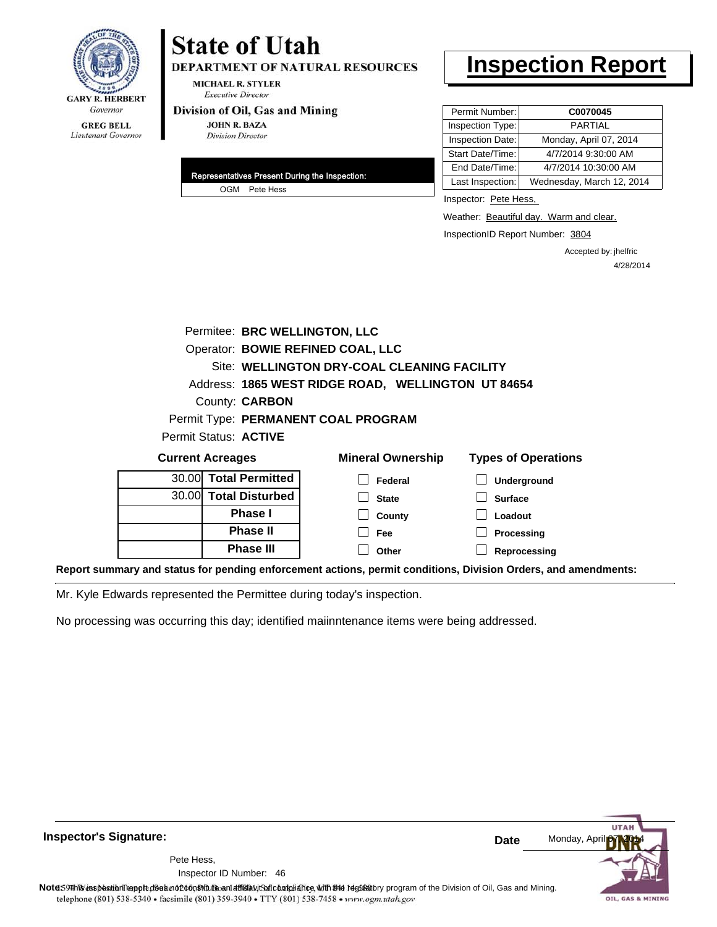

**DEPARTMENT OF NATURAL RESOURCES** 

**MICHAEL R. STYLER Executive Director** 

#### Division of Oil, Gas and Mining

**JOHN R. BAZA Division Director** 

| Representatives Present During the Inspection: |  |
|------------------------------------------------|--|
| OGM Pete Hess                                  |  |

### **Inspection Report**

| Permit Number:   | C0070045                  |
|------------------|---------------------------|
| Inspection Type: | <b>PARTIAL</b>            |
| Inspection Date: | Monday, April 07, 2014    |
| Start Date/Time: | 4/7/2014 9:30:00 AM       |
| End Date/Time:   | 4/7/2014 10:30:00 AM      |
| Last Inspection: | Wednesday, March 12, 2014 |

Inspector: Pete Hess,

Weather: Beautiful day. Warm and clear.

InspectionID Report Number: 3804

Accepted by: jhelfric 4/28/2014

|                                                                                   | Permitee: BRC WELLINGTON, LLC |                                                    |                |  |
|-----------------------------------------------------------------------------------|-------------------------------|----------------------------------------------------|----------------|--|
|                                                                                   |                               | Operator: BOWIE REFINED COAL, LLC                  |                |  |
|                                                                                   |                               | Site: WELLINGTON DRY-COAL CLEANING FACILITY        |                |  |
|                                                                                   |                               | Address: 1865 WEST RIDGE ROAD, WELLINGTON UT 84654 |                |  |
|                                                                                   | County: <b>CARBON</b>         |                                                    |                |  |
|                                                                                   |                               | Permit Type: PERMANENT COAL PROGRAM                |                |  |
|                                                                                   | Permit Status: ACTIVE         |                                                    |                |  |
| <b>Types of Operations</b><br><b>Mineral Ownership</b><br><b>Current Acreages</b> |                               |                                                    |                |  |
|                                                                                   |                               |                                                    |                |  |
|                                                                                   | 30.00 Total Permitted         | Federal                                            | Underground    |  |
|                                                                                   | 30.00 Total Disturbed         | <b>State</b>                                       | <b>Surface</b> |  |
|                                                                                   | <b>Phase I</b>                | County                                             | Loadout        |  |
|                                                                                   | <b>Phase II</b>               | Fee                                                | Processing     |  |
|                                                                                   | <b>Phase III</b>              | Other                                              | Reprocessing   |  |

**Report summary and status for pending enforcement actions, permit conditions, Division Orders, and amendments:**

Mr. Kyle Edwards represented the Permittee during today's inspection.

No processing was occurring this day; identified maiinntenance items were being addressed.

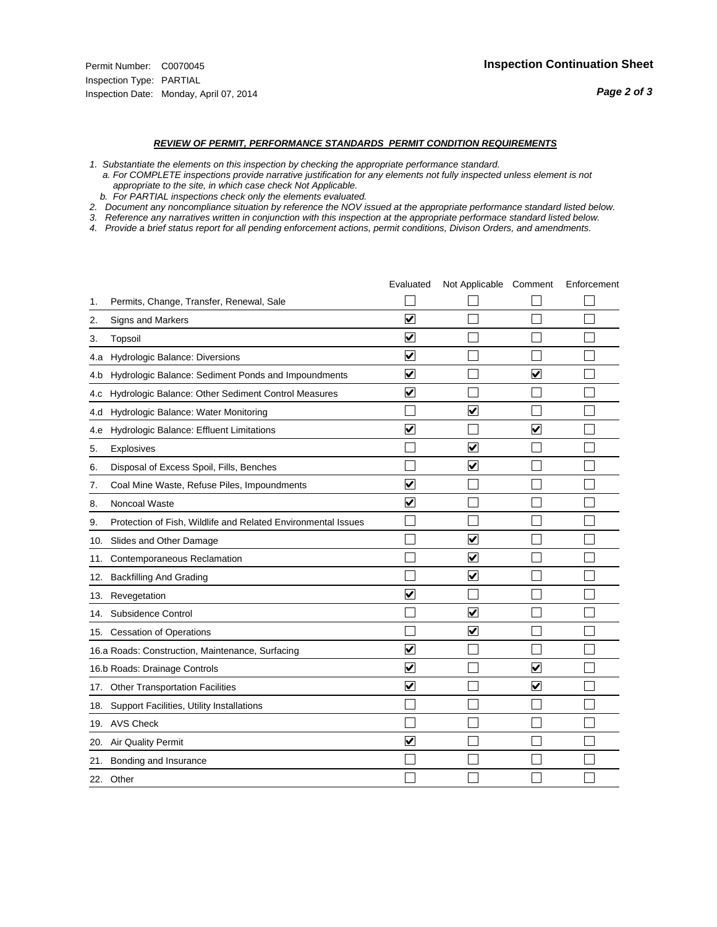#### *REVIEW OF PERMIT, PERFORMANCE STANDARDS PERMIT CONDITION REQUIREMENTS*

*1. Substantiate the elements on this inspection by checking the appropriate performance standard.*

 *a. For COMPLETE inspections provide narrative justification for any elements not fully inspected unless element is not appropriate to the site, in which case check Not Applicable.*

 *b. For PARTIAL inspections check only the elements evaluated.*

*2. Document any noncompliance situation by reference the NOV issued at the appropriate performance standard listed below.*

*3. Reference any narratives written in conjunction with this inspection at the appropriate performace standard listed below.*

|     |                                                               | Evaluated               | Not Applicable Comment  |                         | Enforcement |
|-----|---------------------------------------------------------------|-------------------------|-------------------------|-------------------------|-------------|
| 1.  | Permits, Change, Transfer, Renewal, Sale                      |                         |                         |                         |             |
| 2.  | <b>Signs and Markers</b>                                      | $\overline{\mathsf{v}}$ |                         |                         |             |
| 3.  | Topsoil                                                       | $\overline{\mathbf{v}}$ |                         |                         |             |
| 4.a | Hydrologic Balance: Diversions                                | ⊽                       |                         |                         |             |
| 4.b | Hydrologic Balance: Sediment Ponds and Impoundments           | $\blacktriangledown$    |                         | $\overline{\mathsf{v}}$ |             |
| 4.C | Hydrologic Balance: Other Sediment Control Measures           | $\overline{\mathbf{v}}$ |                         |                         |             |
| 4.d | Hydrologic Balance: Water Monitoring                          |                         | ☑                       |                         |             |
| 4.e | Hydrologic Balance: Effluent Limitations                      | $\overline{\mathbf{v}}$ |                         | $\overline{\mathbf{v}}$ |             |
| 5.  | Explosives                                                    |                         | $\blacktriangledown$    |                         |             |
| 6.  | Disposal of Excess Spoil, Fills, Benches                      |                         | ⊻                       |                         |             |
| 7.  | Coal Mine Waste, Refuse Piles, Impoundments                   | $\overline{\mathbf{v}}$ |                         |                         |             |
| 8.  | Noncoal Waste                                                 | $\overline{\mathsf{v}}$ |                         |                         |             |
| 9.  | Protection of Fish, Wildlife and Related Environmental Issues |                         |                         |                         |             |
|     | 10. Slides and Other Damage                                   |                         | ☑                       |                         |             |
| 11. | Contemporaneous Reclamation                                   |                         | V                       |                         |             |
| 12. | <b>Backfilling And Grading</b>                                |                         | $\overline{\mathbf{v}}$ |                         |             |
| 13. | Revegetation                                                  | $\overline{\mathsf{v}}$ |                         |                         |             |
| 14. | Subsidence Control                                            |                         | $\blacktriangledown$    |                         |             |
|     | 15. Cessation of Operations                                   |                         | ☑                       |                         |             |
|     | 16.a Roads: Construction, Maintenance, Surfacing              | V                       |                         |                         |             |
|     | 16.b Roads: Drainage Controls                                 | $\overline{\mathbf{v}}$ |                         | $\overline{\mathbf{v}}$ |             |
|     | 17. Other Transportation Facilities                           | $\overline{\mathbf{v}}$ |                         | $\overline{\mathbf{v}}$ |             |
| 18. | Support Facilities, Utility Installations                     |                         |                         |                         |             |
|     | 19. AVS Check                                                 |                         |                         |                         |             |
|     | 20. Air Quality Permit                                        | <u>V</u>                |                         |                         |             |
|     | 21. Bonding and Insurance                                     |                         |                         |                         |             |
|     | 22. Other                                                     |                         |                         |                         |             |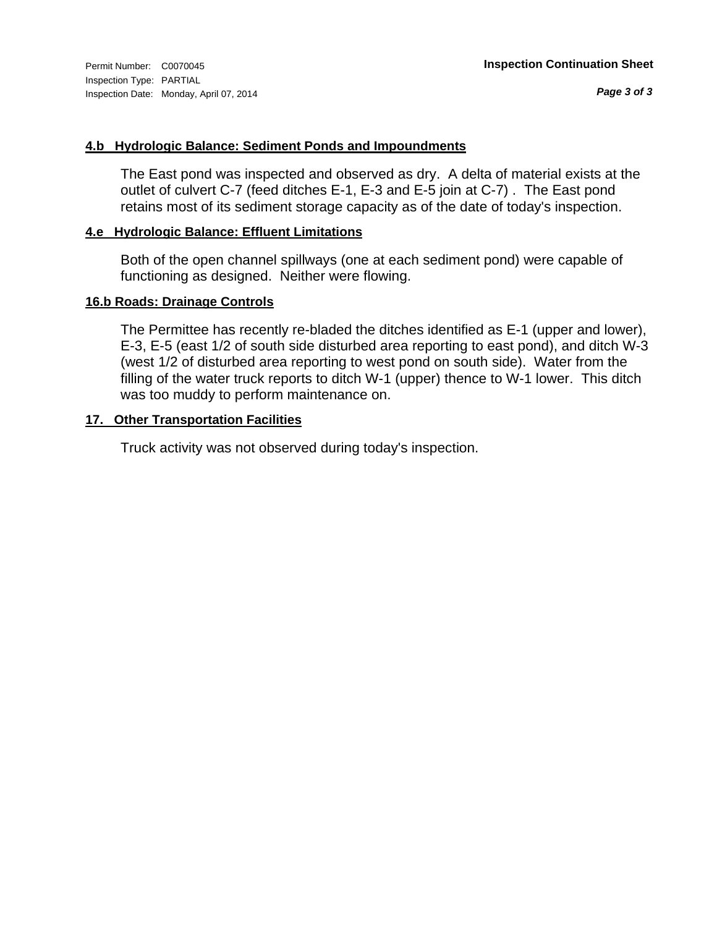#### **4.b Hydrologic Balance: Sediment Ponds and Impoundments**

The East pond was inspected and observed as dry. A delta of material exists at the outlet of culvert C-7 (feed ditches E-1, E-3 and E-5 join at C-7) . The East pond retains most of its sediment storage capacity as of the date of today's inspection.

#### **4.e Hydrologic Balance: Effluent Limitations**

Both of the open channel spillways (one at each sediment pond) were capable of functioning as designed. Neither were flowing.

#### **16.b Roads: Drainage Controls**

The Permittee has recently re-bladed the ditches identified as E-1 (upper and lower), E-3, E-5 (east 1/2 of south side disturbed area reporting to east pond), and ditch W-3 (west 1/2 of disturbed area reporting to west pond on south side). Water from the filling of the water truck reports to ditch W-1 (upper) thence to W-1 lower. This ditch was too muddy to perform maintenance on.

#### **17. Other Transportation Facilities**

Truck activity was not observed during today's inspection.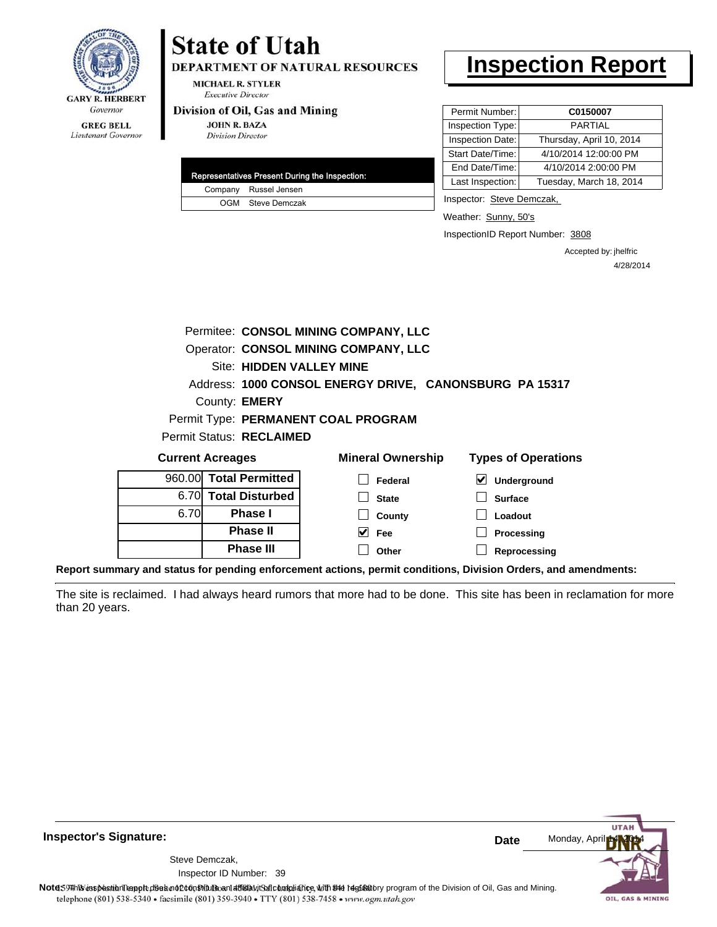

DEPARTMENT OF NATURAL RESOURCES

**MICHAEL R. STYLER Executive Director** 

#### Division of Oil, Gas and Mining

**JOHN R. BAZA Division Director** 

|  | Representatives Present During the Inspection: |
|--|------------------------------------------------|
|  | Company Russel Jensen                          |
|  | OGM Steve Demczak                              |

### **Inspection Report**

| Permit Number:   | C0150007                 |
|------------------|--------------------------|
| Inspection Type: | PARTIAI                  |
| Inspection Date: | Thursday, April 10, 2014 |
| Start Date/Time: | 4/10/2014 12:00:00 PM    |
| End Date/Time:   | 4/10/2014 2:00:00 PM     |
| Last Inspection: | Tuesday, March 18, 2014  |
|                  |                          |

Inspector: Steve Demczak,

Weather: Sunny, 50's

InspectionID Report Number: 3808

Accepted by: jhelfric 4/28/2014

|       |                                      | Permitee: CONSOL MINING COMPANY, LLC |                                                        |  |  |  |  |
|-------|--------------------------------------|--------------------------------------|--------------------------------------------------------|--|--|--|--|
|       | Operator: CONSOL MINING COMPANY, LLC |                                      |                                                        |  |  |  |  |
|       | Site: HIDDEN VALLEY MINE             |                                      |                                                        |  |  |  |  |
|       |                                      |                                      | Address: 1000 CONSOL ENERGY DRIVE, CANONSBURG PA 15317 |  |  |  |  |
|       | County: EMERY                        |                                      |                                                        |  |  |  |  |
|       |                                      | Permit Type: PERMANENT COAL PROGRAM  |                                                        |  |  |  |  |
|       | Permit Status: RECLAIMED             |                                      |                                                        |  |  |  |  |
|       | <b>Current Acreages</b>              | <b>Mineral Ownership</b>             | <b>Types of Operations</b>                             |  |  |  |  |
|       |                                      |                                      |                                                        |  |  |  |  |
|       | 960.00 Total Permitted               | Federal                              | V<br>Underground                                       |  |  |  |  |
| 6.70I | <b>Total Disturbed</b>               | <b>State</b>                         | <b>Surface</b>                                         |  |  |  |  |
| 6.70  | Phase I                              | County                               | Loadout                                                |  |  |  |  |
|       | <b>Phase II</b>                      | M<br>Fee                             | Processing                                             |  |  |  |  |
|       | <b>Phase III</b>                     | Other                                | Reprocessing                                           |  |  |  |  |

**Report summary and status for pending enforcement actions, permit conditions, Division Orders, and amendments:**

The site is reclaimed. I had always heard rumors that more had to be done. This site has been in reclamation for more than 20 years.

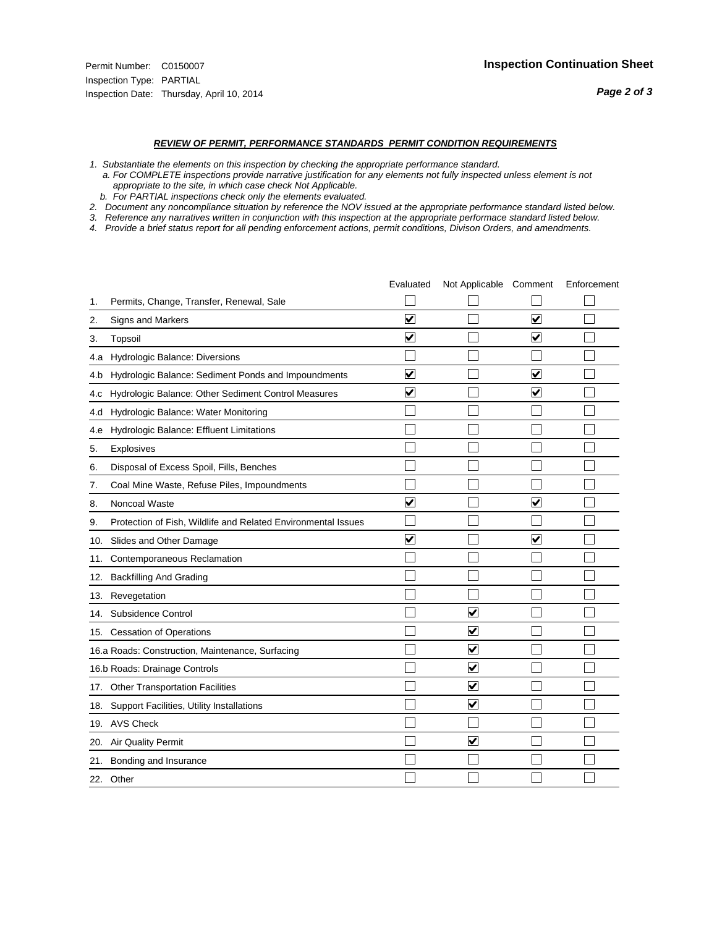#### *REVIEW OF PERMIT, PERFORMANCE STANDARDS PERMIT CONDITION REQUIREMENTS*

*1. Substantiate the elements on this inspection by checking the appropriate performance standard.*

 *a. For COMPLETE inspections provide narrative justification for any elements not fully inspected unless element is not appropriate to the site, in which case check Not Applicable.*

 *b. For PARTIAL inspections check only the elements evaluated.*

*2. Document any noncompliance situation by reference the NOV issued at the appropriate performance standard listed below.*

*3. Reference any narratives written in conjunction with this inspection at the appropriate performace standard listed below.*

|     |                                                               | Evaluated               | Not Applicable Comment          |                         | Enforcement |
|-----|---------------------------------------------------------------|-------------------------|---------------------------------|-------------------------|-------------|
| 1.  | Permits, Change, Transfer, Renewal, Sale                      |                         |                                 |                         |             |
| 2.  | <b>Signs and Markers</b>                                      | $\overline{\mathbf{v}}$ |                                 | $\overline{\mathbf{v}}$ |             |
| 3.  | Topsoil                                                       | $\overline{\mathbf{v}}$ |                                 | $\overline{\mathbf{v}}$ |             |
| 4.a | Hydrologic Balance: Diversions                                |                         |                                 |                         |             |
| 4.b | Hydrologic Balance: Sediment Ponds and Impoundments           | $\blacktriangledown$    |                                 | V                       |             |
| 4.C | Hydrologic Balance: Other Sediment Control Measures           | $\overline{\mathsf{v}}$ |                                 | $\blacktriangledown$    |             |
| 4.d | Hydrologic Balance: Water Monitoring                          |                         |                                 |                         |             |
| 4.e | Hydrologic Balance: Effluent Limitations                      |                         |                                 |                         |             |
| 5.  | Explosives                                                    |                         |                                 |                         |             |
| 6.  | Disposal of Excess Spoil, Fills, Benches                      |                         |                                 |                         |             |
| 7.  | Coal Mine Waste, Refuse Piles, Impoundments                   |                         |                                 |                         |             |
| 8.  | Noncoal Waste                                                 | $\overline{\mathsf{v}}$ |                                 | $\blacktriangledown$    |             |
| 9.  | Protection of Fish, Wildlife and Related Environmental Issues |                         |                                 |                         |             |
| 10. | Slides and Other Damage                                       | $\blacktriangledown$    |                                 | $\overline{\mathbf{v}}$ |             |
| 11. | Contemporaneous Reclamation                                   |                         |                                 |                         |             |
| 12. | <b>Backfilling And Grading</b>                                |                         |                                 |                         |             |
| 13. | Revegetation                                                  |                         |                                 |                         |             |
| 14. | Subsidence Control                                            |                         | $\overline{\mathbf{v}}$         |                         |             |
|     | 15. Cessation of Operations                                   |                         | $\blacktriangledown$            |                         |             |
|     | 16.a Roads: Construction, Maintenance, Surfacing              |                         | $\blacktriangledown$            |                         |             |
|     | 16.b Roads: Drainage Controls                                 |                         | $\blacktriangledown$            |                         |             |
| 17. | <b>Other Transportation Facilities</b>                        |                         | $\overline{\blacktriangledown}$ |                         |             |
| 18. | Support Facilities, Utility Installations                     |                         | ☑                               |                         |             |
|     | 19. AVS Check                                                 |                         |                                 |                         |             |
| 20. | Air Quality Permit                                            |                         | $\blacktriangledown$            |                         |             |
| 21. | Bonding and Insurance                                         |                         |                                 |                         |             |
|     | 22. Other                                                     |                         |                                 |                         |             |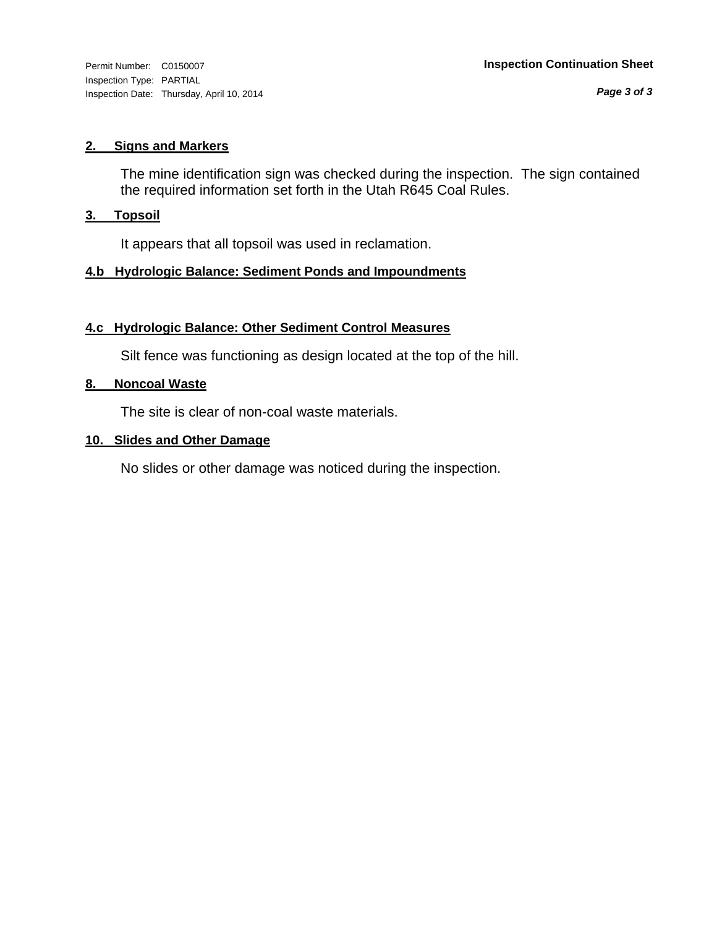#### **2. Signs and Markers**

The mine identification sign was checked during the inspection. The sign contained the required information set forth in the Utah R645 Coal Rules.

#### **3. Topsoil**

It appears that all topsoil was used in reclamation.

#### **4.b Hydrologic Balance: Sediment Ponds and Impoundments**

#### **4.c Hydrologic Balance: Other Sediment Control Measures**

Silt fence was functioning as design located at the top of the hill.

#### **8. Noncoal Waste**

The site is clear of non-coal waste materials.

#### **10. Slides and Other Damage**

No slides or other damage was noticed during the inspection.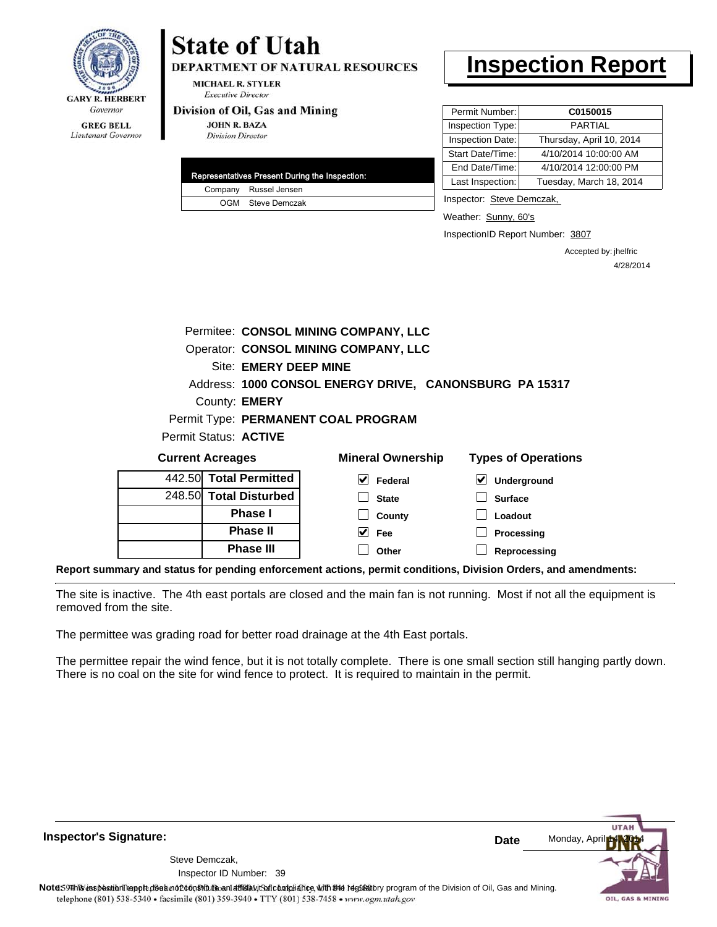

**DEPARTMENT OF NATURAL RESOURCES** 

**MICHAEL R. STYLER Executive Director** 

#### Division of Oil, Gas and Mining

**JOHN R. BAZA Division Director** 

|  | Representatives Present During the Inspection: |
|--|------------------------------------------------|
|  | Company Russel Jensen                          |
|  | OGM Steve Demczak                              |

### **Inspection Report**

| Permit Number:<br>C0150015                          |
|-----------------------------------------------------|
| Inspection Type:<br><b>PARTIAL</b>                  |
| <b>Inspection Date:</b><br>Thursday, April 10, 2014 |
| 4/10/2014 10:00:00 AM                               |
| 4/10/2014 12:00:00 PM<br>End Date/Time:             |
| Last Inspection:<br>Tuesday, March 18, 2014         |
|                                                     |

Inspector: Steve Demczak,

Weather: Sunny, 60's

InspectionID Report Number: 3807

Accepted by: jhelfric 4/28/2014

|                                      |                       | Permitee: CONSOL MINING COMPANY, LLC |                                                        |  |  |  |
|--------------------------------------|-----------------------|--------------------------------------|--------------------------------------------------------|--|--|--|
| Operator: CONSOL MINING COMPANY, LLC |                       |                                      |                                                        |  |  |  |
|                                      | Site: EMERY DEEP MINE |                                      |                                                        |  |  |  |
|                                      |                       |                                      | Address: 1000 CONSOL ENERGY DRIVE, CANONSBURG PA 15317 |  |  |  |
| County: <b>EMERY</b>                 |                       |                                      |                                                        |  |  |  |
| Permit Type: PERMANENT COAL PROGRAM  |                       |                                      |                                                        |  |  |  |
| Permit Status: ACTIVE                |                       |                                      |                                                        |  |  |  |
| <b>Current Acreages</b>              |                       | <b>Mineral Ownership</b>             | <b>Types of Operations</b>                             |  |  |  |
| 442.50 Total Permitted               |                       | V<br>Federal                         | $\boldsymbol{\mathsf{v}}$<br>Underground               |  |  |  |
| 248.50 Total Disturbed               |                       | <b>State</b>                         | <b>Surface</b>                                         |  |  |  |
| Phase I                              |                       | County                               | Loadout                                                |  |  |  |
| <b>Phase II</b>                      |                       | Fee                                  | Processing                                             |  |  |  |
| <b>Phase III</b>                     |                       | Other                                | Reprocessing                                           |  |  |  |

**Report summary and status for pending enforcement actions, permit conditions, Division Orders, and amendments:**

The site is inactive. The 4th east portals are closed and the main fan is not running. Most if not all the equipment is removed from the site.

The permittee was grading road for better road drainage at the 4th East portals.

The permittee repair the wind fence, but it is not totally complete. There is one small section still hanging partly down. There is no coal on the site for wind fence to protect. It is required to maintain in the permit.

![](_page_45_Picture_18.jpeg)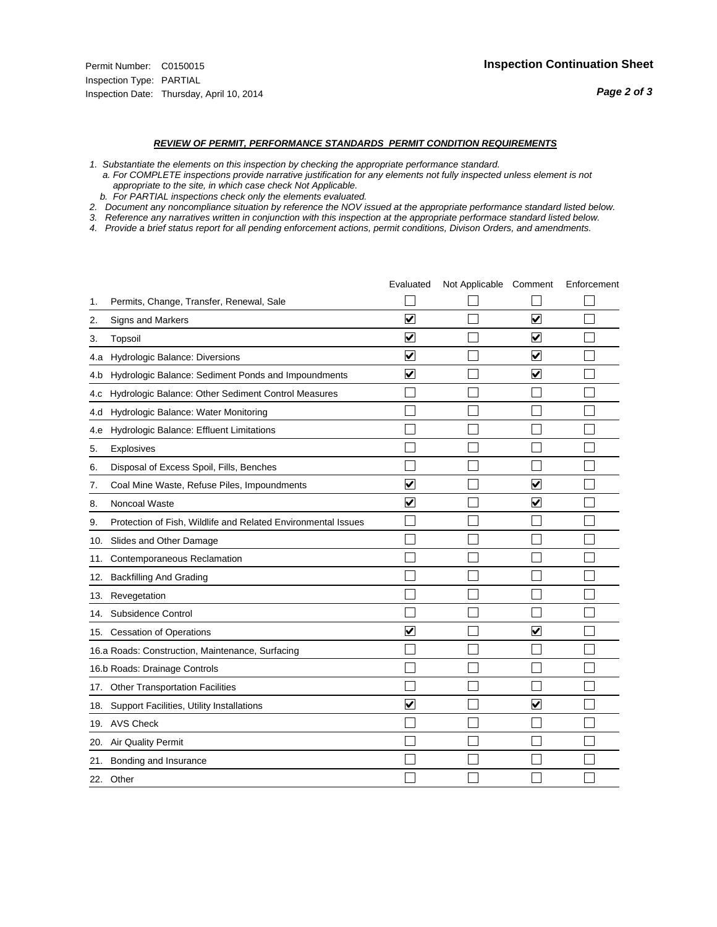#### *REVIEW OF PERMIT, PERFORMANCE STANDARDS PERMIT CONDITION REQUIREMENTS*

*1. Substantiate the elements on this inspection by checking the appropriate performance standard.*

 *a. For COMPLETE inspections provide narrative justification for any elements not fully inspected unless element is not appropriate to the site, in which case check Not Applicable.*

 *b. For PARTIAL inspections check only the elements evaluated.*

*2. Document any noncompliance situation by reference the NOV issued at the appropriate performance standard listed below.*

*3. Reference any narratives written in conjunction with this inspection at the appropriate performace standard listed below.*

|     |                                                               | Evaluated               | Not Applicable Comment |                         | Enforcement |
|-----|---------------------------------------------------------------|-------------------------|------------------------|-------------------------|-------------|
| 1.  | Permits, Change, Transfer, Renewal, Sale                      |                         |                        |                         |             |
| 2.  | Signs and Markers                                             | $\overline{\mathsf{v}}$ |                        | $\overline{\mathsf{v}}$ |             |
| 3.  | Topsoil                                                       | $\overline{\mathbf{v}}$ |                        | $\overline{\mathbf{v}}$ |             |
| 4.a | Hydrologic Balance: Diversions                                | ⊻                       |                        | $\checkmark$            |             |
| 4.b | Hydrologic Balance: Sediment Ponds and Impoundments           | ⊻                       |                        | $\blacktriangledown$    |             |
| 4.c | Hydrologic Balance: Other Sediment Control Measures           |                         |                        |                         |             |
| 4.d | Hydrologic Balance: Water Monitoring                          |                         |                        |                         |             |
| 4.e | Hydrologic Balance: Effluent Limitations                      |                         |                        |                         |             |
| 5.  | Explosives                                                    |                         |                        |                         |             |
| 6.  | Disposal of Excess Spoil, Fills, Benches                      |                         |                        |                         |             |
| 7.  | Coal Mine Waste, Refuse Piles, Impoundments                   | $\overline{\mathbf{v}}$ |                        | $\overline{\mathbf{v}}$ |             |
| 8.  | Noncoal Waste                                                 | $\overline{\mathbf{v}}$ |                        | $\overline{\mathsf{v}}$ |             |
| 9.  | Protection of Fish, Wildlife and Related Environmental Issues |                         |                        |                         |             |
| 10. | Slides and Other Damage                                       |                         |                        |                         |             |
| 11. | Contemporaneous Reclamation                                   |                         |                        |                         |             |
| 12. | <b>Backfilling And Grading</b>                                |                         |                        |                         |             |
| 13. | Revegetation                                                  |                         |                        |                         |             |
| 14. | Subsidence Control                                            |                         |                        |                         |             |
|     | 15. Cessation of Operations                                   | $\blacktriangledown$    |                        | $\checkmark$            |             |
|     | 16.a Roads: Construction, Maintenance, Surfacing              |                         |                        |                         |             |
|     | 16.b Roads: Drainage Controls                                 |                         |                        |                         |             |
|     | 17. Other Transportation Facilities                           |                         |                        |                         |             |
| 18. | Support Facilities, Utility Installations                     | $\overline{\mathsf{v}}$ |                        | $\overline{\checkmark}$ |             |
|     | 19. AVS Check                                                 |                         |                        |                         |             |
|     | 20. Air Quality Permit                                        |                         |                        |                         |             |
|     | 21. Bonding and Insurance                                     |                         |                        |                         |             |
|     | 22. Other                                                     |                         |                        |                         |             |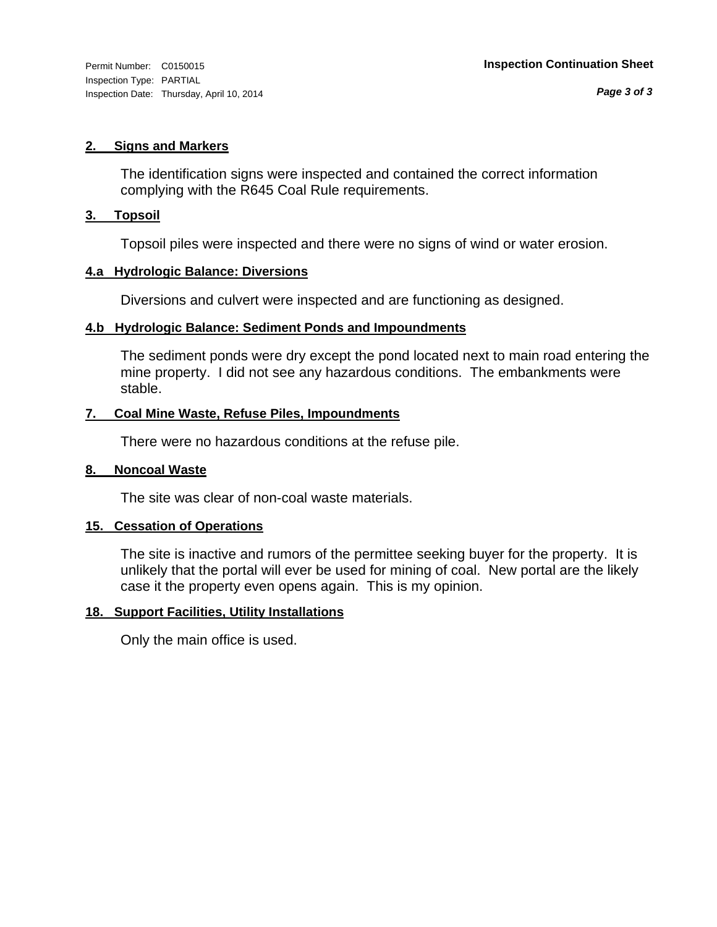#### **2. Signs and Markers**

The identification signs were inspected and contained the correct information complying with the R645 Coal Rule requirements.

#### **3. Topsoil**

Topsoil piles were inspected and there were no signs of wind or water erosion.

#### **4.a Hydrologic Balance: Diversions**

Diversions and culvert were inspected and are functioning as designed.

#### **4.b Hydrologic Balance: Sediment Ponds and Impoundments**

The sediment ponds were dry except the pond located next to main road entering the mine property. I did not see any hazardous conditions. The embankments were stable.

#### **7. Coal Mine Waste, Refuse Piles, Impoundments**

There were no hazardous conditions at the refuse pile.

#### **8. Noncoal Waste**

The site was clear of non-coal waste materials.

#### **15. Cessation of Operations**

The site is inactive and rumors of the permittee seeking buyer for the property. It is unlikely that the portal will ever be used for mining of coal. New portal are the likely case it the property even opens again. This is my opinion.

#### **18. Support Facilities, Utility Installations**

Only the main office is used.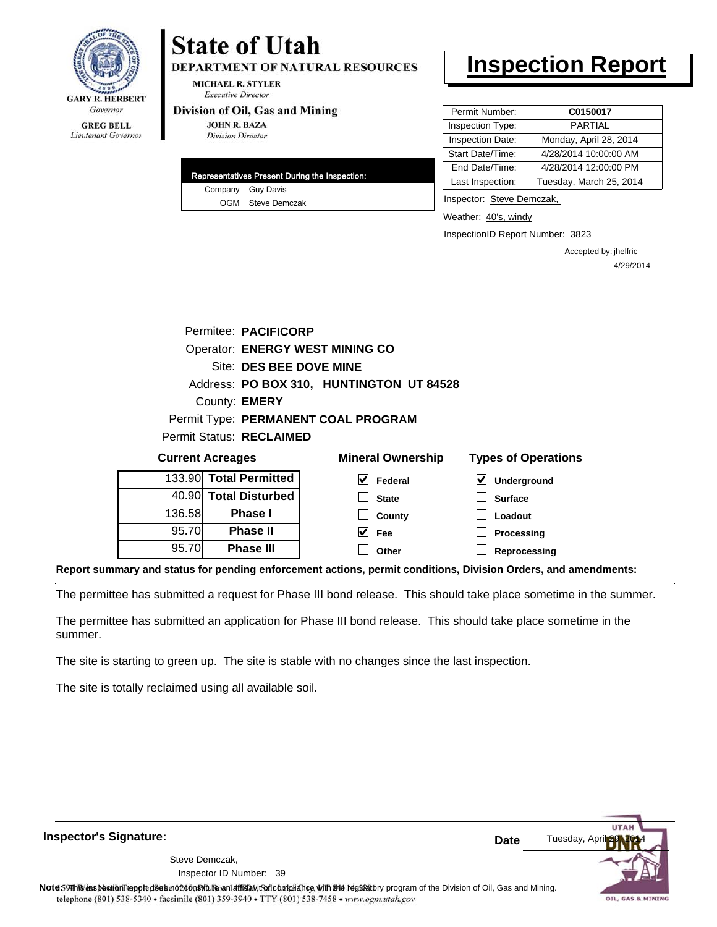![](_page_48_Picture_0.jpeg)

**DEPARTMENT OF NATURAL RESOURCES** 

**MICHAEL R. STYLER Executive Director** 

#### Division of Oil, Gas and Mining

**JOHN R. BAZA Division Director** 

|  | Representatives Present During the Inspection: |
|--|------------------------------------------------|
|  | Company Guy Davis                              |
|  | OGM Steve Demczak                              |

### **Inspection Report**

| Permit Number:   | C0150017                |
|------------------|-------------------------|
| Inspection Type: | <b>PARTIAL</b>          |
| Inspection Date: | Monday, April 28, 2014  |
| Start Date/Time: | 4/28/2014 10:00:00 AM   |
| End Date/Time:   | 4/28/2014 12:00:00 PM   |
| Last Inspection: | Tuesday, March 25, 2014 |

Inspector: Steve Demczak,

Weather: 40's, windy

InspectionID Report Number: 3823

**Reprocessing**

Accepted by: jhelfric 4/29/2014

|        | Permitee: PACIFICORP                   |                                          |                                          |
|--------|----------------------------------------|------------------------------------------|------------------------------------------|
|        | <b>Operator: ENERGY WEST MINING CO</b> |                                          |                                          |
|        | Site: DES BEE DOVE MINE                |                                          |                                          |
|        |                                        | Address: PO BOX 310, HUNTINGTON UT 84528 |                                          |
|        | County: <b>EMERY</b>                   |                                          |                                          |
|        |                                        | Permit Type: PERMANENT COAL PROGRAM      |                                          |
|        | Permit Status: RECLAIMED               |                                          |                                          |
|        | <b>Current Acreages</b>                | <b>Mineral Ownership</b>                 | <b>Types of Operations</b>               |
|        | 133.90 Total Permitted                 | V<br>Federal                             | $\boldsymbol{\mathsf{v}}$<br>Underground |
| 40.90  | <b>Total Disturbed</b>                 | <b>State</b>                             | <b>Surface</b>                           |
| 136.58 | <b>Phase I</b>                         | County                                   | Loadout                                  |
| 95.70  | <b>Phase II</b>                        | Fee                                      | Processing                               |

**Report summary and status for pending enforcement actions, permit conditions, Division Orders, and amendments:**

The permittee has submitted a request for Phase III bond release. This should take place sometime in the summer.

**Other**

The permittee has submitted an application for Phase III bond release. This should take place sometime in the summer.

The site is starting to green up. The site is stable with no changes since the last inspection.

The site is totally reclaimed using all available soil.

95.70

**Phase III**

![](_page_48_Picture_19.jpeg)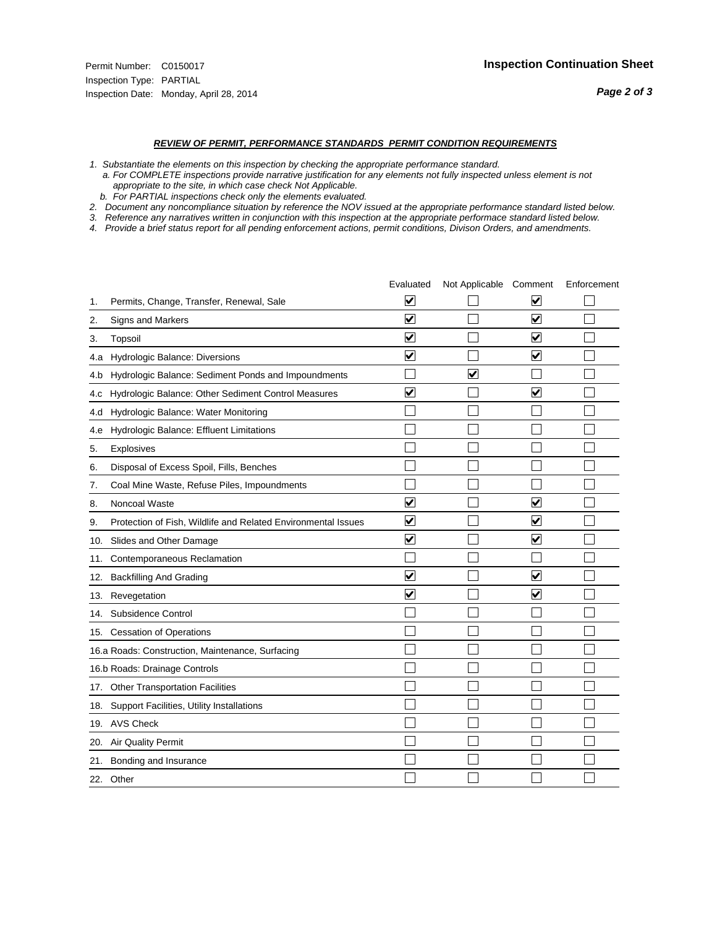#### *REVIEW OF PERMIT, PERFORMANCE STANDARDS PERMIT CONDITION REQUIREMENTS*

*1. Substantiate the elements on this inspection by checking the appropriate performance standard.*

 *a. For COMPLETE inspections provide narrative justification for any elements not fully inspected unless element is not appropriate to the site, in which case check Not Applicable.*

 *b. For PARTIAL inspections check only the elements evaluated.*

*2. Document any noncompliance situation by reference the NOV issued at the appropriate performance standard listed below.*

*3. Reference any narratives written in conjunction with this inspection at the appropriate performace standard listed below.*

|     |                                                               | Evaluated               | Not Applicable Comment |                         | Enforcement |
|-----|---------------------------------------------------------------|-------------------------|------------------------|-------------------------|-------------|
| 1.  | Permits, Change, Transfer, Renewal, Sale                      | $\overline{\mathsf{v}}$ |                        | V                       |             |
| 2.  | Signs and Markers                                             | $\overline{\mathbf{v}}$ |                        | $\blacktriangledown$    |             |
| 3.  | Topsoil                                                       | $\overline{\mathbf{v}}$ |                        | $\blacktriangledown$    |             |
| 4.a | Hydrologic Balance: Diversions                                | ⊽                       |                        | $\blacktriangledown$    |             |
| 4.b | Hydrologic Balance: Sediment Ponds and Impoundments           |                         | V                      |                         |             |
| 4.C | Hydrologic Balance: Other Sediment Control Measures           | $\overline{\mathbf{v}}$ |                        | $\blacktriangledown$    |             |
| 4.d | Hydrologic Balance: Water Monitoring                          |                         |                        |                         |             |
| 4.e | Hydrologic Balance: Effluent Limitations                      |                         |                        |                         |             |
| 5.  | <b>Explosives</b>                                             |                         |                        |                         |             |
| 6.  | Disposal of Excess Spoil, Fills, Benches                      |                         |                        |                         |             |
| 7.  | Coal Mine Waste, Refuse Piles, Impoundments                   |                         |                        |                         |             |
| 8.  | Noncoal Waste                                                 | $\overline{\mathsf{v}}$ |                        | $\overline{\mathbf{v}}$ |             |
| 9.  | Protection of Fish, Wildlife and Related Environmental Issues | ⊽                       |                        | $\overline{\mathbf{v}}$ |             |
|     | 10. Slides and Other Damage                                   | $\overline{\mathbf{v}}$ |                        | $\checkmark$            |             |
| 11. | Contemporaneous Reclamation                                   |                         |                        |                         |             |
| 12. | <b>Backfilling And Grading</b>                                | $\blacktriangledown$    |                        | $\blacktriangledown$    |             |
| 13. | Revegetation                                                  | $\overline{\mathbf{v}}$ |                        | $\overline{\mathsf{v}}$ |             |
| 14. | Subsidence Control                                            |                         |                        |                         |             |
|     | 15. Cessation of Operations                                   |                         |                        |                         |             |
|     | 16.a Roads: Construction, Maintenance, Surfacing              |                         |                        |                         |             |
|     | 16.b Roads: Drainage Controls                                 |                         |                        |                         |             |
|     | 17. Other Transportation Facilities                           |                         |                        |                         |             |
| 18. | Support Facilities, Utility Installations                     |                         |                        |                         |             |
|     | 19. AVS Check                                                 |                         |                        |                         |             |
| 20. | <b>Air Quality Permit</b>                                     |                         |                        |                         |             |
| 21. | Bonding and Insurance                                         |                         |                        |                         |             |
|     | 22. Other                                                     |                         |                        |                         |             |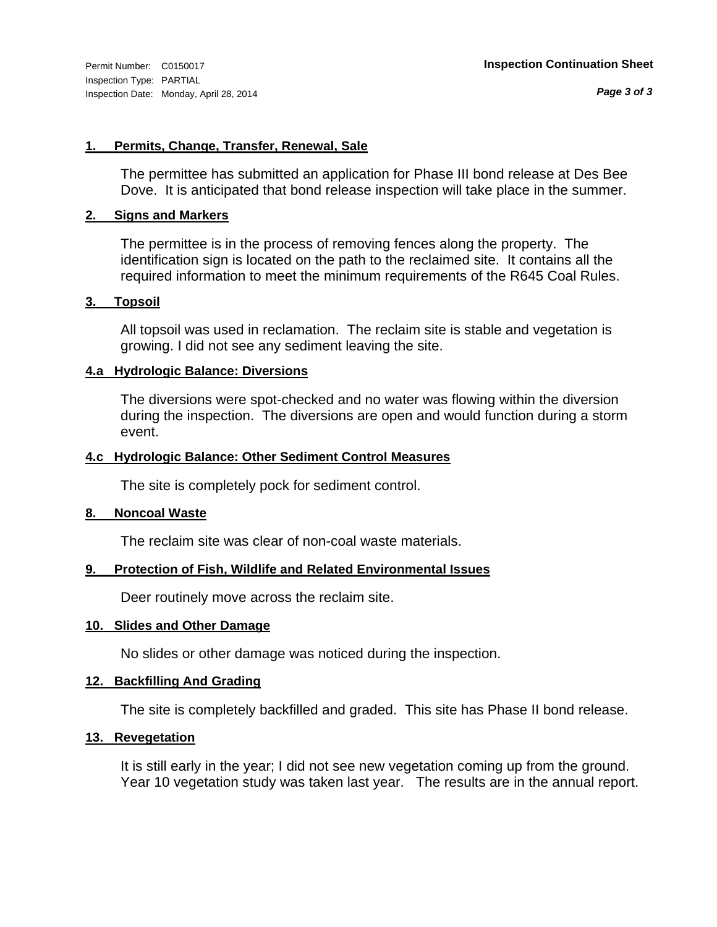#### **1. Permits, Change, Transfer, Renewal, Sale**

The permittee has submitted an application for Phase III bond release at Des Bee Dove. It is anticipated that bond release inspection will take place in the summer.

#### **2. Signs and Markers**

The permittee is in the process of removing fences along the property. The identification sign is located on the path to the reclaimed site. It contains all the required information to meet the minimum requirements of the R645 Coal Rules.

#### **3. Topsoil**

All topsoil was used in reclamation. The reclaim site is stable and vegetation is growing. I did not see any sediment leaving the site.

#### **4.a Hydrologic Balance: Diversions**

The diversions were spot-checked and no water was flowing within the diversion during the inspection. The diversions are open and would function during a storm event.

#### **4.c Hydrologic Balance: Other Sediment Control Measures**

The site is completely pock for sediment control.

#### **8. Noncoal Waste**

The reclaim site was clear of non-coal waste materials.

#### **9. Protection of Fish, Wildlife and Related Environmental Issues**

Deer routinely move across the reclaim site.

#### **10. Slides and Other Damage**

No slides or other damage was noticed during the inspection.

#### **12. Backfilling And Grading**

The site is completely backfilled and graded. This site has Phase II bond release.

#### **13. Revegetation**

It is still early in the year; I did not see new vegetation coming up from the ground. Year 10 vegetation study was taken last year. The results are in the annual report.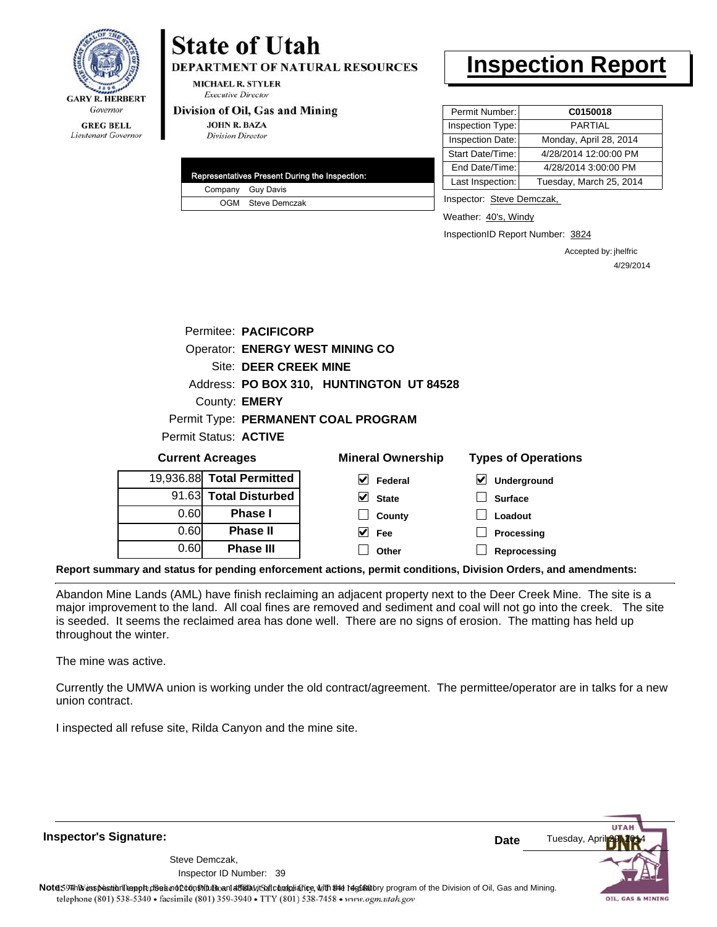![](_page_51_Picture_0.jpeg)

Lieutenant Governor

## **State of Utah**

**DEPARTMENT OF NATURAL RESOURCES** 

**MICHAEL R. STYLER Executive Director** 

#### Division of Oil, Gas and Mining

**JOHN R. BAZA Division Director** 

| Representatives Present During the Inspection: |
|------------------------------------------------|
| Company Guy Davis                              |
| OGM Steve Demczak                              |

### **Inspection Report**

| Permit Number:   | C0150018                |
|------------------|-------------------------|
| Inspection Type: | <b>PARTIAL</b>          |
| Inspection Date: | Monday, April 28, 2014  |
| Start Date/Time: | 4/28/2014 12:00:00 PM   |
| End Date/Time:   | 4/28/2014 3:00:00 PM    |
| Last Inspection: | Tuesday, March 25, 2014 |

Inspector: Steve Demczak,

Weather: 40's, Windy

InspectionID Report Number: 3824

Accepted by: jhelfric 4/29/2014

|                                                                                   | Permitee: PACIFICORP      |                                     |                  |  |  |
|-----------------------------------------------------------------------------------|---------------------------|-------------------------------------|------------------|--|--|
| Operator: ENERGY WEST MINING CO                                                   |                           |                                     |                  |  |  |
|                                                                                   |                           |                                     |                  |  |  |
| Address: PO BOX 310, HUNTINGTON UT 84528                                          |                           |                                     |                  |  |  |
|                                                                                   | County: <b>EMERY</b>      |                                     |                  |  |  |
|                                                                                   |                           | Permit Type: PERMANENT COAL PROGRAM |                  |  |  |
|                                                                                   | Permit Status: ACTIVE     |                                     |                  |  |  |
| <b>Types of Operations</b><br><b>Mineral Ownership</b><br><b>Current Acreages</b> |                           |                                     |                  |  |  |
|                                                                                   |                           |                                     |                  |  |  |
|                                                                                   | 19,936.88 Total Permitted | V<br><b>Federal</b>                 | V<br>Underground |  |  |
| 91.63                                                                             | <b>Total Disturbed</b>    | V<br><b>State</b>                   | <b>Surface</b>   |  |  |
| 0.60                                                                              | Phase I                   | County                              | Loadout          |  |  |
| 0.60                                                                              | <b>Phase II</b>           | Fee                                 | Processing       |  |  |

**Report summary and status for pending enforcement actions, permit conditions, Division Orders, and amendments:**

Abandon Mine Lands (AML) have finish reclaiming an adjacent property next to the Deer Creek Mine. The site is a major improvement to the land. All coal fines are removed and sediment and coal will not go into the creek. The site is seeded. It seems the reclaimed area has done well. There are no signs of erosion. The matting has held up throughout the winter.

The mine was active.

Currently the UMWA union is working under the old contract/agreement. The permittee/operator are in talks for a new union contract.

I inspected all refuse site, Rilda Canyon and the mine site.

Tuesday, Apr **Date** Steve Demczak, 39 Inspector ID Number:Note59#h% inspection report does not constitute an affidavit of compliance, with the regulatory program of the Division of Oil, Gas and Mining. telephone (801) 538-5340 · facsimile (801) 359-3940 · TTY (801) 538-7458 · www.ogm.utah.gov OIL, GAS & MINING

**Inspector's Signature:**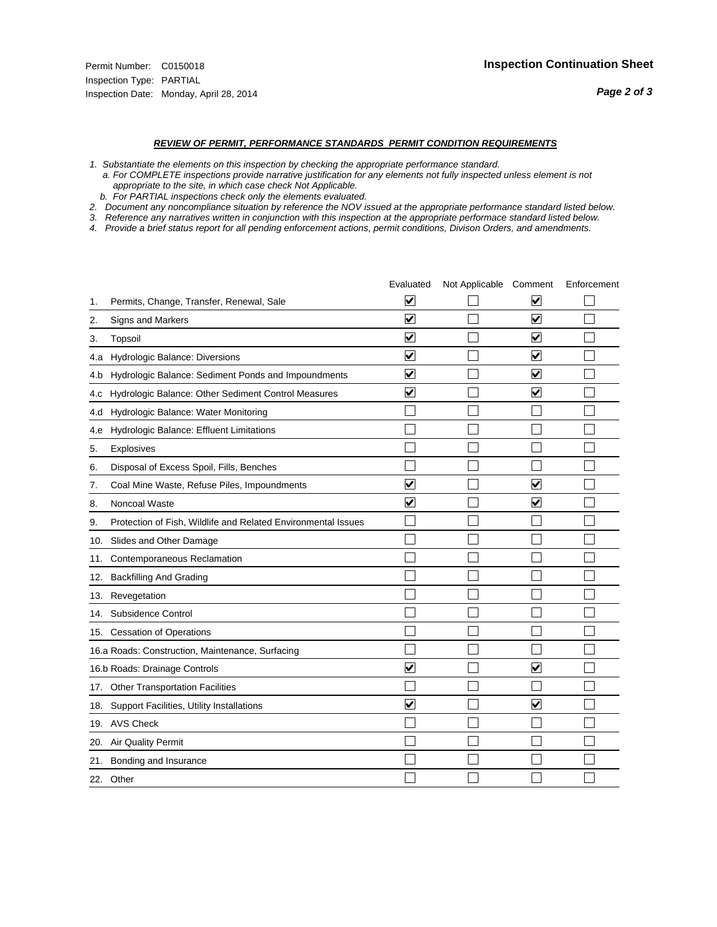#### *REVIEW OF PERMIT, PERFORMANCE STANDARDS PERMIT CONDITION REQUIREMENTS*

*1. Substantiate the elements on this inspection by checking the appropriate performance standard.*

 *a. For COMPLETE inspections provide narrative justification for any elements not fully inspected unless element is not appropriate to the site, in which case check Not Applicable.*

 *b. For PARTIAL inspections check only the elements evaluated.*

*2. Document any noncompliance situation by reference the NOV issued at the appropriate performance standard listed below.*

*3. Reference any narratives written in conjunction with this inspection at the appropriate performace standard listed below.*

|     |                                                               | Evaluated               | Not Applicable Comment |                         | Enforcement |
|-----|---------------------------------------------------------------|-------------------------|------------------------|-------------------------|-------------|
| 1.  | Permits, Change, Transfer, Renewal, Sale                      | V                       |                        | V                       |             |
| 2.  | <b>Signs and Markers</b>                                      | $\overline{\mathbf{v}}$ |                        | $\blacktriangledown$    |             |
| 3.  | Topsoil                                                       | $\overline{\mathbf{v}}$ |                        | $\overline{\mathbf{v}}$ |             |
| 4.a | Hydrologic Balance: Diversions                                | ⊽                       |                        | $\blacktriangledown$    |             |
| 4.b | Hydrologic Balance: Sediment Ponds and Impoundments           | $\checkmark$            |                        | $\blacktriangledown$    |             |
| 4.C | Hydrologic Balance: Other Sediment Control Measures           | $\overline{\mathbf{v}}$ |                        | $\blacktriangledown$    |             |
| 4.d | Hydrologic Balance: Water Monitoring                          |                         |                        |                         |             |
| 4.e | Hydrologic Balance: Effluent Limitations                      |                         |                        |                         |             |
| 5.  | Explosives                                                    |                         |                        |                         |             |
| 6.  | Disposal of Excess Spoil, Fills, Benches                      |                         |                        |                         |             |
| 7.  | Coal Mine Waste, Refuse Piles, Impoundments                   | $\overline{\mathbf{v}}$ |                        | $\overline{\mathbf{v}}$ |             |
| 8.  | Noncoal Waste                                                 | $\overline{\mathbf{v}}$ |                        | ☑                       |             |
| 9.  | Protection of Fish, Wildlife and Related Environmental Issues |                         |                        |                         |             |
| 10. | Slides and Other Damage                                       |                         |                        |                         |             |
| 11. | Contemporaneous Reclamation                                   |                         |                        |                         |             |
| 12. | <b>Backfilling And Grading</b>                                |                         |                        |                         |             |
| 13. | Revegetation                                                  |                         |                        |                         |             |
| 14. | Subsidence Control                                            |                         |                        |                         |             |
| 15. | <b>Cessation of Operations</b>                                |                         |                        |                         |             |
|     | 16.a Roads: Construction, Maintenance, Surfacing              |                         |                        |                         |             |
|     | 16.b Roads: Drainage Controls                                 | $\blacktriangledown$    |                        | $\blacktriangledown$    |             |
| 17. | <b>Other Transportation Facilities</b>                        |                         |                        |                         |             |
| 18. | Support Facilities, Utility Installations                     | $\overline{\mathsf{v}}$ |                        | $\overline{\mathbf{v}}$ |             |
|     | 19. AVS Check                                                 |                         |                        |                         |             |
| 20. | <b>Air Quality Permit</b>                                     |                         |                        |                         |             |
| 21. | Bonding and Insurance                                         |                         |                        |                         |             |
|     | 22. Other                                                     |                         |                        |                         |             |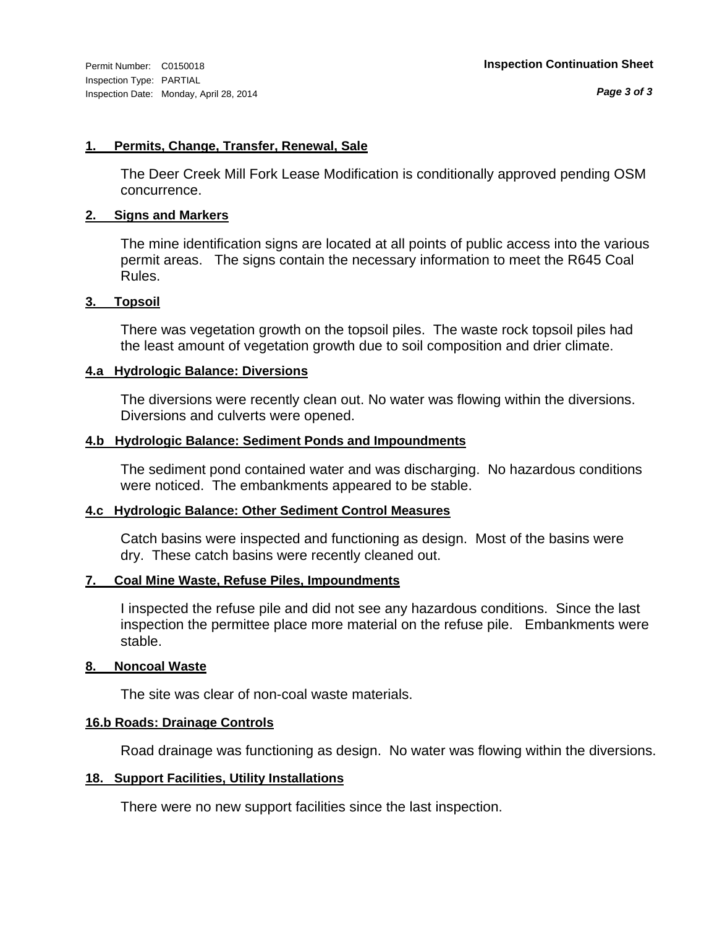*Page 3 of 3*

#### **1. Permits, Change, Transfer, Renewal, Sale**

The Deer Creek Mill Fork Lease Modification is conditionally approved pending OSM concurrence.

#### **2. Signs and Markers**

The mine identification signs are located at all points of public access into the various permit areas. The signs contain the necessary information to meet the R645 Coal Rules.

#### **3. Topsoil**

There was vegetation growth on the topsoil piles. The waste rock topsoil piles had the least amount of vegetation growth due to soil composition and drier climate.

#### **4.a Hydrologic Balance: Diversions**

The diversions were recently clean out. No water was flowing within the diversions. Diversions and culverts were opened.

#### **4.b Hydrologic Balance: Sediment Ponds and Impoundments**

The sediment pond contained water and was discharging. No hazardous conditions were noticed. The embankments appeared to be stable.

#### **4.c Hydrologic Balance: Other Sediment Control Measures**

Catch basins were inspected and functioning as design. Most of the basins were dry. These catch basins were recently cleaned out.

#### **7. Coal Mine Waste, Refuse Piles, Impoundments**

I inspected the refuse pile and did not see any hazardous conditions. Since the last inspection the permittee place more material on the refuse pile. Embankments were stable.

#### **8. Noncoal Waste**

The site was clear of non-coal waste materials.

#### **16.b Roads: Drainage Controls**

Road drainage was functioning as design. No water was flowing within the diversions.

#### **18. Support Facilities, Utility Installations**

There were no new support facilities since the last inspection.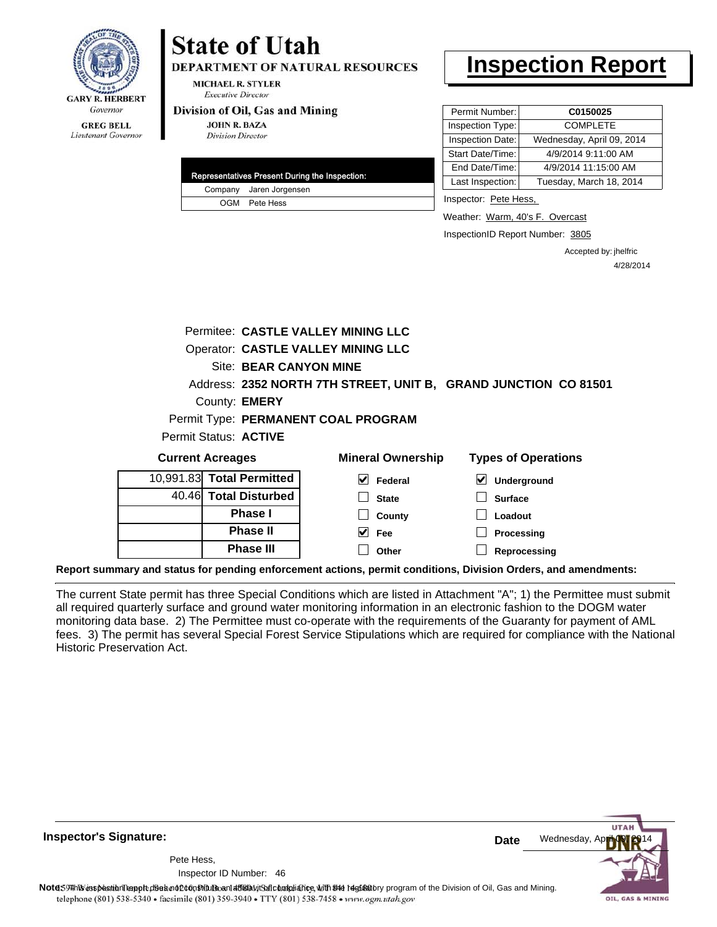![](_page_54_Picture_0.jpeg)

**DEPARTMENT OF NATURAL RESOURCES** 

**MICHAEL R. STYLER Executive Director** 

#### Division of Oil, Gas and Mining

**JOHN R. BAZA Division Director** 

|  | Representatives Present During the Inspection: |
|--|------------------------------------------------|
|  | Company Jaren Jorgensen                        |
|  | OGM Pete Hess                                  |

### **Inspection Report**

| Permit Number:   | C0150025                  |
|------------------|---------------------------|
| Inspection Type: | <b>COMPLETE</b>           |
| Inspection Date: | Wednesday, April 09, 2014 |
| Start Date/Time: | 4/9/2014 9:11:00 AM       |
| End Date/Time:   | 4/9/2014 11:15:00 AM      |
| Last Inspection: | Tuesday, March 18, 2014   |
|                  |                           |

Inspector: Pete Hess,

Weather: Warm, 40's F. Overcast

InspectionID Report Number: 3805

Accepted by: jhelfric 4/28/2014

|                |                           | Permitee: CASTLE VALLEY MINING LLC                              |                                                                                                                |
|----------------|---------------------------|-----------------------------------------------------------------|----------------------------------------------------------------------------------------------------------------|
|                |                           | <b>Operator: CASTLE VALLEY MINING LLC</b>                       |                                                                                                                |
|                | Site: BEAR CANYON MINE    |                                                                 |                                                                                                                |
|                |                           | Address: 2352 NORTH 7TH STREET, UNIT B, GRAND JUNCTION CO 81501 |                                                                                                                |
|                | County: <b>EMERY</b>      |                                                                 |                                                                                                                |
|                |                           | Permit Type: PERMANENT COAL PROGRAM                             |                                                                                                                |
|                | Permit Status: ACTIVE     |                                                                 |                                                                                                                |
|                | <b>Current Acreages</b>   | <b>Mineral Ownership</b>                                        | <b>Types of Operations</b>                                                                                     |
|                | 10,991.83 Total Permitted | $\blacktriangledown$<br>Federal                                 | $\vert\bm{\mathsf{v}}\vert$<br>Underground                                                                     |
|                | 40.46 Total Disturbed     | <b>State</b>                                                    | <b>Surface</b>                                                                                                 |
| <b>Phase I</b> |                           | County                                                          | Loadout                                                                                                        |
|                | <b>Phase II</b>           | $\vee$ Fee                                                      | Processing                                                                                                     |
|                | <b>Phase III</b>          | Other                                                           | Reprocessing                                                                                                   |
|                |                           |                                                                 | Report summary and status for pending enforcement actions, permit conditions, Division Orders, and amendments: |

The current State permit has three Special Conditions which are listed in Attachment "A"; 1) the Permittee must submit all required quarterly surface and ground water monitoring information in an electronic fashion to the DOGM water monitoring data base. 2) The Permittee must co-operate with the requirements of the Guaranty for payment of AML fees. 3) The permit has several Special Forest Service Stipulations which are required for compliance with the National Historic Preservation Act.

![](_page_54_Picture_15.jpeg)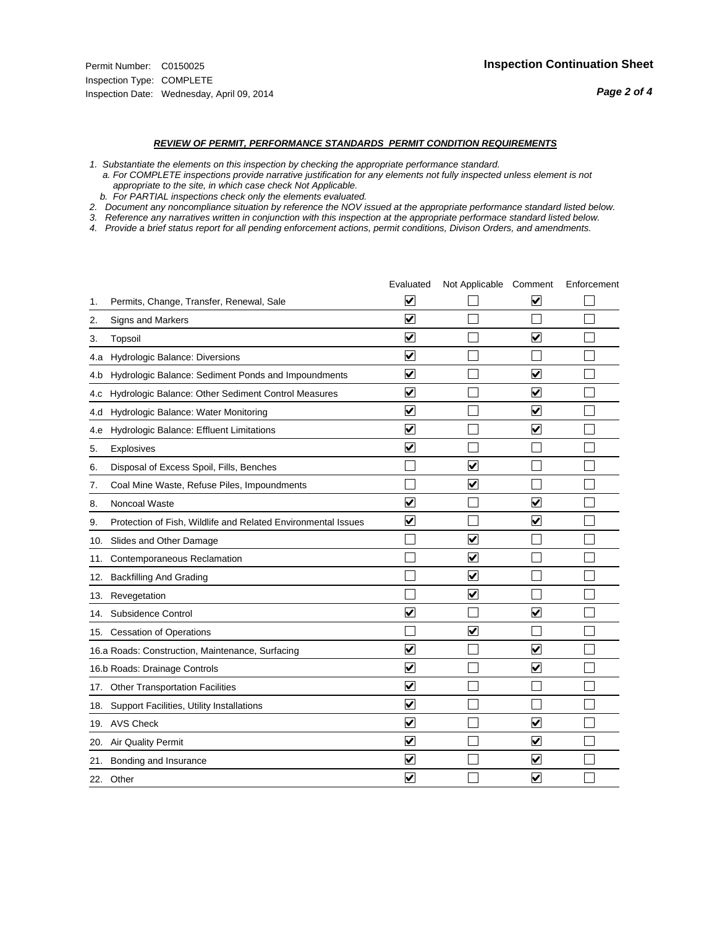#### *REVIEW OF PERMIT, PERFORMANCE STANDARDS PERMIT CONDITION REQUIREMENTS*

*1. Substantiate the elements on this inspection by checking the appropriate performance standard.*

 *a. For COMPLETE inspections provide narrative justification for any elements not fully inspected unless element is not appropriate to the site, in which case check Not Applicable.*

 *b. For PARTIAL inspections check only the elements evaluated.*

*2. Document any noncompliance situation by reference the NOV issued at the appropriate performance standard listed below.*

*3. Reference any narratives written in conjunction with this inspection at the appropriate performace standard listed below.*

|     |                                                               | Evaluated               | Not Applicable Comment  |                         | Enforcement |
|-----|---------------------------------------------------------------|-------------------------|-------------------------|-------------------------|-------------|
| 1.  | Permits, Change, Transfer, Renewal, Sale                      | $\overline{\mathsf{v}}$ |                         | V                       |             |
| 2.  | Signs and Markers                                             | $\overline{\mathbf{v}}$ |                         |                         |             |
| 3.  | Topsoil                                                       | $\overline{\mathbf{v}}$ |                         | $\overline{\mathbf{v}}$ |             |
| 4.a | Hydrologic Balance: Diversions                                | $\blacktriangledown$    |                         |                         |             |
| 4.b | Hydrologic Balance: Sediment Ponds and Impoundments           | $\blacktriangledown$    |                         | V                       |             |
| 4.C | Hydrologic Balance: Other Sediment Control Measures           | $\overline{\mathbf{v}}$ |                         | $\overline{\mathbf{v}}$ |             |
| 4.d | Hydrologic Balance: Water Monitoring                          | $\blacktriangledown$    |                         | $\blacktriangledown$    |             |
| 4.e | Hydrologic Balance: Effluent Limitations                      | $\overline{\mathbf{v}}$ |                         | $\blacktriangledown$    |             |
| 5.  | Explosives                                                    | $\overline{\mathbf{v}}$ |                         |                         |             |
| 6.  | Disposal of Excess Spoil, Fills, Benches                      |                         | $\blacktriangledown$    |                         |             |
| 7.  | Coal Mine Waste, Refuse Piles, Impoundments                   |                         | $\overline{\mathbf{v}}$ |                         |             |
| 8.  | Noncoal Waste                                                 | $\overline{\mathbf{v}}$ |                         | $\overline{\mathsf{v}}$ |             |
| 9.  | Protection of Fish, Wildlife and Related Environmental Issues | $\blacktriangledown$    |                         | $\blacktriangledown$    |             |
| 10. | Slides and Other Damage                                       |                         | $\overline{\mathsf{v}}$ |                         |             |
| 11. | Contemporaneous Reclamation                                   |                         | ⊻                       |                         |             |
| 12. | <b>Backfilling And Grading</b>                                |                         | $\blacktriangledown$    |                         |             |
| 13. | Revegetation                                                  |                         | $\overline{\mathbf{v}}$ |                         |             |
| 14. | Subsidence Control                                            | $\overline{\mathbf{v}}$ |                         | $\overline{\mathbf{v}}$ |             |
|     | 15. Cessation of Operations                                   |                         | ✔                       |                         |             |
|     | 16.a Roads: Construction, Maintenance, Surfacing              | $\overline{\mathbf{v}}$ |                         | $\overline{\mathbf{v}}$ |             |
|     | 16.b Roads: Drainage Controls                                 | $\blacktriangledown$    |                         | $\blacktriangledown$    |             |
|     | 17. Other Transportation Facilities                           | $\overline{\mathbf{v}}$ |                         |                         |             |
| 18. | Support Facilities, Utility Installations                     | $\overline{\mathbf{v}}$ |                         |                         |             |
|     | 19. AVS Check                                                 | $\overline{\mathbf{v}}$ |                         | $\blacktriangledown$    |             |
|     | 20. Air Quality Permit                                        | $\blacktriangledown$    |                         | $\blacktriangledown$    |             |
|     | 21. Bonding and Insurance                                     | $\overline{\mathbf{v}}$ |                         | $\blacktriangledown$    |             |
|     | 22. Other                                                     | $\overline{\mathbf{v}}$ |                         | $\overline{\mathbf{v}}$ |             |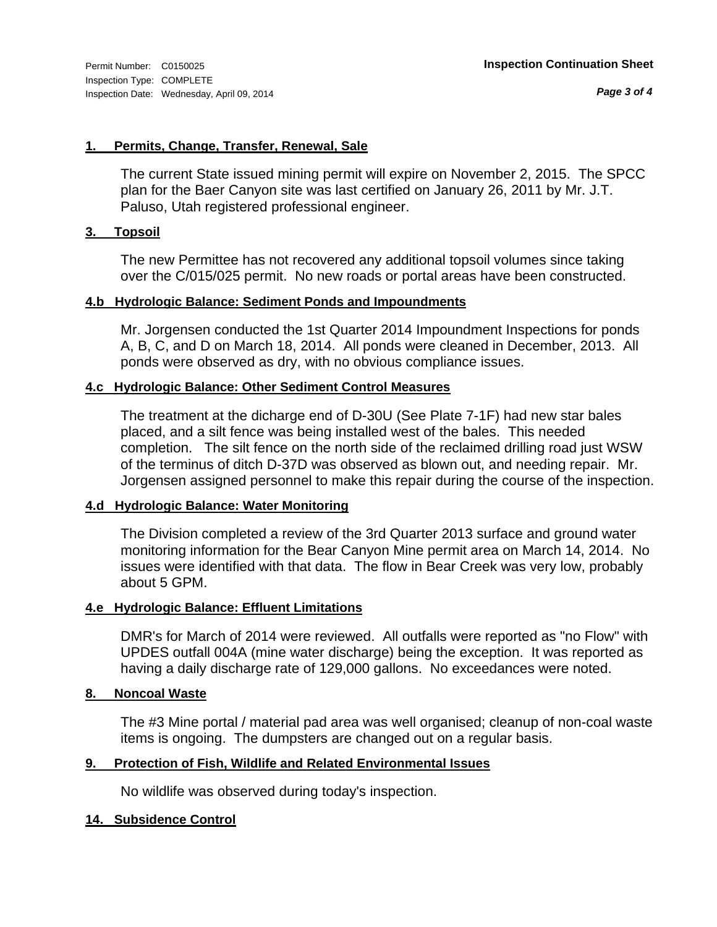#### **1. Permits, Change, Transfer, Renewal, Sale**

The current State issued mining permit will expire on November 2, 2015. The SPCC plan for the Baer Canyon site was last certified on January 26, 2011 by Mr. J.T. Paluso, Utah registered professional engineer.

#### **3. Topsoil**

The new Permittee has not recovered any additional topsoil volumes since taking over the C/015/025 permit. No new roads or portal areas have been constructed.

#### **4.b Hydrologic Balance: Sediment Ponds and Impoundments**

Mr. Jorgensen conducted the 1st Quarter 2014 Impoundment Inspections for ponds A, B, C, and D on March 18, 2014. All ponds were cleaned in December, 2013. All ponds were observed as dry, with no obvious compliance issues.

#### **4.c Hydrologic Balance: Other Sediment Control Measures**

The treatment at the dicharge end of D-30U (See Plate 7-1F) had new star bales placed, and a silt fence was being installed west of the bales. This needed completion. The silt fence on the north side of the reclaimed drilling road just WSW of the terminus of ditch D-37D was observed as blown out, and needing repair. Mr. Jorgensen assigned personnel to make this repair during the course of the inspection.

#### **4.d Hydrologic Balance: Water Monitoring**

The Division completed a review of the 3rd Quarter 2013 surface and ground water monitoring information for the Bear Canyon Mine permit area on March 14, 2014. No issues were identified with that data. The flow in Bear Creek was very low, probably about 5 GPM.

#### **4.e Hydrologic Balance: Effluent Limitations**

DMR's for March of 2014 were reviewed. All outfalls were reported as "no Flow" with UPDES outfall 004A (mine water discharge) being the exception. It was reported as having a daily discharge rate of 129,000 gallons. No exceedances were noted.

#### **8. Noncoal Waste**

The #3 Mine portal / material pad area was well organised; cleanup of non-coal waste items is ongoing. The dumpsters are changed out on a regular basis.

#### **9. Protection of Fish, Wildlife and Related Environmental Issues**

No wildlife was observed during today's inspection.

#### **14. Subsidence Control**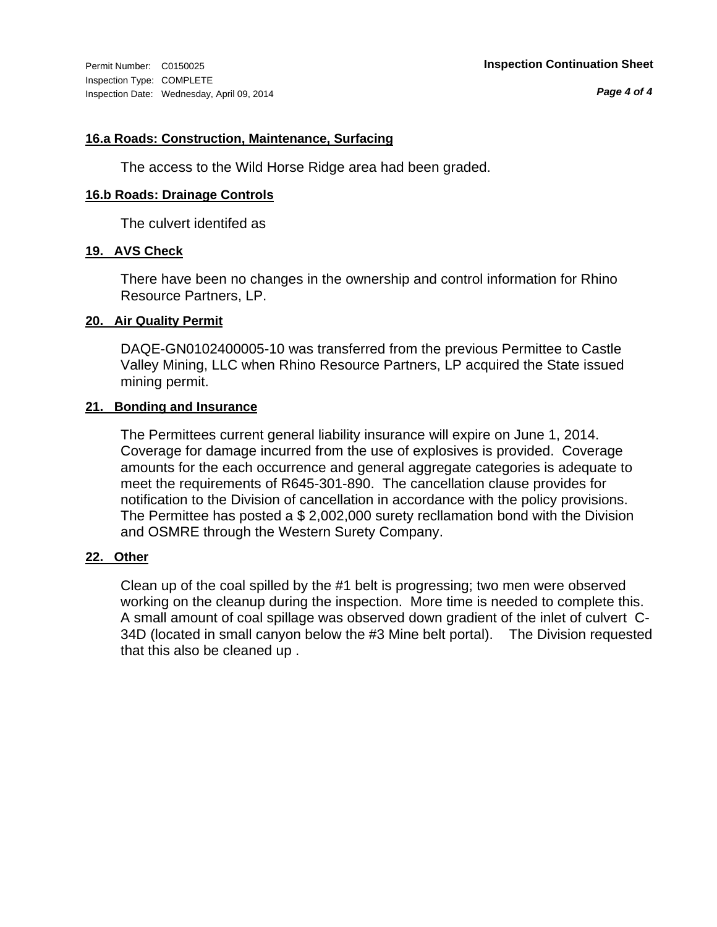*Page 4 of 4*

#### **16.a Roads: Construction, Maintenance, Surfacing**

The access to the Wild Horse Ridge area had been graded.

#### **16.b Roads: Drainage Controls**

The culvert identifed as

#### **19. AVS Check**

There have been no changes in the ownership and control information for Rhino Resource Partners, LP.

#### **20. Air Quality Permit**

DAQE-GN0102400005-10 was transferred from the previous Permittee to Castle Valley Mining, LLC when Rhino Resource Partners, LP acquired the State issued mining permit.

#### **21. Bonding and Insurance**

The Permittees current general liability insurance will expire on June 1, 2014. Coverage for damage incurred from the use of explosives is provided. Coverage amounts for the each occurrence and general aggregate categories is adequate to meet the requirements of R645-301-890. The cancellation clause provides for notification to the Division of cancellation in accordance with the policy provisions. The Permittee has posted a \$ 2,002,000 surety recllamation bond with the Division and OSMRE through the Western Surety Company.

#### **22. Other**

Clean up of the coal spilled by the #1 belt is progressing; two men were observed working on the cleanup during the inspection. More time is needed to complete this. A small amount of coal spillage was observed down gradient of the inlet of culvert C-34D (located in small canyon below the #3 Mine belt portal). The Division requested that this also be cleaned up .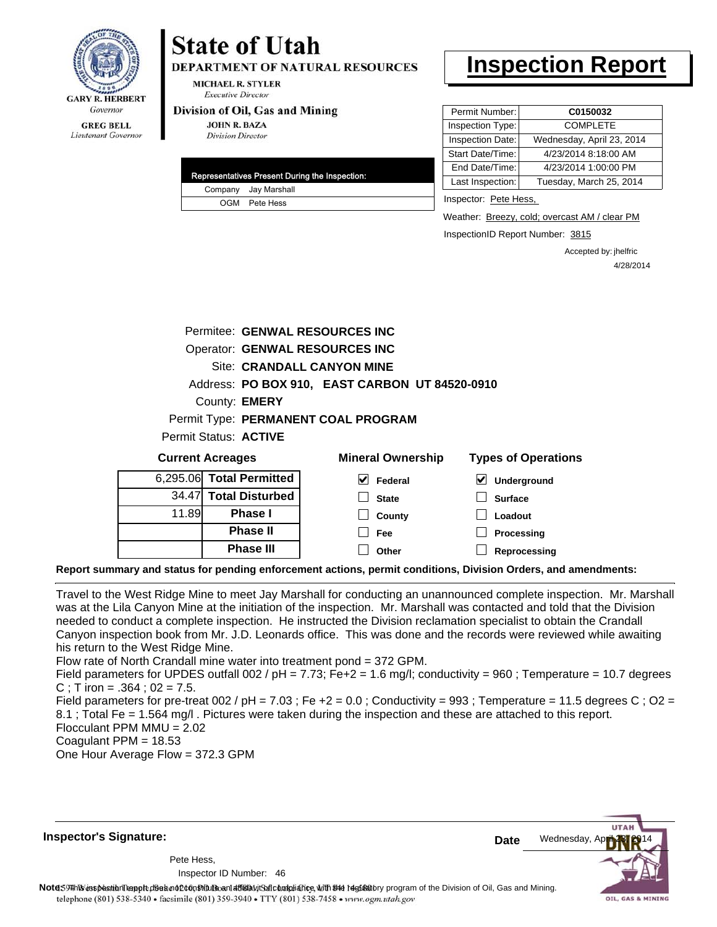![](_page_58_Picture_0.jpeg)

**DEPARTMENT OF NATURAL RESOURCES** 

**MICHAEL R. STYLER Executive Director** 

#### Division of Oil, Gas and Mining

**JOHN R. BAZA Division Director** 

|  | Representatives Present During the Inspection: |
|--|------------------------------------------------|
|  | Company Jay Marshall                           |
|  | OGM Pete Hess                                  |

### **Inspection Report**

| Permit Number:   | C0150032                  |
|------------------|---------------------------|
| Inspection Type: | <b>COMPLETE</b>           |
| Inspection Date: | Wednesday, April 23, 2014 |
| Start Date/Time: | 4/23/2014 8:18:00 AM      |
| End Date/Time:   | 4/23/2014 1:00:00 PM      |
| Last Inspection: | Tuesday, March 25, 2014   |
|                  |                           |

Inspector: Pete Hess,

Weather: Breezy, cold; overcast AM / clear PM

InspectionID Report Number: 3815

Accepted by: jhelfric 4/28/2014

|          | Permitee: GENWAL RESOURCES INC                 |                                     |                            |  |  |
|----------|------------------------------------------------|-------------------------------------|----------------------------|--|--|
|          | Operator: GENWAL RESOURCES INC                 |                                     |                            |  |  |
|          | <b>Site: CRANDALL CANYON MINE</b>              |                                     |                            |  |  |
|          | Address: PO BOX 910, EAST CARBON UT 84520-0910 |                                     |                            |  |  |
|          | County: <b>EMERY</b>                           |                                     |                            |  |  |
|          |                                                | Permit Type: PERMANENT COAL PROGRAM |                            |  |  |
|          | Permit Status: <b>ACTIVE</b>                   |                                     |                            |  |  |
|          | <b>Current Acreages</b>                        | <b>Mineral Ownership</b>            | <b>Types of Operations</b> |  |  |
| 6,295.06 | <b>Total Permitted</b>                         | V<br>Federal                        | M<br>Underground           |  |  |
| 34.47    | <b>Total Disturbed</b>                         | <b>State</b>                        | <b>Surface</b>             |  |  |
| 11.89    | Phase I                                        | County                              | Loadout                    |  |  |
|          | <b>Phase II</b>                                | Fee                                 | Processing                 |  |  |
|          | <b>Phase III</b>                               | Other                               | Reprocessing               |  |  |
|          |                                                |                                     |                            |  |  |

**Report summary and status for pending enforcement actions, permit conditions, Division Orders, and amendments:**

Travel to the West Ridge Mine to meet Jay Marshall for conducting an unannounced complete inspection. Mr. Marshall was at the Lila Canyon Mine at the initiation of the inspection. Mr. Marshall was contacted and told that the Division needed to conduct a complete inspection. He instructed the Division reclamation specialist to obtain the Crandall Canyon inspection book from Mr. J.D. Leonards office. This was done and the records were reviewed while awaiting his return to the West Ridge Mine.

Flow rate of North Crandall mine water into treatment pond = 372 GPM.

Field parameters for UPDES outfall 002 /  $pH = 7.73$ ; Fe+2 = 1.6 mg/l; conductivity = 960 ; Temperature = 10.7 degrees  $C$ ; T iron = .364; 02 = 7.5.

Field parameters for pre-treat  $002 / pH = 7.03$ ; Fe +2 = 0.0; Conductivity = 993; Temperature = 11.5 degrees C; O2 = 8.1 ; Total Fe = 1.564 mg/l . Pictures were taken during the inspection and these are attached to this report. Flocculant PPM MMU = 2.02 Coagulant PPM = 18.53

One Hour Average Flow = 372.3 GPM

**Inspector's Signature:**

Wednesday, A **Date**

46 Inspector ID Number:Pete Hess,

Note59#h% inspection report does not constitute an affidavit of compliance, with the regulatory program of the Division of Oil, Gas and Mining. telephone (801) 538-5340 · facsimile (801) 359-3940 · TTY (801) 538-7458 · www.ogm.utah.gov

OIL, GAS & MINING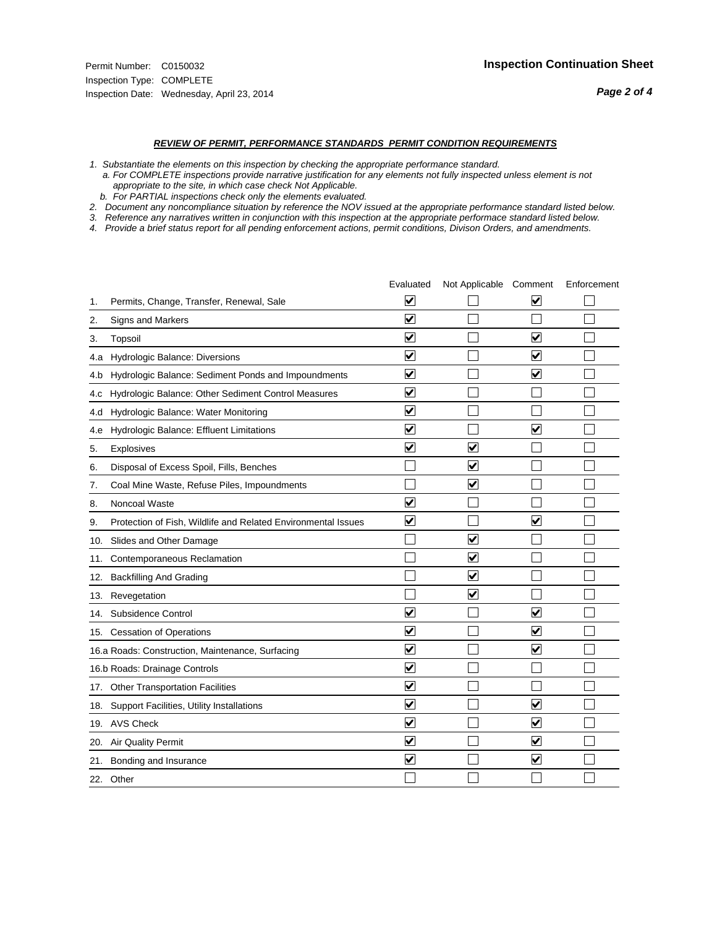#### *REVIEW OF PERMIT, PERFORMANCE STANDARDS PERMIT CONDITION REQUIREMENTS*

*1. Substantiate the elements on this inspection by checking the appropriate performance standard.*

 *a. For COMPLETE inspections provide narrative justification for any elements not fully inspected unless element is not appropriate to the site, in which case check Not Applicable.*

 *b. For PARTIAL inspections check only the elements evaluated.*

*2. Document any noncompliance situation by reference the NOV issued at the appropriate performance standard listed below.*

*3. Reference any narratives written in conjunction with this inspection at the appropriate performace standard listed below.*

|     |                                                               | Evaluated               | Not Applicable Comment  |                         | Enforcement |
|-----|---------------------------------------------------------------|-------------------------|-------------------------|-------------------------|-------------|
| 1.  | Permits, Change, Transfer, Renewal, Sale                      | ⊻                       |                         | V                       |             |
| 2.  | Signs and Markers                                             | $\overline{\mathbf{v}}$ |                         |                         |             |
| 3.  | Topsoil                                                       | $\overline{\mathbf{v}}$ |                         | $\overline{\mathbf{v}}$ |             |
| 4.a | <b>Hydrologic Balance: Diversions</b>                         | $\overline{\mathsf{v}}$ |                         | $\blacktriangledown$    |             |
| 4.b | Hydrologic Balance: Sediment Ponds and Impoundments           | $\blacktriangledown$    |                         | $\blacktriangledown$    |             |
| 4.C | Hydrologic Balance: Other Sediment Control Measures           | $\checkmark$            |                         |                         |             |
| 4.d | Hydrologic Balance: Water Monitoring                          | $\overline{\mathbf{v}}$ |                         |                         |             |
| 4.e | Hydrologic Balance: Effluent Limitations                      | $\overline{\mathbf{v}}$ |                         | $\blacktriangledown$    |             |
| 5.  | <b>Explosives</b>                                             | $\overline{\mathbf{v}}$ | $\overline{\mathbf{v}}$ |                         |             |
| 6.  | Disposal of Excess Spoil, Fills, Benches                      |                         | $\blacktriangledown$    |                         |             |
| 7.  | Coal Mine Waste, Refuse Piles, Impoundments                   |                         | $\overline{\mathbf{v}}$ |                         |             |
| 8.  | Noncoal Waste                                                 | $\overline{\mathbf{v}}$ |                         |                         |             |
| 9.  | Protection of Fish, Wildlife and Related Environmental Issues | $\blacktriangledown$    |                         | ✓                       |             |
| 10. | Slides and Other Damage                                       |                         | $\overline{\mathbf{v}}$ |                         |             |
| 11. | Contemporaneous Reclamation                                   |                         | ⊻                       |                         |             |
| 12. | <b>Backfilling And Grading</b>                                |                         | $\blacktriangledown$    |                         |             |
| 13. | Revegetation                                                  |                         | $\overline{\mathbf{v}}$ |                         |             |
| 14. | Subsidence Control                                            | $\overline{\mathbf{v}}$ |                         | $\blacktriangledown$    |             |
|     | 15. Cessation of Operations                                   | $\blacktriangledown$    |                         | $\blacktriangledown$    |             |
|     | 16.a Roads: Construction, Maintenance, Surfacing              | $\overline{\mathsf{v}}$ |                         | $\overline{\mathbf{v}}$ |             |
|     | 16.b Roads: Drainage Controls                                 | $\blacktriangledown$    |                         |                         |             |
| 17. | <b>Other Transportation Facilities</b>                        | $\overline{\mathbf{v}}$ |                         |                         |             |
| 18. | Support Facilities, Utility Installations                     | $\overline{\mathbf{v}}$ |                         | $\blacktriangledown$    |             |
|     | 19. AVS Check                                                 | $\overline{\mathbf{v}}$ |                         | $\blacktriangledown$    |             |
| 20. | <b>Air Quality Permit</b>                                     | $\checkmark$            |                         | $\blacktriangledown$    |             |
| 21. | Bonding and Insurance                                         | $\overline{\mathbf{v}}$ |                         | $\blacktriangledown$    |             |
|     | 22. Other                                                     |                         |                         |                         |             |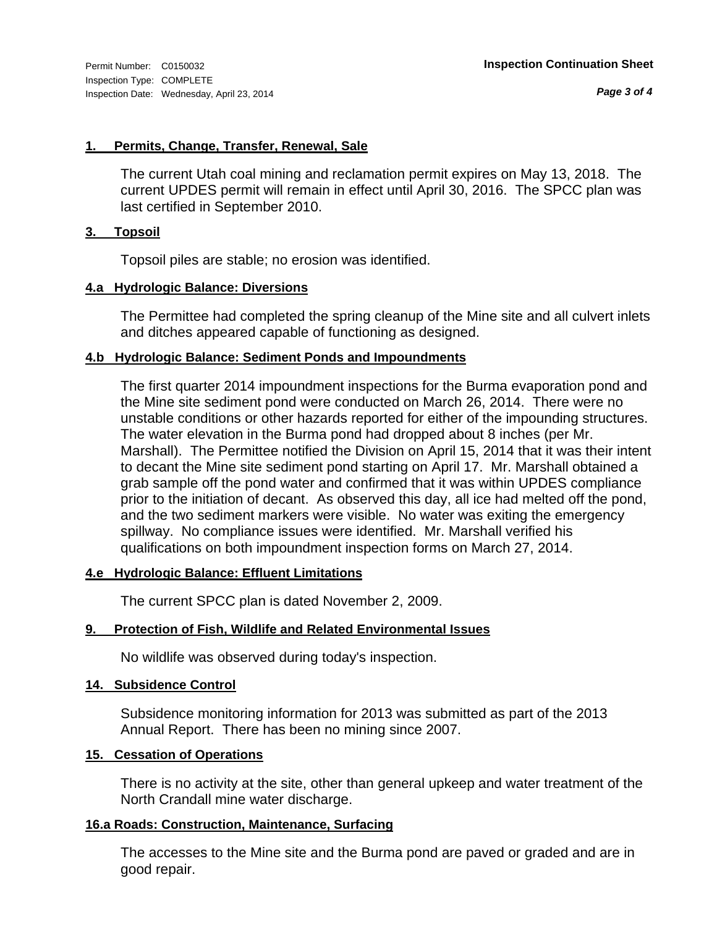#### **1. Permits, Change, Transfer, Renewal, Sale**

The current Utah coal mining and reclamation permit expires on May 13, 2018. The current UPDES permit will remain in effect until April 30, 2016. The SPCC plan was last certified in September 2010.

#### **3. Topsoil**

Topsoil piles are stable; no erosion was identified.

#### **4.a Hydrologic Balance: Diversions**

The Permittee had completed the spring cleanup of the Mine site and all culvert inlets and ditches appeared capable of functioning as designed.

#### **4.b Hydrologic Balance: Sediment Ponds and Impoundments**

The first quarter 2014 impoundment inspections for the Burma evaporation pond and the Mine site sediment pond were conducted on March 26, 2014. There were no unstable conditions or other hazards reported for either of the impounding structures. The water elevation in the Burma pond had dropped about 8 inches (per Mr. Marshall). The Permittee notified the Division on April 15, 2014 that it was their intent to decant the Mine site sediment pond starting on April 17. Mr. Marshall obtained a grab sample off the pond water and confirmed that it was within UPDES compliance prior to the initiation of decant. As observed this day, all ice had melted off the pond, and the two sediment markers were visible. No water was exiting the emergency spillway. No compliance issues were identified. Mr. Marshall verified his qualifications on both impoundment inspection forms on March 27, 2014.

#### **4.e Hydrologic Balance: Effluent Limitations**

The current SPCC plan is dated November 2, 2009.

#### **9. Protection of Fish, Wildlife and Related Environmental Issues**

No wildlife was observed during today's inspection.

#### **14. Subsidence Control**

Subsidence monitoring information for 2013 was submitted as part of the 2013 Annual Report. There has been no mining since 2007.

#### **15. Cessation of Operations**

There is no activity at the site, other than general upkeep and water treatment of the North Crandall mine water discharge.

#### **16.a Roads: Construction, Maintenance, Surfacing**

The accesses to the Mine site and the Burma pond are paved or graded and are in good repair.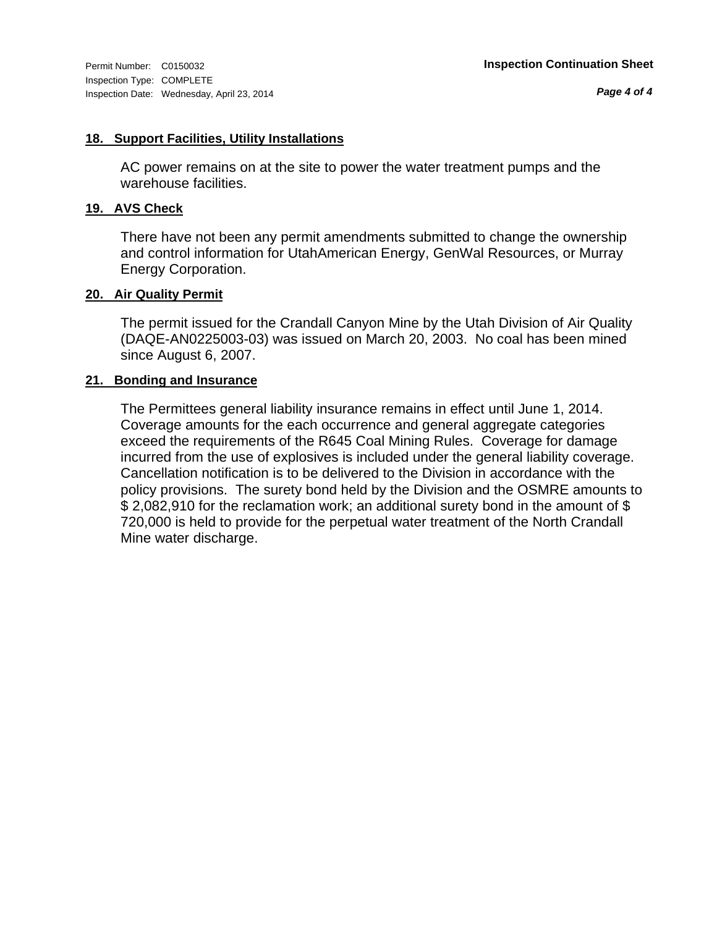#### **18. Support Facilities, Utility Installations**

AC power remains on at the site to power the water treatment pumps and the warehouse facilities.

#### **19. AVS Check**

There have not been any permit amendments submitted to change the ownership and control information for UtahAmerican Energy, GenWal Resources, or Murray Energy Corporation.

#### **20. Air Quality Permit**

The permit issued for the Crandall Canyon Mine by the Utah Division of Air Quality (DAQE-AN0225003-03) was issued on March 20, 2003. No coal has been mined since August 6, 2007.

#### **21. Bonding and Insurance**

The Permittees general liability insurance remains in effect until June 1, 2014. Coverage amounts for the each occurrence and general aggregate categories exceed the requirements of the R645 Coal Mining Rules. Coverage for damage incurred from the use of explosives is included under the general liability coverage. Cancellation notification is to be delivered to the Division in accordance with the policy provisions. The surety bond held by the Division and the OSMRE amounts to \$ 2,082,910 for the reclamation work; an additional surety bond in the amount of \$ 720,000 is held to provide for the perpetual water treatment of the North Crandall Mine water discharge.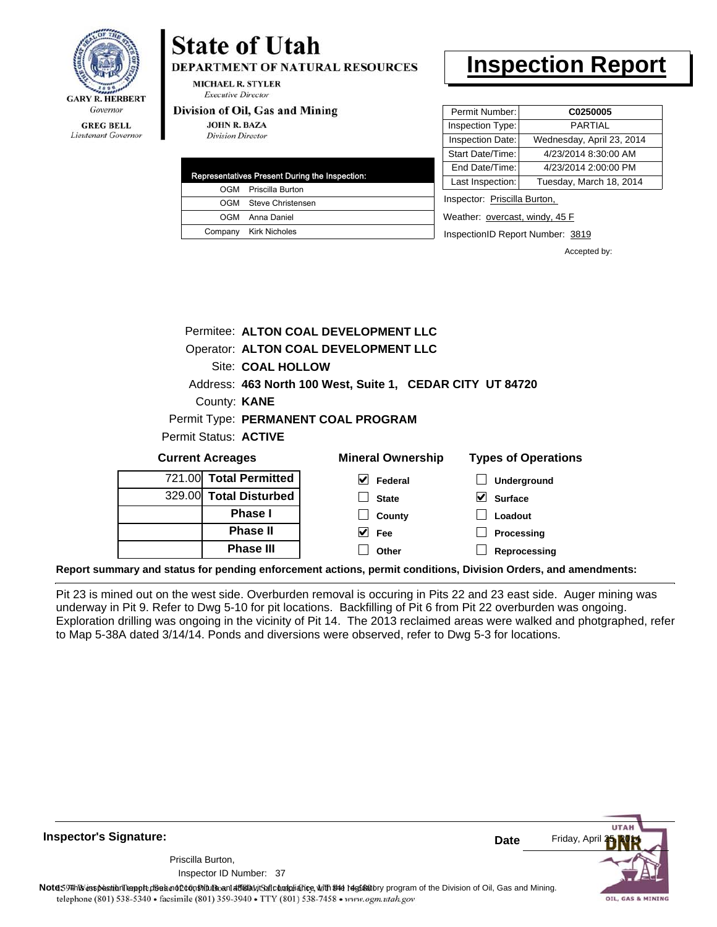![](_page_62_Picture_0.jpeg)

#### **GREG BELL** Lieutenant Governor

# **State of Utah**

**DEPARTMENT OF NATURAL RESOURCES** 

**MICHAEL R. STYLER Executive Director** 

#### Division of Oil, Gas and Mining

**JOHN R. BAZA Division Director** 

| Representatives Present During the Inspection: |
|------------------------------------------------|
| OGM Priscilla Burton                           |
| OGM Steve Christensen                          |
| OGM Anna Daniel                                |
| Company Kirk Nicholes                          |

### **Inspection Report**

| Permit Number:   | C0250005                  |
|------------------|---------------------------|
| Inspection Type: | <b>PARTIAL</b>            |
| Inspection Date: | Wednesday, April 23, 2014 |
| Start Date/Time: | 4/23/2014 8:30:00 AM      |
| End Date/Time:   | 4/23/2014 2:00:00 PM      |
| Last Inspection: | Tuesday, March 18, 2014   |
|                  |                           |

Inspector: Priscilla Burton,

Weather: overcast, windy, 45 F

InspectionID Report Number: 3819

Accepted by:

|                         |                        | Permitee: ALTON COAL DEVELOPMENT LLC                      |                            |
|-------------------------|------------------------|-----------------------------------------------------------|----------------------------|
|                         |                        | Operator: ALTON COAL DEVELOPMENT LLC                      |                            |
|                         | Site: COAL HOLLOW      |                                                           |                            |
|                         |                        | Address: 463 North 100 West, Suite 1, CEDAR CITY UT 84720 |                            |
|                         | County: <b>KANE</b>    |                                                           |                            |
|                         |                        | Permit Type: PERMANENT COAL PROGRAM                       |                            |
|                         | Permit Status: ACTIVE  |                                                           |                            |
| <b>Current Acreages</b> |                        | <b>Mineral Ownership</b>                                  | <b>Types of Operations</b> |
|                         | 721.00 Total Permitted | M<br>Federal                                              | <b>Underground</b>         |
|                         | 329.00 Total Disturbed | <b>State</b>                                              | <b>Surface</b>             |

| 721.00 Total Permitted |
|------------------------|
| 329.00 Total Disturbed |
| <b>Phase I</b>         |
| <b>Phase II</b>        |
| <b>Phase III</b>       |

| eral Ownership               | <b>Types of Op</b>      |  |  |
|------------------------------|-------------------------|--|--|
| $\sqrt{\phantom{a}}$ Federal | $\Box$ Undergro         |  |  |
| $\Box$ State                 | $\triangledown$ Surface |  |  |
| $\Box$ County                | $\Box$ Loadout          |  |  |
| $\vee$ Fee                   | $\Box$ Processi         |  |  |

**Processing Reprocessing Other**

**Report summary and status for pending enforcement actions, permit conditions, Division Orders, and amendments:**

Pit 23 is mined out on the west side. Overburden removal is occuring in Pits 22 and 23 east side. Auger mining was underway in Pit 9. Refer to Dwg 5-10 for pit locations. Backfilling of Pit 6 from Pit 22 overburden was ongoing. Exploration drilling was ongoing in the vicinity of Pit 14. The 2013 reclaimed areas were walked and photgraphed, refer to Map 5-38A dated 3/14/14. Ponds and diversions were observed, refer to Dwg 5-3 for locations.

![](_page_62_Picture_20.jpeg)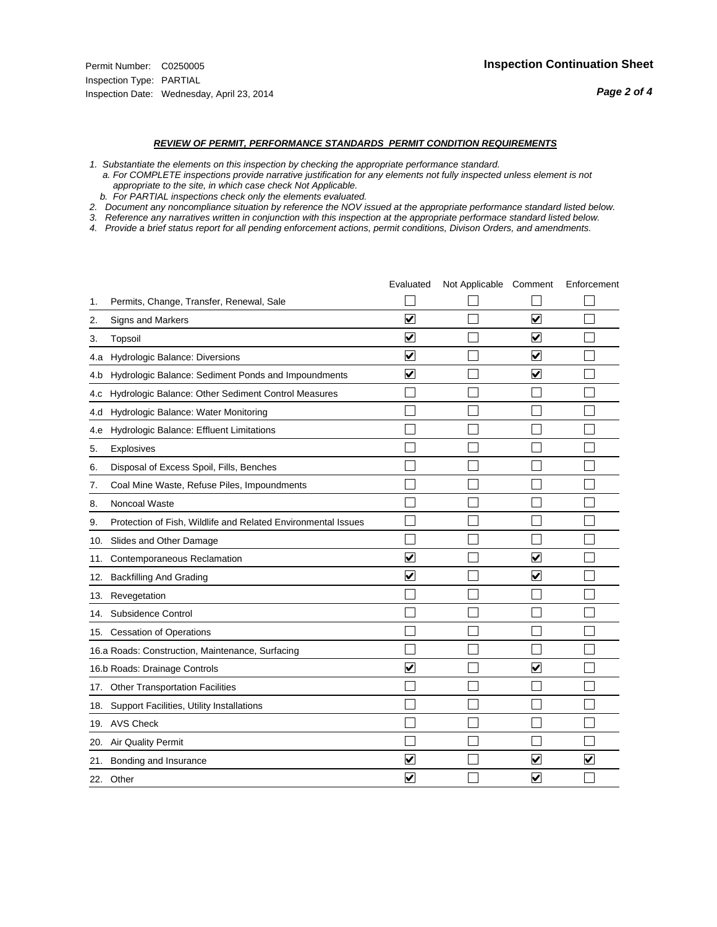#### *REVIEW OF PERMIT, PERFORMANCE STANDARDS PERMIT CONDITION REQUIREMENTS*

*1. Substantiate the elements on this inspection by checking the appropriate performance standard.*

 *a. For COMPLETE inspections provide narrative justification for any elements not fully inspected unless element is not appropriate to the site, in which case check Not Applicable.*

 *b. For PARTIAL inspections check only the elements evaluated.*

*2. Document any noncompliance situation by reference the NOV issued at the appropriate performance standard listed below.*

*3. Reference any narratives written in conjunction with this inspection at the appropriate performace standard listed below.*

|     |                                                               | Evaluated               | Not Applicable Comment |                         | Enforcement             |
|-----|---------------------------------------------------------------|-------------------------|------------------------|-------------------------|-------------------------|
| 1.  | Permits, Change, Transfer, Renewal, Sale                      |                         |                        |                         |                         |
| 2.  | <b>Signs and Markers</b>                                      | $\overline{\mathbf{v}}$ |                        | $\overline{\mathbf{v}}$ |                         |
| 3.  | Topsoil                                                       | $\overline{\mathbf{v}}$ |                        | $\overline{\mathbf{v}}$ |                         |
| 4.a | Hydrologic Balance: Diversions                                | ⊽                       |                        | $\blacktriangledown$    |                         |
| 4.b | Hydrologic Balance: Sediment Ponds and Impoundments           | $\blacktriangledown$    |                        | ⊻                       |                         |
| 4.C | Hydrologic Balance: Other Sediment Control Measures           |                         |                        |                         |                         |
| 4.d | Hydrologic Balance: Water Monitoring                          |                         |                        |                         |                         |
| 4.e | Hydrologic Balance: Effluent Limitations                      |                         |                        |                         |                         |
| 5.  | Explosives                                                    |                         |                        |                         |                         |
| 6.  | Disposal of Excess Spoil, Fills, Benches                      |                         |                        |                         |                         |
| 7.  | Coal Mine Waste, Refuse Piles, Impoundments                   |                         |                        |                         |                         |
| 8.  | Noncoal Waste                                                 |                         |                        |                         |                         |
| 9.  | Protection of Fish, Wildlife and Related Environmental Issues |                         |                        |                         |                         |
| 10. | Slides and Other Damage                                       |                         |                        |                         |                         |
| 11. | Contemporaneous Reclamation                                   | ⊽                       |                        | $\overline{\mathbf{v}}$ |                         |
| 12. | <b>Backfilling And Grading</b>                                | $\overline{\mathbf{v}}$ |                        | $\blacktriangledown$    |                         |
| 13. | Revegetation                                                  |                         |                        |                         |                         |
| 14. | Subsidence Control                                            |                         |                        |                         |                         |
|     | 15. Cessation of Operations                                   |                         |                        |                         |                         |
|     | 16.a Roads: Construction, Maintenance, Surfacing              |                         |                        |                         |                         |
|     | 16.b Roads: Drainage Controls                                 | ⊽                       |                        | V                       |                         |
|     | 17. Other Transportation Facilities                           |                         |                        |                         |                         |
| 18. | Support Facilities, Utility Installations                     |                         |                        |                         |                         |
|     | 19. AVS Check                                                 |                         |                        |                         |                         |
| 20. | Air Quality Permit                                            |                         |                        |                         |                         |
| 21. | Bonding and Insurance                                         | V                       |                        | $\blacktriangledown$    | $\overline{\mathbf{v}}$ |
|     | 22. Other                                                     | $\overline{\mathbf{v}}$ |                        | $\overline{\mathbf{v}}$ |                         |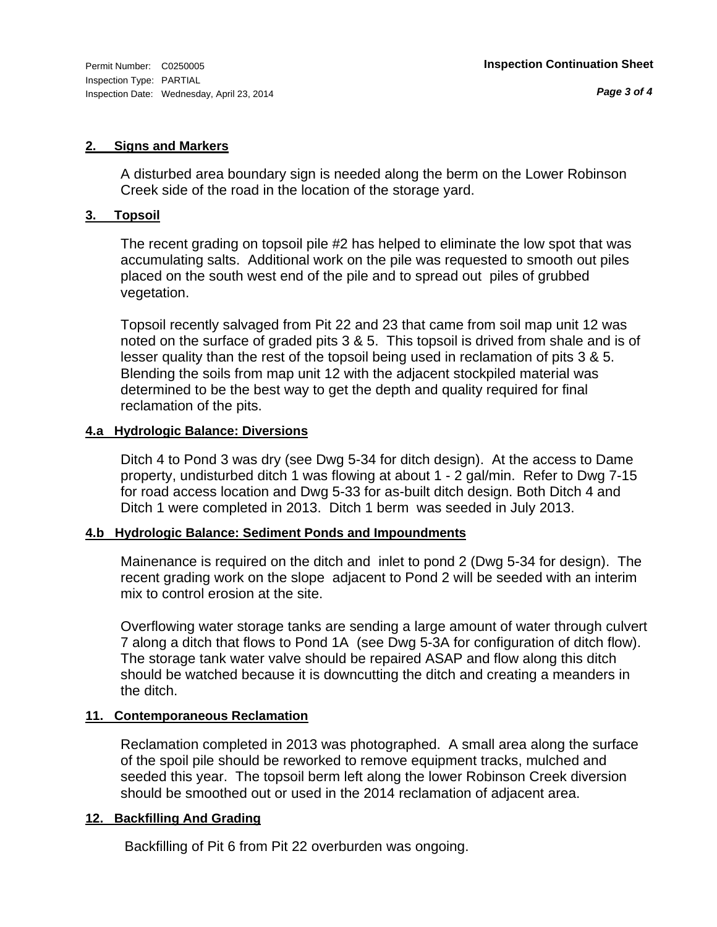#### **2. Signs and Markers**

A disturbed area boundary sign is needed along the berm on the Lower Robinson Creek side of the road in the location of the storage yard.

#### **3. Topsoil**

The recent grading on topsoil pile #2 has helped to eliminate the low spot that was accumulating salts. Additional work on the pile was requested to smooth out piles placed on the south west end of the pile and to spread out piles of grubbed vegetation.

Topsoil recently salvaged from Pit 22 and 23 that came from soil map unit 12 was noted on the surface of graded pits 3 & 5. This topsoil is drived from shale and is of lesser quality than the rest of the topsoil being used in reclamation of pits 3 & 5. Blending the soils from map unit 12 with the adjacent stockpiled material was determined to be the best way to get the depth and quality required for final reclamation of the pits.

#### **4.a Hydrologic Balance: Diversions**

Ditch 4 to Pond 3 was dry (see Dwg 5-34 for ditch design). At the access to Dame property, undisturbed ditch 1 was flowing at about 1 - 2 gal/min. Refer to Dwg 7-15 for road access location and Dwg 5-33 for as-built ditch design. Both Ditch 4 and Ditch 1 were completed in 2013. Ditch 1 berm was seeded in July 2013.

#### **4.b Hydrologic Balance: Sediment Ponds and Impoundments**

Mainenance is required on the ditch and inlet to pond 2 (Dwg 5-34 for design). The recent grading work on the slope adjacent to Pond 2 will be seeded with an interim mix to control erosion at the site.

Overflowing water storage tanks are sending a large amount of water through culvert 7 along a ditch that flows to Pond 1A (see Dwg 5-3A for configuration of ditch flow). The storage tank water valve should be repaired ASAP and flow along this ditch should be watched because it is downcutting the ditch and creating a meanders in the ditch.

#### **11. Contemporaneous Reclamation**

Reclamation completed in 2013 was photographed. A small area along the surface of the spoil pile should be reworked to remove equipment tracks, mulched and seeded this year. The topsoil berm left along the lower Robinson Creek diversion should be smoothed out or used in the 2014 reclamation of adjacent area.

#### **12. Backfilling And Grading**

Backfilling of Pit 6 from Pit 22 overburden was ongoing.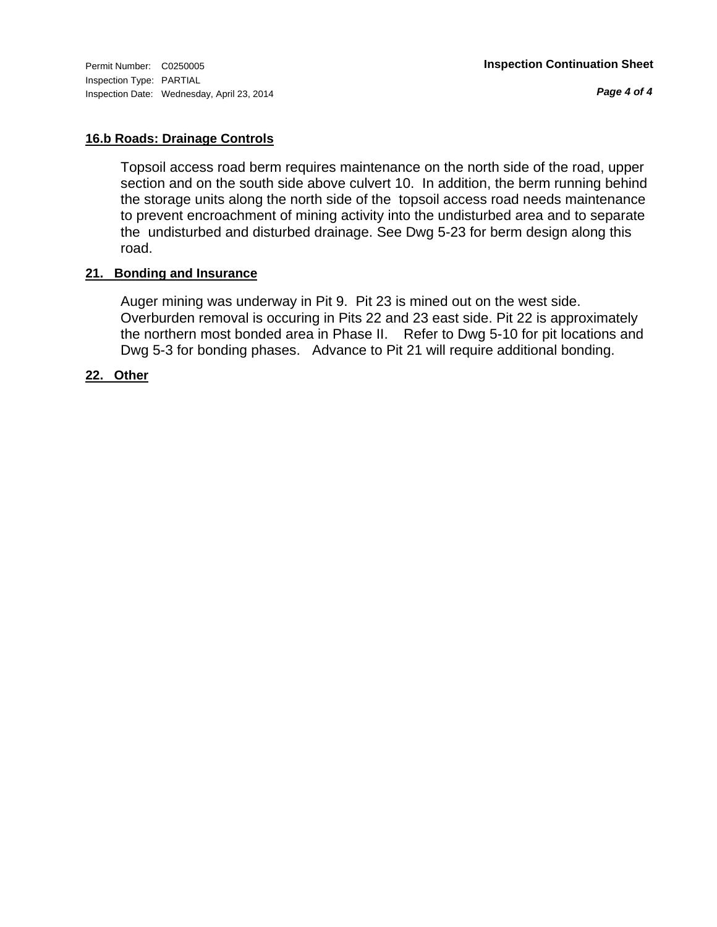*Page 4 of 4*

#### **16.b Roads: Drainage Controls**

Topsoil access road berm requires maintenance on the north side of the road, upper section and on the south side above culvert 10. In addition, the berm running behind the storage units along the north side of the topsoil access road needs maintenance to prevent encroachment of mining activity into the undisturbed area and to separate the undisturbed and disturbed drainage. See Dwg 5-23 for berm design along this road.

#### **21. Bonding and Insurance**

Auger mining was underway in Pit 9. Pit 23 is mined out on the west side. Overburden removal is occuring in Pits 22 and 23 east side. Pit 22 is approximately the northern most bonded area in Phase II. Refer to Dwg 5-10 for pit locations and Dwg 5-3 for bonding phases. Advance to Pit 21 will require additional bonding.

#### **22. Other**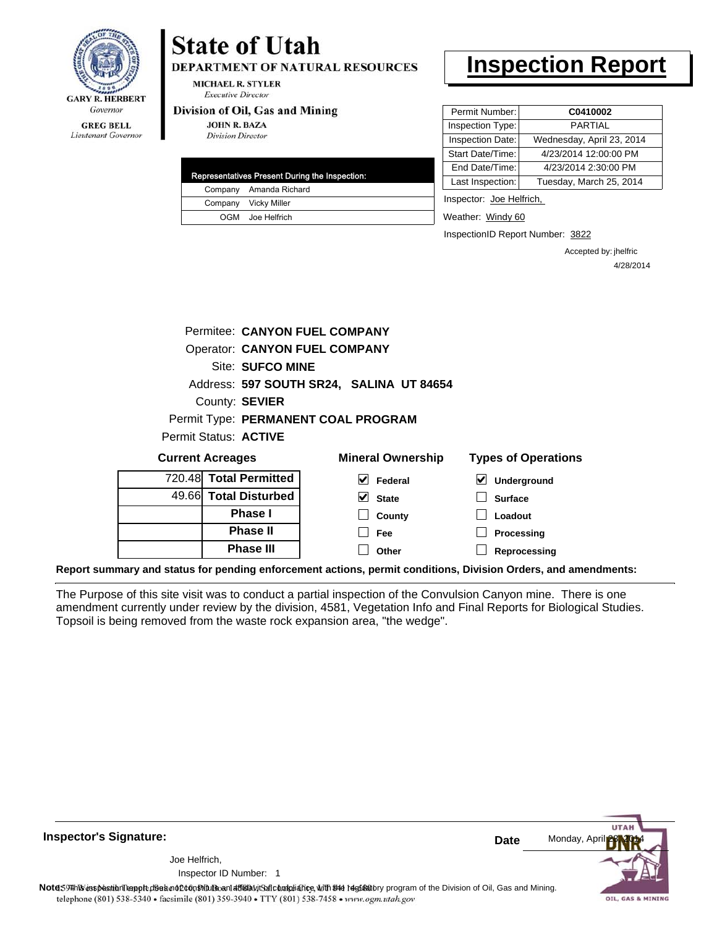![](_page_66_Picture_0.jpeg)

**DEPARTMENT OF NATURAL RESOURCES** 

**MICHAEL R. STYLER Executive Director** 

#### Division of Oil, Gas and Mining

**Phase III**

**JOHN R. BAZA Division Director** 

|  | Representatives Present During the Inspection: |
|--|------------------------------------------------|
|  | Company Amanda Richard                         |
|  | Company Vicky Miller                           |
|  | OGM Joe Helfrich                               |

### **Inspection Report**

| Permit Number:   | C0410002                  |
|------------------|---------------------------|
| Inspection Type: | PARTIAI                   |
| Inspection Date: | Wednesday, April 23, 2014 |
| Start Date/Time: | 4/23/2014 12:00:00 PM     |
| End Date/Time:   | 4/23/2014 2:30:00 PM      |
| Last Inspection: | Tuesday, March 25, 2014   |
|                  |                           |

Inspector: Joe Helfrich,

Weather: Windy 60

InspectionID Report Number: 3822

**Reprocessing**

Accepted by: jhelfric 4/28/2014

|                         |                                          | Permitee: CANYON FUEL COMPANY       |  |             |                          |   |                            |
|-------------------------|------------------------------------------|-------------------------------------|--|-------------|--------------------------|---|----------------------------|
|                         |                                          | Operator: CANYON FUEL COMPANY       |  |             |                          |   |                            |
|                         | Site: SUFCO MINE                         |                                     |  |             |                          |   |                            |
|                         | Address: 597 SOUTH SR24, SALINA UT 84654 |                                     |  |             |                          |   |                            |
|                         |                                          | County: SEVIER                      |  |             |                          |   |                            |
|                         |                                          | Permit Type: PERMANENT COAL PROGRAM |  |             |                          |   |                            |
|                         |                                          | Permit Status: ACTIVE               |  |             |                          |   |                            |
| <b>Current Acreages</b> |                                          |                                     |  |             | <b>Mineral Ownership</b> |   | <b>Types of Operations</b> |
|                         |                                          | 720.48 Total Permitted              |  | V           | Federal                  | M | Underground                |
|                         |                                          | 49.66 Total Disturbed               |  | $ v $ State |                          |   | <b>Surface</b>             |
|                         |                                          | <b>Phase I</b>                      |  |             | County                   |   | Loadout                    |
|                         |                                          | <b>Phase II</b>                     |  | Fee         |                          |   | Processing                 |

**Other**

 $\Box$ 

**Report summary and status for pending enforcement actions, permit conditions, Division Orders, and amendments:**

The Purpose of this site visit was to conduct a partial inspection of the Convulsion Canyon mine. There is one amendment currently under review by the division, 4581, Vegetation Info and Final Reports for Biological Studies. Topsoil is being removed from the waste rock expansion area, "the wedge".

![](_page_66_Picture_16.jpeg)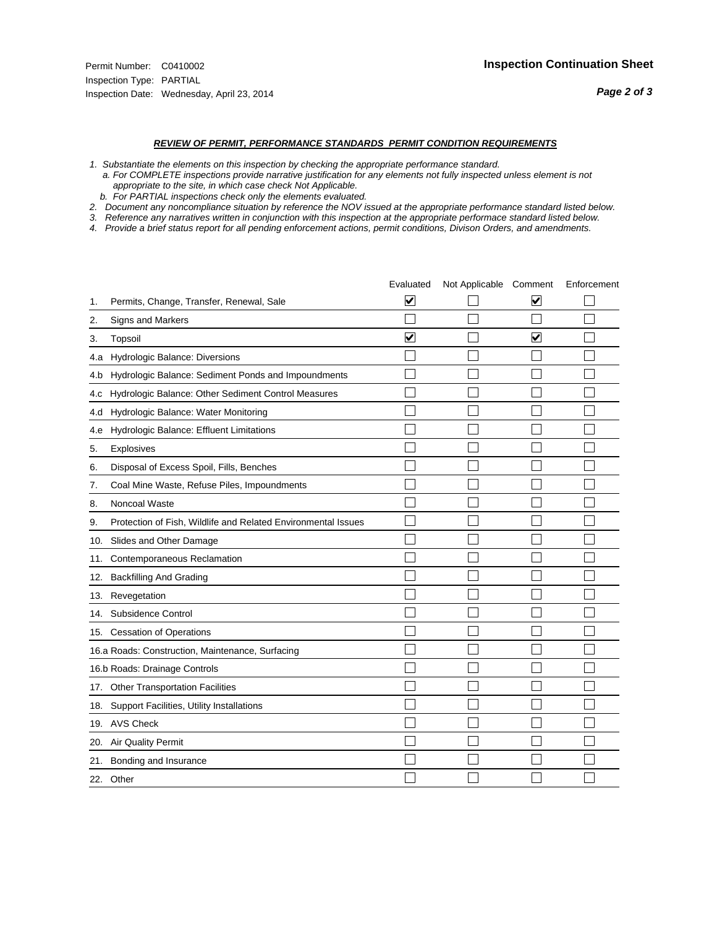#### *REVIEW OF PERMIT, PERFORMANCE STANDARDS PERMIT CONDITION REQUIREMENTS*

*1. Substantiate the elements on this inspection by checking the appropriate performance standard.*

 *a. For COMPLETE inspections provide narrative justification for any elements not fully inspected unless element is not appropriate to the site, in which case check Not Applicable.*

 *b. For PARTIAL inspections check only the elements evaluated.*

*2. Document any noncompliance situation by reference the NOV issued at the appropriate performance standard listed below.*

*3. Reference any narratives written in conjunction with this inspection at the appropriate performace standard listed below.*

|     |                                                               | Evaluated               | Not Applicable Comment |                         | Enforcement |
|-----|---------------------------------------------------------------|-------------------------|------------------------|-------------------------|-------------|
| 1.  | Permits, Change, Transfer, Renewal, Sale                      | ⊻                       |                        | V                       |             |
| 2.  | <b>Signs and Markers</b>                                      |                         |                        |                         |             |
| 3.  | Topsoil                                                       | $\overline{\mathbf{v}}$ |                        | $\overline{\mathbf{v}}$ |             |
| 4.a | Hydrologic Balance: Diversions                                |                         |                        |                         |             |
| 4.b | Hydrologic Balance: Sediment Ponds and Impoundments           |                         |                        |                         |             |
| 4.C | Hydrologic Balance: Other Sediment Control Measures           |                         |                        |                         |             |
| 4.d | Hydrologic Balance: Water Monitoring                          |                         |                        |                         |             |
| 4.e | Hydrologic Balance: Effluent Limitations                      |                         |                        |                         |             |
| 5.  | Explosives                                                    |                         |                        |                         |             |
| 6.  | Disposal of Excess Spoil, Fills, Benches                      |                         |                        |                         |             |
| 7.  | Coal Mine Waste, Refuse Piles, Impoundments                   |                         |                        |                         |             |
| 8.  | Noncoal Waste                                                 |                         |                        |                         |             |
| 9.  | Protection of Fish, Wildlife and Related Environmental Issues |                         |                        |                         |             |
| 10. | Slides and Other Damage                                       |                         |                        |                         |             |
| 11. | Contemporaneous Reclamation                                   |                         |                        |                         |             |
| 12. | <b>Backfilling And Grading</b>                                |                         |                        |                         |             |
| 13. | Revegetation                                                  |                         |                        |                         |             |
| 14. | Subsidence Control                                            |                         |                        |                         |             |
| 15. | <b>Cessation of Operations</b>                                |                         |                        |                         |             |
|     | 16.a Roads: Construction, Maintenance, Surfacing              |                         |                        |                         |             |
|     | 16.b Roads: Drainage Controls                                 |                         |                        |                         |             |
| 17. | <b>Other Transportation Facilities</b>                        |                         |                        |                         |             |
| 18. | Support Facilities, Utility Installations                     |                         |                        |                         |             |
|     | 19. AVS Check                                                 |                         |                        |                         |             |
| 20. | Air Quality Permit                                            |                         |                        |                         |             |
| 21. | Bonding and Insurance                                         |                         |                        |                         |             |
|     | 22. Other                                                     |                         |                        |                         |             |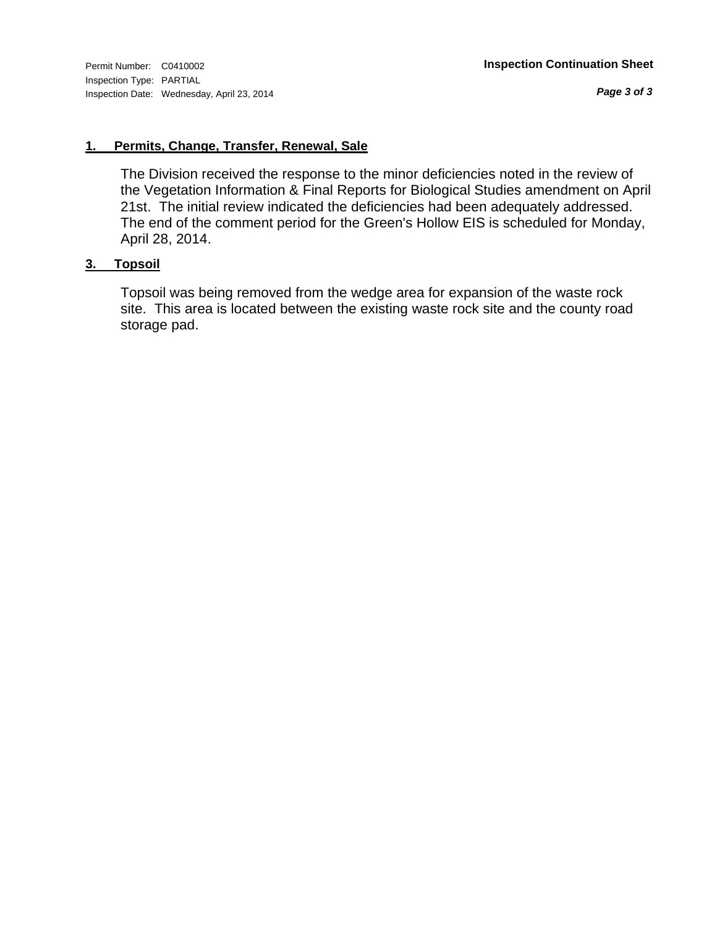*Page 3 of 3*

#### **1. Permits, Change, Transfer, Renewal, Sale**

The Division received the response to the minor deficiencies noted in the review of the Vegetation Information & Final Reports for Biological Studies amendment on April 21st. The initial review indicated the deficiencies had been adequately addressed. The end of the comment period for the Green's Hollow EIS is scheduled for Monday, April 28, 2014.

#### **3. Topsoil**

Topsoil was being removed from the wedge area for expansion of the waste rock site. This area is located between the existing waste rock site and the county road storage pad.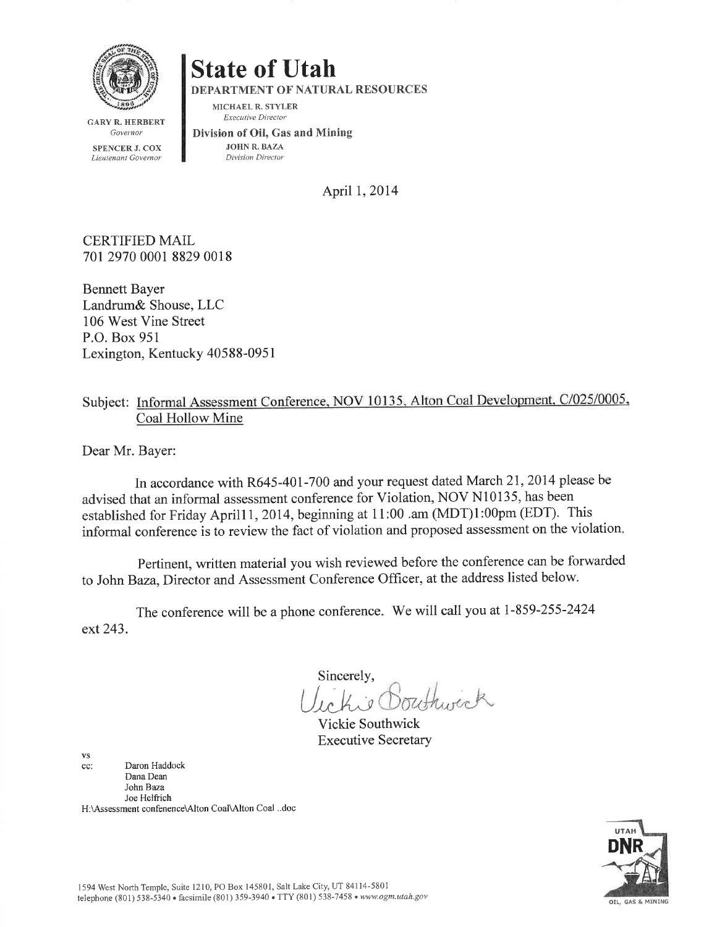![](_page_69_Picture_0.jpeg)

MICHAEL R. STYLER

**DEPARTMENT OF NATURAL RESOURCES** 

**GARY R. HERBERT** Governor **SPENCER J. COX** 

Lieutenant Governor

Executive Director Division of Oil, Gas and Mining **JOHN R. BAZA** Division Director

April 1, 2014

**CERTIFIED MAIL** 701 2970 0001 8829 0018

**Bennett Bayer** Landrum& Shouse, LLC 106 West Vine Street P.O. Box 951 Lexington, Kentucky 40588-0951

### Subject: Informal Assessment Conference, NOV 10135, Alton Coal Development, C/025/0005, Coal Hollow Mine

Dear Mr. Bayer:

In accordance with R645-401-700 and your request dated March 21, 2014 please be advised that an informal assessment conference for Violation, NOV N10135, has been established for Friday April11, 2014, beginning at 11:00 .am (MDT)1:00pm (EDT). This informal conference is to review the fact of violation and proposed assessment on the violation,

Pertinent, written material you wish reviewed before the conference can be forwarded to John Baza, Director and Assessment Conference Officer, at the address listed below.

The conference will be a phone conference. We will call you at 1-859-255-2424 ext 243.

Sincerely,

Vickie Southwick **Executive Secretary** 

**VS** Daron Haddock cc: Dana Dean John Baza Joe Helfrich H:\Assessment confenence\Alton Coal\Alton Coal ..doc

![](_page_69_Picture_16.jpeg)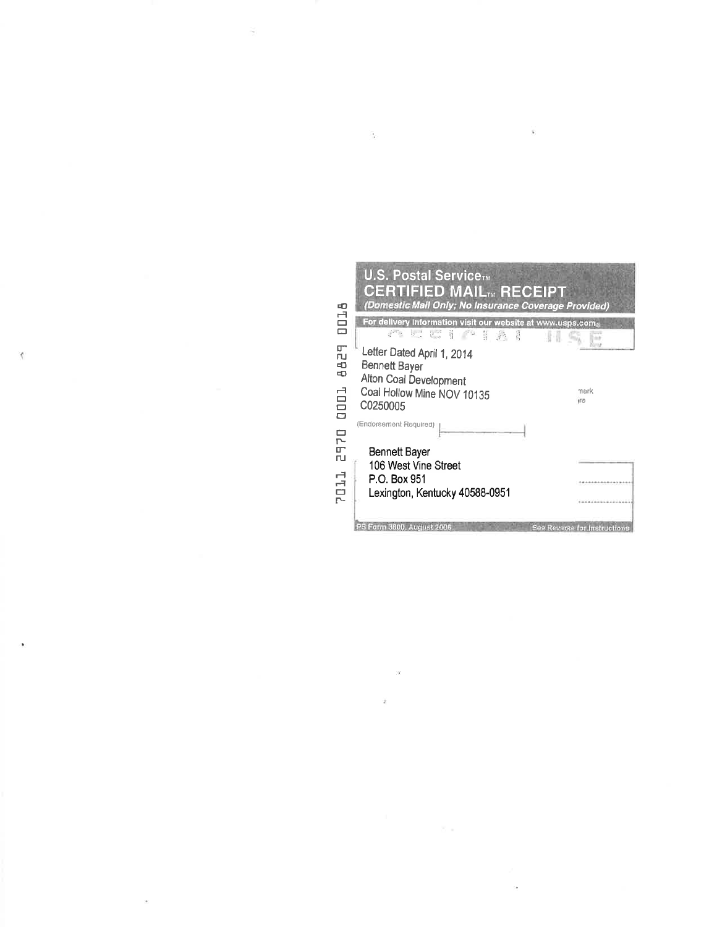| <b>U.S. Postal ServiceTM</b><br><b>CERTIFIED MAIL™ RECEIPT</b><br>(Domestic Mail Only; No Insurance Coverage Provided) |      |
|------------------------------------------------------------------------------------------------------------------------|------|
| DIDIA<br>For delivery information visit our website at www.usps.coma<br>经外部 化丁二酸 计数据                                   | 184. |
| 8888<br>Letter Dated April 1, 2014                                                                                     |      |
| <b>Bennett Bayer</b><br>Alton Coal Development                                                                         |      |
| Coal Hollow Mine NOV 10135                                                                                             | mark |
| 0001<br>C0250005                                                                                                       | Ire  |
| (Endorsement Required)                                                                                                 |      |
| 2970                                                                                                                   |      |
| <b>Bennett Bayer</b><br>106 West Vine Street                                                                           |      |
| P.O. Box 951                                                                                                           |      |
| Lexington, Kentucky 40588-0951                                                                                         |      |
|                                                                                                                        |      |

 $\label{eq:1.1} \mathbf{a} = \mathbf{a} + \mathbf{b} + \mathbf{c} + \mathbf{c} + \mathbf{c} + \mathbf{c} + \mathbf{c} + \mathbf{c} + \mathbf{c} + \mathbf{c} + \mathbf{c} + \mathbf{c} + \mathbf{c} + \mathbf{c} + \mathbf{c} + \mathbf{c} + \mathbf{c} + \mathbf{c} + \mathbf{c} + \mathbf{c} + \mathbf{c} + \mathbf{c} + \mathbf{c} + \mathbf{c} + \mathbf{c} + \mathbf{c} + \mathbf{c} + \mathbf{c} + \mathbf{c} + \$ 

 $\sim$ 

 $\overline{v}$  and  $\overline{v}$ 

 $\widetilde{\mathbf{x}}_t = \mathbf{y}_t + \mathbf{y}_t + \mathbf{y}_t$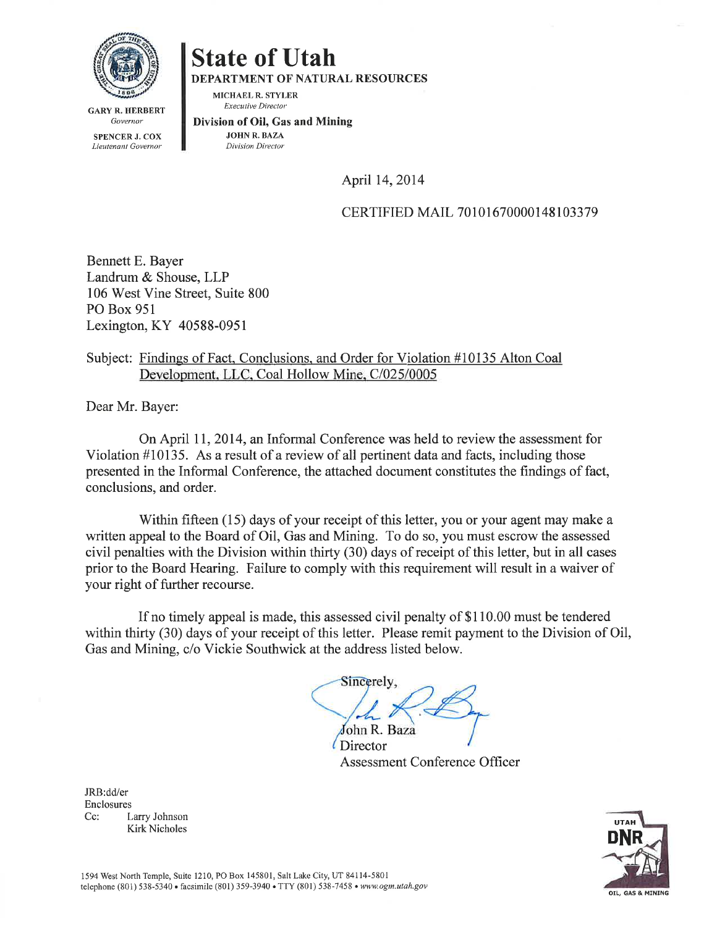![](_page_71_Picture_0.jpeg)

**DEPARTMENT OF NATURAL RESOURCES** 

MICHAEL R. STYLER Executive Director

**GARY R. HERBERT** Governor **SPENCER J. COX** Lieutenant Governor

Division of Oil, Gas and Mining **JOHN R. BAZA Division Director** 

April 14, 2014

CERTIFIED MAIL 70101670000148103379

Bennett E. Bayer Landrum & Shouse, LLP 106 West Vine Street, Suite 800 PO Box 951 Lexington, KY 40588-0951

#### Subject: Findings of Fact, Conclusions, and Order for Violation #10135 Alton Coal Development, LLC, Coal Hollow Mine, C/025/0005

Dear Mr. Bayer:

On April 11, 2014, an Informal Conference was held to review the assessment for Violation #10135. As a result of a review of all pertinent data and facts, including those presented in the Informal Conference, the attached document constitutes the findings of fact, conclusions, and order.

Within fifteen (15) days of your receipt of this letter, you or your agent may make a written appeal to the Board of Oil, Gas and Mining. To do so, you must escrow the assessed civil penalties with the Division within thirty (30) days of receipt of this letter, but in all cases prior to the Board Hearing. Failure to comply with this requirement will result in a waiver of your right of further recourse.

If no timely appeal is made, this assessed civil penalty of \$110.00 must be tendered within thirty (30) days of your receipt of this letter. Please remit payment to the Division of Oil, Gas and Mining, c/o Vickie Southwick at the address listed below.

Sincerely. John R. Baza

Director **Assessment Conference Officer** 

JRB:dd/er Enclosures Cc: Larry Johnson **Kirk Nicholes** 

![](_page_71_Picture_17.jpeg)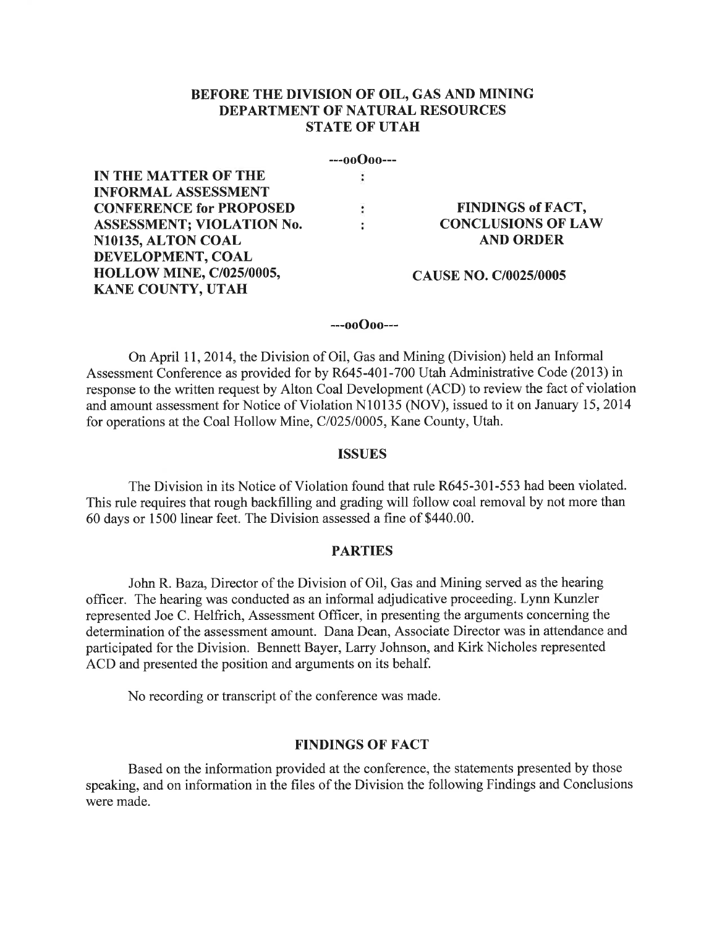## BEFORE THE DIVISION OF OIL, GAS AND MINING DEPARTMENT OF NATURAL RESOURCES **STATE OF UTAH**

 $-00000$ **IN THE MATTER OF THE**  $\ddot{\phantom{a}}$ **INFORMAL ASSESSMENT FINDINGS of FACT, CONFERENCE for PROPOSED**  $\ddot{\cdot}$ **ASSESSMENT; VIOLATION No.**  $\ddot{\phantom{a}}$ **CONCLUSIONS OF LAW AND ORDER** N10135, ALTON COAL DEVELOPMENT, COAL **HOLLOW MINE, C/025/0005, CAUSE NO. C/0025/0005 KANE COUNTY, UTAH** 

#### $-000000$

On April 11, 2014, the Division of Oil, Gas and Mining (Division) held an Informal Assessment Conference as provided for by R645-401-700 Utah Administrative Code (2013) in response to the written request by Alton Coal Development (ACD) to review the fact of violation and amount assessment for Notice of Violation N10135 (NOV), issued to it on January 15, 2014 for operations at the Coal Hollow Mine, C/025/0005, Kane County, Utah.

#### **ISSUES**

The Division in its Notice of Violation found that rule R645-301-553 had been violated. This rule requires that rough backfilling and grading will follow coal removal by not more than 60 days or 1500 linear feet. The Division assessed a fine of \$440.00.

#### **PARTIES**

John R. Baza, Director of the Division of Oil, Gas and Mining served as the hearing officer. The hearing was conducted as an informal adjudicative proceeding. Lynn Kunzler represented Joe C. Helfrich, Assessment Officer, in presenting the arguments concerning the determination of the assessment amount. Dana Dean, Associate Director was in attendance and participated for the Division. Bennett Bayer, Larry Johnson, and Kirk Nicholes represented ACD and presented the position and arguments on its behalf.

No recording or transcript of the conference was made.

#### **FINDINGS OF FACT**

Based on the information provided at the conference, the statements presented by those speaking, and on information in the files of the Division the following Findings and Conclusions were made.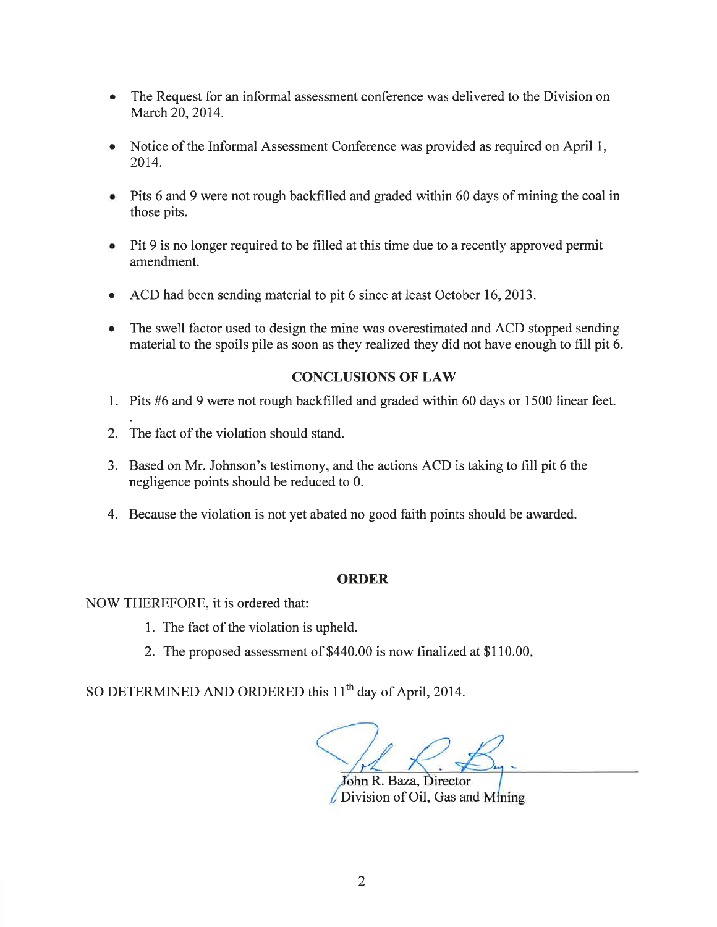- The Request for an informal assessment conference was delivered to the Division on  $\bullet$ March 20, 2014.
- Notice of the Informal Assessment Conference was provided as required on April 1,  $\bullet$ 2014.
- Pits 6 and 9 were not rough backfilled and graded within 60 days of mining the coal in  $\bullet$ those pits.
- Pit 9 is no longer required to be filled at this time due to a recently approved permit  $\bullet$ amendment.
- ACD had been sending material to pit 6 since at least October 16, 2013.  $\bullet$
- The swell factor used to design the mine was overestimated and ACD stopped sending  $\bullet$ material to the spoils pile as soon as they realized they did not have enough to fill pit 6.

## **CONCLUSIONS OF LAW**

- 1. Pits #6 and 9 were not rough backfilled and graded within 60 days or 1500 linear feet.
- 2. The fact of the violation should stand.
- 3. Based on Mr. Johnson's testimony, and the actions ACD is taking to fill pit 6 the negligence points should be reduced to 0.
- 4. Because the violation is not yet abated no good faith points should be awarded.

## **ORDER**

## NOW THEREFORE, it is ordered that:

- 1. The fact of the violation is upheld.
- 2. The proposed assessment of \$440.00 is now finalized at \$110.00.

SO DETERMINED AND ORDERED this 11<sup>th</sup> day of April, 2014.

John R. Baza, Director

U Division of Oil, Gas and Mining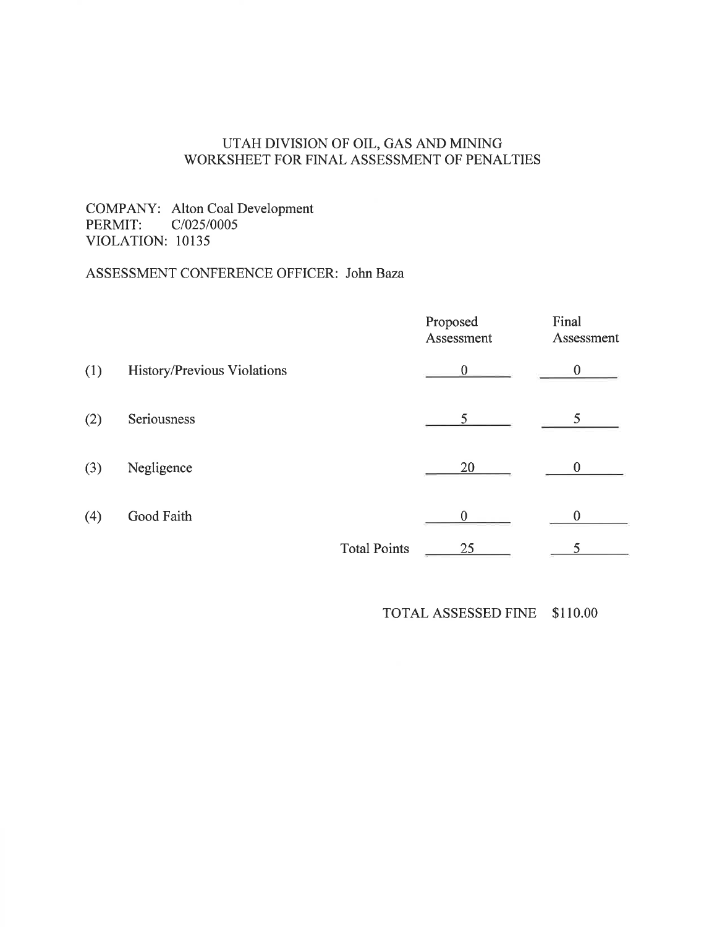# UTAH DIVISION OF OIL, GAS AND MINING<br>WORKSHEET FOR FINAL ASSESSMENT OF PENALTIES

COMPANY: Alton Coal Development  $C/025/0005$ PERMIT: **VIOLATION: 10135** 

## ASSESSMENT CONFERENCE OFFICER: John Baza

|     |                             |                     | Proposed<br>Assessment | Final<br>Assessment |
|-----|-----------------------------|---------------------|------------------------|---------------------|
| (1) | History/Previous Violations |                     | $\boldsymbol{0}$       | 0                   |
| (2) | Seriousness                 |                     | 5                      | 5                   |
| (3) | Negligence                  |                     | 20                     | $\bf{0}$            |
| (4) | Good Faith                  |                     | $\mathbf{0}$           | $\mathbf{0}$        |
|     |                             | <b>Total Points</b> | 25                     |                     |

TOTAL ASSESSED FINE \$110.00